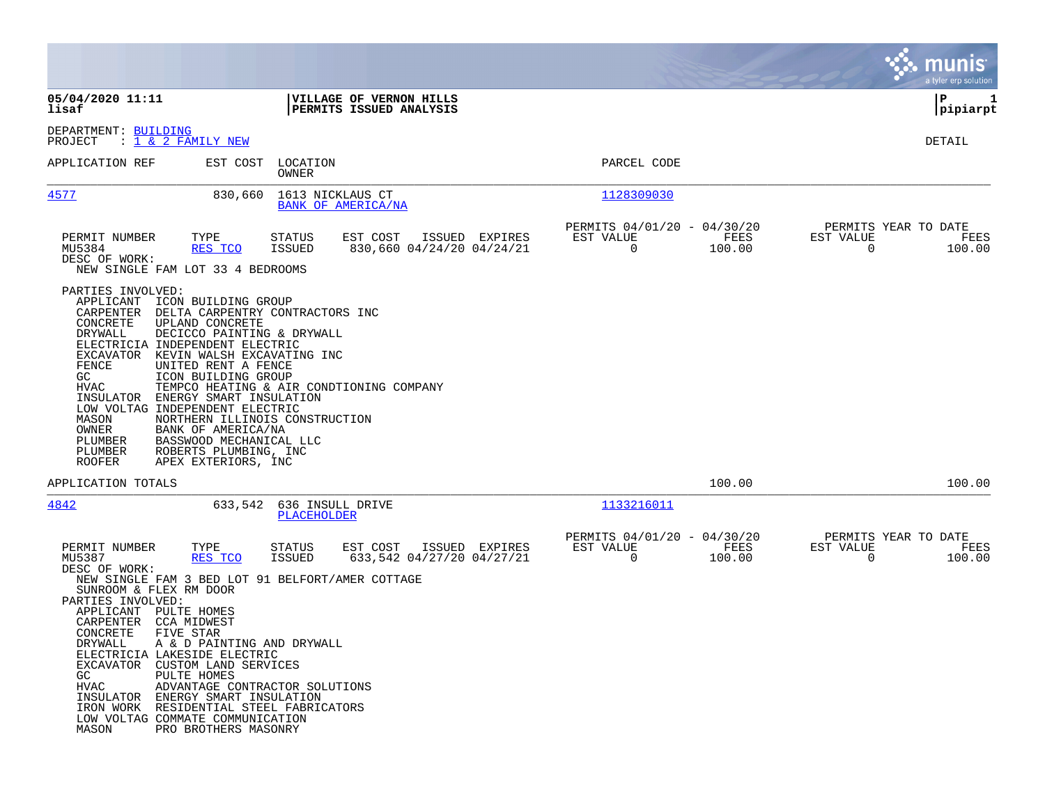|                                                                                                                                                                                                                                                                                                                                                                                                                                                                                                                                                                                                                                                                |                                                                           | a tyler erp solution                                     |
|----------------------------------------------------------------------------------------------------------------------------------------------------------------------------------------------------------------------------------------------------------------------------------------------------------------------------------------------------------------------------------------------------------------------------------------------------------------------------------------------------------------------------------------------------------------------------------------------------------------------------------------------------------------|---------------------------------------------------------------------------|----------------------------------------------------------|
| 05/04/2020 11:11<br>VILLAGE OF VERNON HILLS<br>lisaf<br>PERMITS ISSUED ANALYSIS                                                                                                                                                                                                                                                                                                                                                                                                                                                                                                                                                                                |                                                                           | l P<br>1<br> pipiarpt                                    |
| DEPARTMENT: BUILDING<br>: 1 & 2 FAMILY NEW<br>PROJECT                                                                                                                                                                                                                                                                                                                                                                                                                                                                                                                                                                                                          |                                                                           | DETAIL                                                   |
| APPLICATION REF<br>EST COST<br>LOCATION<br>OWNER                                                                                                                                                                                                                                                                                                                                                                                                                                                                                                                                                                                                               | PARCEL CODE                                                               |                                                          |
| 4577<br>1613 NICKLAUS CT<br>830,660<br>BANK OF AMERICA/NA                                                                                                                                                                                                                                                                                                                                                                                                                                                                                                                                                                                                      | 1128309030                                                                |                                                          |
| PERMIT NUMBER<br>TYPE<br>EST COST<br>ISSUED EXPIRES<br>STATUS<br>830,660 04/24/20 04/24/21<br>MU5384<br><u>RES TCO</u><br><b>ISSUED</b><br>DESC OF WORK:<br>NEW SINGLE FAM LOT 33 4 BEDROOMS                                                                                                                                                                                                                                                                                                                                                                                                                                                                   | PERMITS 04/01/20 - 04/30/20<br>FEES<br>EST VALUE<br>$\mathbf 0$<br>100.00 | PERMITS YEAR TO DATE<br>EST VALUE<br>FEES<br>0<br>100.00 |
| PARTIES INVOLVED:<br>APPLICANT<br>ICON BUILDING GROUP<br>CARPENTER<br>DELTA CARPENTRY CONTRACTORS INC<br>CONCRETE<br>UPLAND CONCRETE<br>DRYWALL<br>DECICCO PAINTING & DRYWALL<br>ELECTRICIA INDEPENDENT ELECTRIC<br>EXCAVATOR<br>KEVIN WALSH EXCAVATING INC<br>FENCE<br>UNITED RENT A FENCE<br>ICON BUILDING GROUP<br>GC<br>HVAC<br>TEMPCO HEATING & AIR CONDTIONING COMPANY<br>INSULATOR<br>ENERGY SMART INSULATION<br>LOW VOLTAG INDEPENDENT ELECTRIC<br>MASON<br>NORTHERN ILLINOIS CONSTRUCTION<br>OWNER<br>BANK OF AMERICA/NA<br>PLUMBER<br>BASSWOOD MECHANICAL LLC<br>PLUMBER<br>ROBERTS PLUMBING, INC<br>ROOFER<br>APEX EXTERIORS, INC                   |                                                                           |                                                          |
| APPLICATION TOTALS                                                                                                                                                                                                                                                                                                                                                                                                                                                                                                                                                                                                                                             | 100.00                                                                    | 100.00                                                   |
| 4842<br>636 INSULL DRIVE<br>633,542<br>PLACEHOLDER                                                                                                                                                                                                                                                                                                                                                                                                                                                                                                                                                                                                             | 1133216011                                                                |                                                          |
| ISSUED EXPIRES<br>PERMIT NUMBER<br>TYPE<br>STATUS<br>EST COST<br>MU5387<br><b>ISSUED</b><br>633,542 04/27/20 04/27/21<br>RES TCO<br>DESC OF WORK:<br>NEW SINGLE FAM 3 BED LOT 91 BELFORT/AMER COTTAGE<br>SUNROOM & FLEX RM DOOR<br>PARTIES INVOLVED:<br>APPLICANT<br>PULTE HOMES<br>CARPENTER CCA MIDWEST<br>CONCRETE FIVE STAR<br>A & D PAINTING AND DRYWALL<br>DRYWALL<br>ELECTRICIA LAKESIDE ELECTRIC<br>EXCAVATOR CUSTOM LAND SERVICES<br>GC<br>PULTE HOMES<br>HVAC<br>ADVANTAGE CONTRACTOR SOLUTIONS<br>INSULATOR ENERGY SMART INSULATION<br>IRON WORK RESIDENTIAL STEEL FABRICATORS<br>LOW VOLTAG COMMATE COMMUNICATION<br>PRO BROTHERS MASONRY<br>MASON | PERMITS 04/01/20 - 04/30/20<br>EST VALUE<br>FEES<br>0<br>100.00           | PERMITS YEAR TO DATE<br>EST VALUE<br>FEES<br>0<br>100.00 |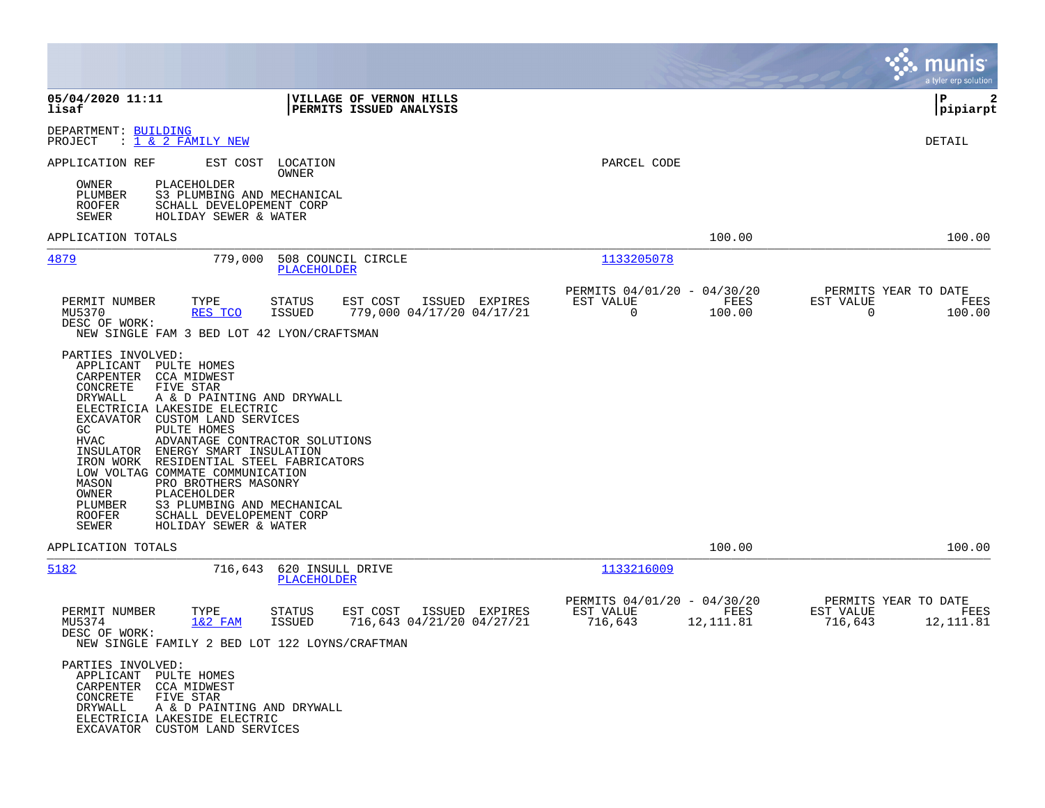|                                                                                                                                                                                                                                                                                                                                                                                                                                                                                                                                                                                            |                                                                                    |                                                         |                                           | munis<br>a tyler erp solution                      |
|--------------------------------------------------------------------------------------------------------------------------------------------------------------------------------------------------------------------------------------------------------------------------------------------------------------------------------------------------------------------------------------------------------------------------------------------------------------------------------------------------------------------------------------------------------------------------------------------|------------------------------------------------------------------------------------|---------------------------------------------------------|-------------------------------------------|----------------------------------------------------|
| 05/04/2020 11:11<br>lisaf                                                                                                                                                                                                                                                                                                                                                                                                                                                                                                                                                                  | VILLAGE OF VERNON HILLS<br>PERMITS ISSUED ANALYSIS                                 |                                                         |                                           | l P<br>2<br> pipiarpt                              |
| DEPARTMENT: BUILDING<br>PROJECT<br>: 1 & 2 FAMILY NEW                                                                                                                                                                                                                                                                                                                                                                                                                                                                                                                                      |                                                                                    |                                                         |                                           | DETAIL                                             |
| APPLICATION REF<br>EST COST                                                                                                                                                                                                                                                                                                                                                                                                                                                                                                                                                                | LOCATION<br>OWNER                                                                  | PARCEL CODE                                             |                                           |                                                    |
| PLACEHOLDER<br>OWNER<br>S3 PLUMBING AND MECHANICAL<br>PLUMBER<br><b>ROOFER</b><br>SCHALL DEVELOPEMENT CORP<br><b>SEWER</b><br>HOLIDAY SEWER & WATER                                                                                                                                                                                                                                                                                                                                                                                                                                        |                                                                                    |                                                         |                                           |                                                    |
| APPLICATION TOTALS                                                                                                                                                                                                                                                                                                                                                                                                                                                                                                                                                                         |                                                                                    |                                                         | 100.00                                    | 100.00                                             |
| 4879<br>779,000                                                                                                                                                                                                                                                                                                                                                                                                                                                                                                                                                                            | 508 COUNCIL CIRCLE<br><b>PLACEHOLDER</b>                                           | 1133205078                                              |                                           |                                                    |
| PERMIT NUMBER<br>TYPE<br>MU5370<br>RES TCO<br>DESC OF WORK:                                                                                                                                                                                                                                                                                                                                                                                                                                                                                                                                | EST COST<br>ISSUED EXPIRES<br>STATUS<br>779,000 04/17/20 04/17/21<br>ISSUED        | PERMITS 04/01/20 - 04/30/20<br>EST VALUE<br>$\mathbf 0$ | FEES<br>EST VALUE<br>100.00               | PERMITS YEAR TO DATE<br>FEES<br>$\Omega$<br>100.00 |
| PARTIES INVOLVED:<br>PULTE HOMES<br>APPLICANT<br>CCA MIDWEST<br>CARPENTER<br>CONCRETE<br>FIVE STAR<br>DRYWALL<br>A & D PAINTING AND DRYWALL<br>ELECTRICIA LAKESIDE ELECTRIC<br>CUSTOM LAND SERVICES<br>EXCAVATOR<br>GC<br>PULTE HOMES<br>HVAC<br>ADVANTAGE CONTRACTOR SOLUTIONS<br>ENERGY SMART INSULATION<br>INSULATOR<br>IRON WORK<br>RESIDENTIAL STEEL FABRICATORS<br>LOW VOLTAG COMMATE COMMUNICATION<br>PRO BROTHERS MASONRY<br>MASON<br>PLACEHOLDER<br>OWNER<br>PLUMBER<br>S3 PLUMBING AND MECHANICAL<br><b>ROOFER</b><br>SCHALL DEVELOPEMENT CORP<br>SEWER<br>HOLIDAY SEWER & WATER |                                                                                    |                                                         |                                           |                                                    |
| APPLICATION TOTALS                                                                                                                                                                                                                                                                                                                                                                                                                                                                                                                                                                         |                                                                                    |                                                         | 100.00                                    | 100.00                                             |
| 5182<br>716,643                                                                                                                                                                                                                                                                                                                                                                                                                                                                                                                                                                            | 620 INSULL DRIVE<br><b>PLACEHOLDER</b>                                             | 1133216009                                              |                                           |                                                    |
| PERMIT NUMBER<br>TYPE<br>MU5374<br>$1&2$ FAM<br>DESC OF WORK:<br>NEW SINGLE FAMILY 2 BED LOT 122 LOYNS/CRAFTMAN                                                                                                                                                                                                                                                                                                                                                                                                                                                                            | EST COST<br>ISSUED EXPIRES<br>STATUS<br>716,643 04/21/20 04/27/21<br><b>ISSUED</b> | PERMITS 04/01/20 - 04/30/20<br>EST VALUE<br>716,643     | FEES<br>EST VALUE<br>12,111.81<br>716,643 | PERMITS YEAR TO DATE<br>FEES<br>12,111.81          |
| PARTIES INVOLVED:<br>APPLICANT PULTE HOMES<br>CARPENTER CCA MIDWEST<br>CONCRETE<br>FIVE STAR<br>DRYWALL<br>A & D PAINTING AND DRYWALL<br>ELECTRICIA LAKESIDE ELECTRIC<br>EXCAVATOR CUSTOM LAND SERVICES                                                                                                                                                                                                                                                                                                                                                                                    |                                                                                    |                                                         |                                           |                                                    |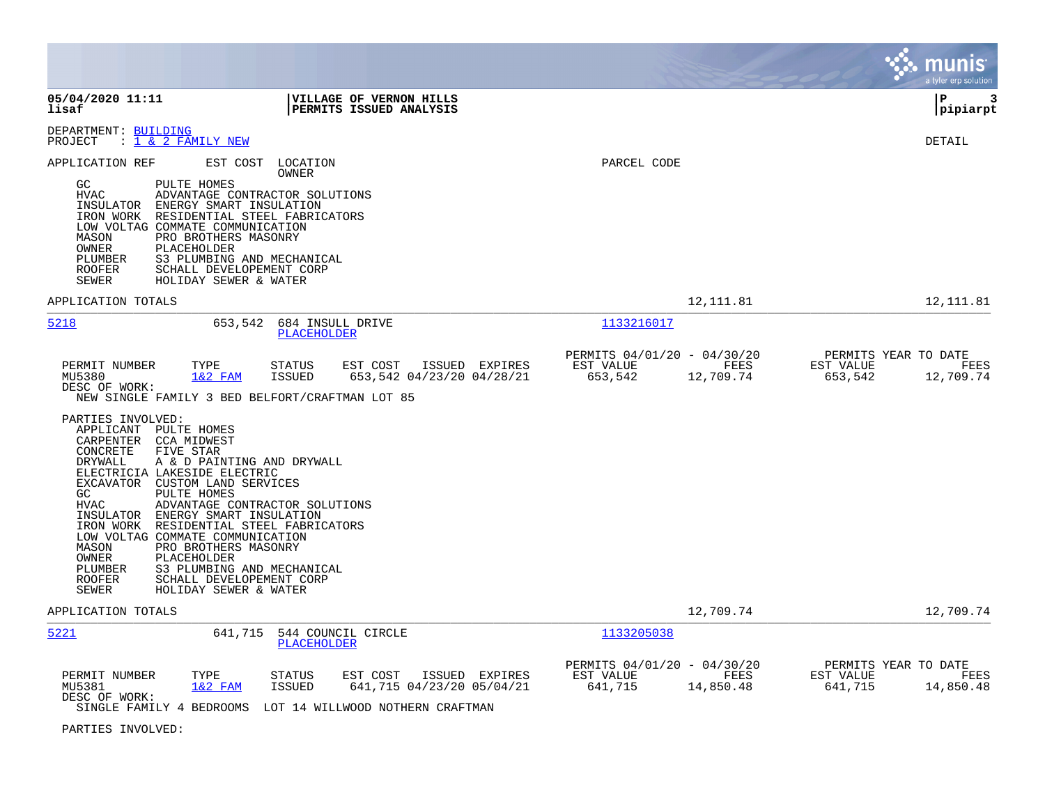|                                                                                                                                                                                                                                                                                                                                                                                                                                                                                                                                                                                    |                                                                          | a tyler erp solution                                              |
|------------------------------------------------------------------------------------------------------------------------------------------------------------------------------------------------------------------------------------------------------------------------------------------------------------------------------------------------------------------------------------------------------------------------------------------------------------------------------------------------------------------------------------------------------------------------------------|--------------------------------------------------------------------------|-------------------------------------------------------------------|
| 05/04/2020 11:11<br>VILLAGE OF VERNON HILLS<br>lisaf<br>PERMITS ISSUED ANALYSIS                                                                                                                                                                                                                                                                                                                                                                                                                                                                                                    |                                                                          | l P<br>3<br> pipiarpt                                             |
| DEPARTMENT: BUILDING<br>PROJECT<br>: <u>1 &amp; 2 FAMILY NEW</u>                                                                                                                                                                                                                                                                                                                                                                                                                                                                                                                   |                                                                          | DETAIL                                                            |
| APPLICATION REF<br>EST COST LOCATION<br><b>OWNER</b><br>PULTE HOMES<br>GC<br><b>HVAC</b><br>ADVANTAGE CONTRACTOR SOLUTIONS<br>ENERGY SMART INSULATION<br>INSULATOR<br>IRON WORK RESIDENTIAL STEEL FABRICATORS<br>LOW VOLTAG COMMATE COMMUNICATION<br>MASON<br>PRO BROTHERS MASONRY<br>OWNER<br>PLACEHOLDER<br>S3 PLUMBING AND MECHANICAL<br>PLUMBER<br><b>ROOFER</b><br>SCHALL DEVELOPEMENT CORP<br>SEWER<br>HOLIDAY SEWER & WATER                                                                                                                                                 | PARCEL CODE                                                              |                                                                   |
| APPLICATION TOTALS                                                                                                                                                                                                                                                                                                                                                                                                                                                                                                                                                                 | 12,111.81                                                                | 12, 111.81                                                        |
| 5218<br>653,542<br>684 INSULL DRIVE<br><b>PLACEHOLDER</b>                                                                                                                                                                                                                                                                                                                                                                                                                                                                                                                          | 1133216017                                                               |                                                                   |
| PERMIT NUMBER<br>TYPE<br><b>STATUS</b><br>EST COST<br>ISSUED EXPIRES<br>653,542 04/23/20 04/28/21<br>MU5380<br>$1&2$ FAM<br><b>ISSUED</b><br>DESC OF WORK:<br>NEW SINGLE FAMILY 3 BED BELFORT/CRAFTMAN LOT 85                                                                                                                                                                                                                                                                                                                                                                      | PERMITS 04/01/20 - 04/30/20<br>EST VALUE<br>FEES<br>653,542<br>12,709.74 | PERMITS YEAR TO DATE<br>EST VALUE<br>FEES<br>653,542<br>12,709.74 |
| PARTIES INVOLVED:<br>APPLICANT PULTE HOMES<br>CARPENTER CCA MIDWEST<br>CONCRETE<br>FIVE STAR<br>DRYWALL<br>A & D PAINTING AND DRYWALL<br>ELECTRICIA LAKESIDE ELECTRIC<br>EXCAVATOR CUSTOM LAND SERVICES<br>GC<br>PULTE HOMES<br><b>HVAC</b><br>ADVANTAGE CONTRACTOR SOLUTIONS<br>INSULATOR ENERGY SMART INSULATION<br>IRON WORK RESIDENTIAL STEEL FABRICATORS<br>LOW VOLTAG COMMATE COMMUNICATION<br>MASON<br>PRO BROTHERS MASONRY<br>OWNER<br>PLACEHOLDER<br>S3 PLUMBING AND MECHANICAL<br>PLUMBER<br>SCHALL DEVELOPEMENT CORP<br><b>ROOFER</b><br>SEWER<br>HOLIDAY SEWER & WATER |                                                                          |                                                                   |
| APPLICATION TOTALS                                                                                                                                                                                                                                                                                                                                                                                                                                                                                                                                                                 | 12,709.74                                                                | 12,709.74                                                         |
| 5221<br>641,715<br>544 COUNCIL CIRCLE<br><b>PLACEHOLDER</b>                                                                                                                                                                                                                                                                                                                                                                                                                                                                                                                        | 1133205038                                                               |                                                                   |
| TYPE<br>PERMIT NUMBER<br><b>STATUS</b><br>EST COST<br>ISSUED EXPIRES<br>641,715 04/23/20 05/04/21<br>MU5381<br>$1&2$ FAM<br><b>ISSUED</b><br>DESC OF WORK:<br>SINGLE FAMILY 4 BEDROOMS<br>LOT 14 WILLWOOD NOTHERN CRAFTMAN                                                                                                                                                                                                                                                                                                                                                         | PERMITS 04/01/20 - 04/30/20<br>EST VALUE<br>FEES<br>641,715<br>14,850.48 | PERMITS YEAR TO DATE<br>EST VALUE<br>FEES<br>641,715<br>14,850.48 |

PARTIES INVOLVED: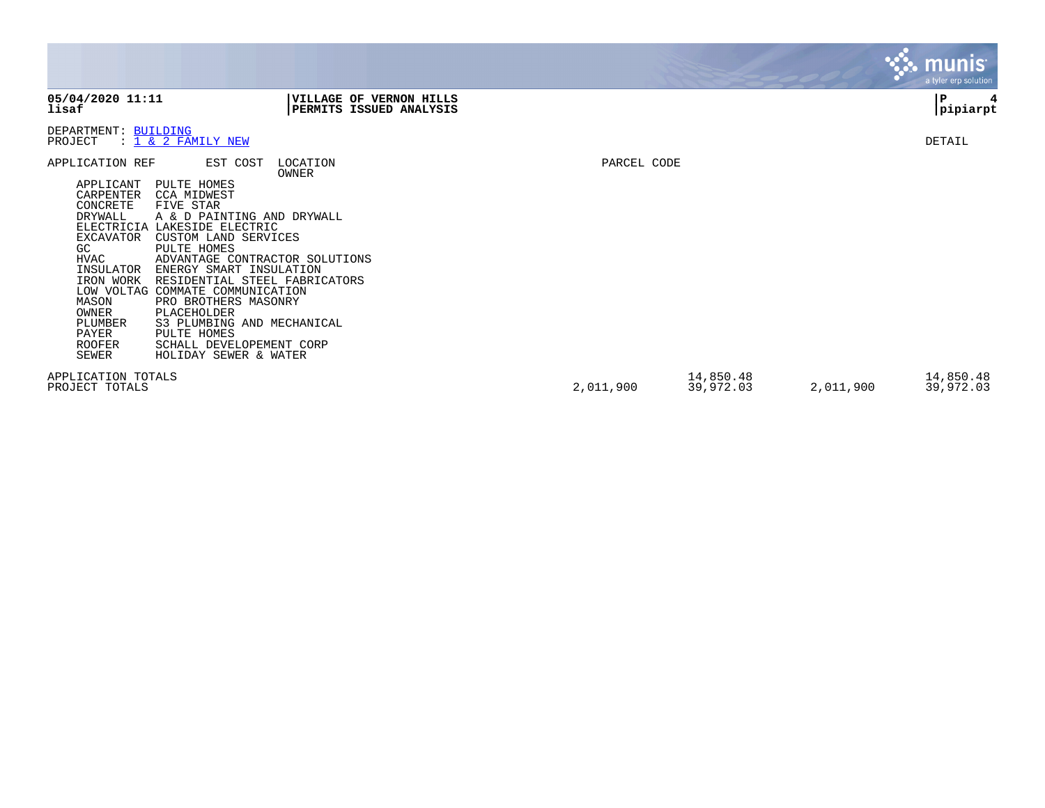|                                                                                                                                                                                                                                                                                                                                                                                                                                           |                                                                                                                                                                                                                     |             |                        |           | munis <sup>®</sup><br>a tyler erp solution |
|-------------------------------------------------------------------------------------------------------------------------------------------------------------------------------------------------------------------------------------------------------------------------------------------------------------------------------------------------------------------------------------------------------------------------------------------|---------------------------------------------------------------------------------------------------------------------------------------------------------------------------------------------------------------------|-------------|------------------------|-----------|--------------------------------------------|
| 05/04/2020 11:11<br>lisaf                                                                                                                                                                                                                                                                                                                                                                                                                 | VILLAGE OF VERNON HILLS<br>PERMITS ISSUED ANALYSIS                                                                                                                                                                  |             |                        |           | P<br>4<br> pipiarpt                        |
| DEPARTMENT: BUILDING<br>: 1 & 2 FAMILY NEW<br>PROJECT                                                                                                                                                                                                                                                                                                                                                                                     |                                                                                                                                                                                                                     |             |                        |           | DETAIL                                     |
| APPLICATION REF<br>APPLICANT<br>PULTE HOMES<br>CARPENTER<br><b>CCA MIDWEST</b><br>CONCRETE<br>FIVE STAR<br>DRYWALL<br>ELECTRICIA LAKESIDE ELECTRIC<br>EXCAVATOR<br>CUSTOM LAND SERVICES<br>PULTE HOMES<br>GC.<br>HVAC<br>INSULATOR<br>IRON WORK<br>LOW VOLTAG COMMATE COMMUNICATION<br>MASON<br>PRO BROTHERS MASONRY<br>OWNER<br>PLACEHOLDER<br>PLUMBER<br>PAYER<br>PULTE HOMES<br><b>ROOFER</b><br><b>SEWER</b><br>HOLIDAY SEWER & WATER | EST COST<br>LOCATION<br>OWNER<br>A & D PAINTING AND DRYWALL<br>ADVANTAGE CONTRACTOR SOLUTIONS<br>ENERGY SMART INSULATION<br>RESIDENTIAL STEEL FABRICATORS<br>S3 PLUMBING AND MECHANICAL<br>SCHALL DEVELOPEMENT CORP | PARCEL CODE |                        |           |                                            |
| APPLICATION TOTALS<br>PROJECT TOTALS                                                                                                                                                                                                                                                                                                                                                                                                      |                                                                                                                                                                                                                     | 2,011,900   | 14,850.48<br>39,972.03 | 2,011,900 | 14,850.48<br>39,972.03                     |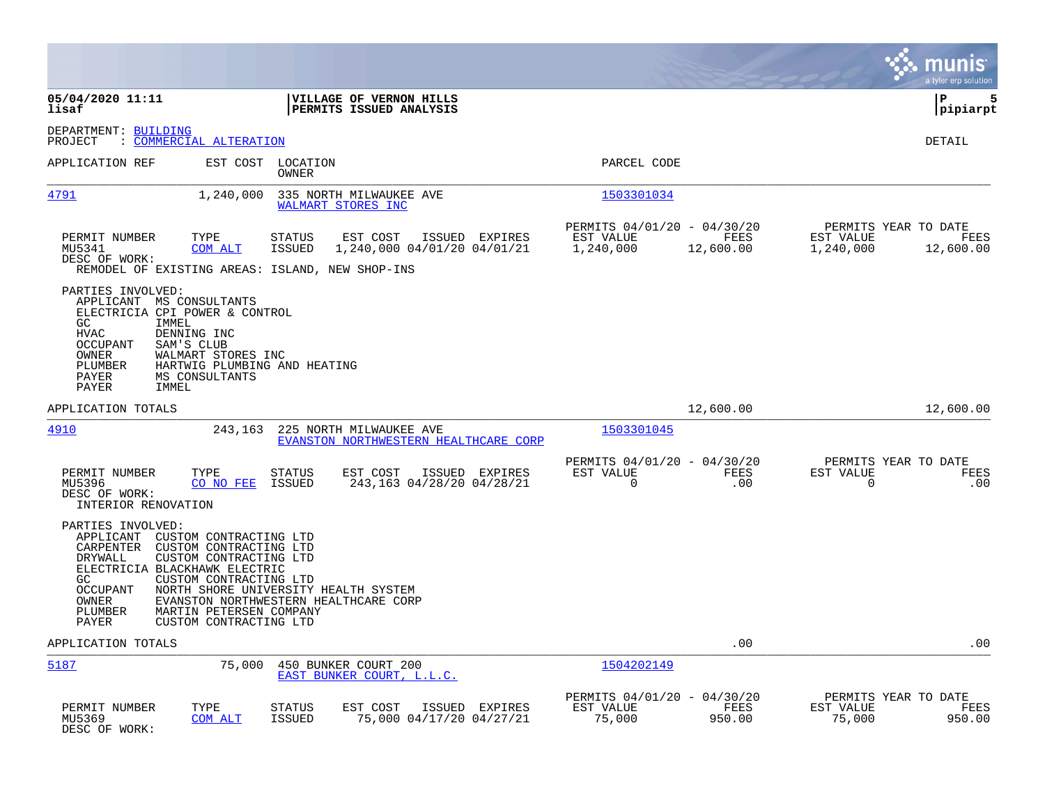|                                                                                                                                                                                 |                                                                                                                                                                         |                                |                                                                  |                |                                                       |                   |                                                  | munis<br>a tyler erp solution |
|---------------------------------------------------------------------------------------------------------------------------------------------------------------------------------|-------------------------------------------------------------------------------------------------------------------------------------------------------------------------|--------------------------------|------------------------------------------------------------------|----------------|-------------------------------------------------------|-------------------|--------------------------------------------------|-------------------------------|
| 05/04/2020 11:11<br>lisaf                                                                                                                                                       |                                                                                                                                                                         |                                | VILLAGE OF VERNON HILLS<br>PERMITS ISSUED ANALYSIS               |                |                                                       |                   |                                                  | ΙP<br>5<br> pipiarpt          |
| DEPARTMENT: BUILDING<br>PROJECT                                                                                                                                                 | : COMMERCIAL ALTERATION                                                                                                                                                 |                                |                                                                  |                |                                                       |                   |                                                  | DETAIL                        |
| APPLICATION REF                                                                                                                                                                 |                                                                                                                                                                         | EST COST LOCATION<br>OWNER     |                                                                  |                | PARCEL CODE                                           |                   |                                                  |                               |
| 4791                                                                                                                                                                            | 1,240,000                                                                                                                                                               |                                | 335 NORTH MILWAUKEE AVE<br>WALMART STORES INC                    |                | 1503301034                                            |                   |                                                  |                               |
| PERMIT NUMBER<br>MU5341<br>DESC OF WORK:<br>REMODEL OF EXISTING AREAS: ISLAND, NEW SHOP-INS                                                                                     | TYPE<br>COM ALT                                                                                                                                                         | <b>STATUS</b><br><b>ISSUED</b> | EST COST<br>1,240,000 04/01/20 04/01/21                          | ISSUED EXPIRES | PERMITS 04/01/20 - 04/30/20<br>EST VALUE<br>1,240,000 | FEES<br>12,600.00 | PERMITS YEAR TO DATE<br>EST VALUE<br>1,240,000   | FEES<br>12,600.00             |
| PARTIES INVOLVED:<br>APPLICANT MS CONSULTANTS<br>ELECTRICIA CPI POWER & CONTROL<br>GC<br>IMMEL<br><b>HVAC</b><br><b>OCCUPANT</b><br>OWNER<br>PLUMBER<br>PAYER<br>IMMEL<br>PAYER | DENNING INC<br>SAM'S CLUB<br>WALMART STORES INC<br>HARTWIG PLUMBING AND HEATING<br>MS CONSULTANTS                                                                       |                                |                                                                  |                |                                                       |                   |                                                  |                               |
| APPLICATION TOTALS                                                                                                                                                              |                                                                                                                                                                         |                                |                                                                  |                |                                                       | 12,600.00         |                                                  | 12,600.00                     |
| 4910                                                                                                                                                                            | 243,163                                                                                                                                                                 |                                | 225 NORTH MILWAUKEE AVE<br>EVANSTON NORTHWESTERN HEALTHCARE CORP |                | 1503301045                                            |                   |                                                  |                               |
| PERMIT NUMBER<br>MU5396<br>DESC OF WORK:<br>INTERIOR RENOVATION                                                                                                                 | TYPE<br>CO NO FEE                                                                                                                                                       | <b>STATUS</b><br>ISSUED        | EST COST<br>243,163 04/28/20 04/28/21                            | ISSUED EXPIRES | PERMITS 04/01/20 - 04/30/20<br>EST VALUE<br>0         | FEES<br>.00       | PERMITS YEAR TO DATE<br>EST VALUE<br>$\mathbf 0$ | FEES<br>.00                   |
| PARTIES INVOLVED:<br>APPLICANT CUSTOM CONTRACTING LTD<br>CARPENTER<br>DRYWALL<br>ELECTRICIA BLACKHAWK ELECTRIC<br>GC<br>OCCUPANT<br>OWNER<br>PLUMBER<br>PAYER                   | CUSTOM CONTRACTING LTD<br>CUSTOM CONTRACTING LTD<br>CUSTOM CONTRACTING LTD<br>NORTH SHORE UNIVERSITY HEALTH SYSTEM<br>MARTIN PETERSEN COMPANY<br>CUSTOM CONTRACTING LTD |                                | EVANSTON NORTHWESTERN HEALTHCARE CORP                            |                |                                                       |                   |                                                  |                               |
| APPLICATION TOTALS                                                                                                                                                              |                                                                                                                                                                         |                                |                                                                  |                |                                                       | .00               |                                                  | .00                           |
| 5187                                                                                                                                                                            | 75,000                                                                                                                                                                  |                                | 450 BUNKER COURT 200<br>EAST BUNKER COURT. L.L.C.                |                | 1504202149                                            |                   |                                                  |                               |
| PERMIT NUMBER<br>MU5369<br>DESC OF WORK:                                                                                                                                        | TYPE<br><b>COM ALT</b>                                                                                                                                                  | <b>STATUS</b><br><b>ISSUED</b> | EST COST<br>75,000 04/17/20 04/27/21                             | ISSUED EXPIRES | PERMITS 04/01/20 - 04/30/20<br>EST VALUE<br>75,000    | FEES<br>950.00    | PERMITS YEAR TO DATE<br>EST VALUE<br>75,000      | FEES<br>950.00                |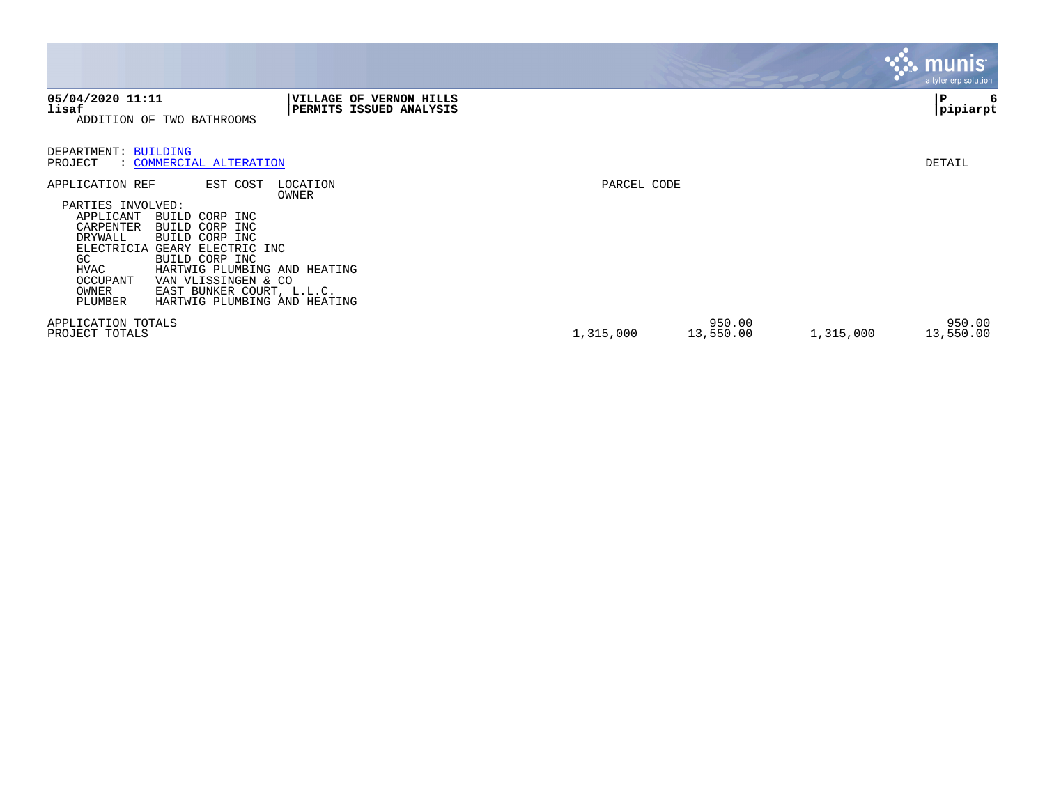|                                                                                                                                                                                                                                                                                                                                                                     |                                                                     |             |                     |           | munis'<br>a tyler erp solution |
|---------------------------------------------------------------------------------------------------------------------------------------------------------------------------------------------------------------------------------------------------------------------------------------------------------------------------------------------------------------------|---------------------------------------------------------------------|-------------|---------------------|-----------|--------------------------------|
| 05/04/2020 11:11<br>lisaf<br>ADDITION OF TWO BATHROOMS                                                                                                                                                                                                                                                                                                              | <b>VILLAGE OF</b><br><b>VERNON HILLS</b><br>PERMITS ISSUED ANALYSIS |             |                     |           | P<br>6<br> pipiarpt            |
| DEPARTMENT: BUILDING<br>: COMMERCIAL ALTERATION<br>PROJECT                                                                                                                                                                                                                                                                                                          |                                                                     |             |                     |           | DETAIL                         |
| APPLICATION REF<br>EST COST<br>PARTIES INVOLVED:<br>APPLICANT<br>BUILD CORP INC<br>CARPENTER<br>BUILD CORP INC<br>BUILD CORP INC<br>DRYWALL<br>ELECTRICIA<br>GEARY ELECTRIC INC<br>GC<br>BUILD CORP INC<br>HVAC<br>HARTWIG PLUMBING AND HEATING<br>VAN VLISSINGEN & CO<br>OCCUPANT<br>EAST BUNKER COURT, L.L.C.<br>OWNER<br>PLUMBER<br>HARTWIG PLUMBING AND HEATING | LOCATION<br>OWNER                                                   | PARCEL CODE |                     |           |                                |
| APPLICATION TOTALS<br>PROJECT TOTALS                                                                                                                                                                                                                                                                                                                                |                                                                     | 1,315,000   | 950.00<br>13,550.00 | 1,315,000 | 950.00<br>13,550.00            |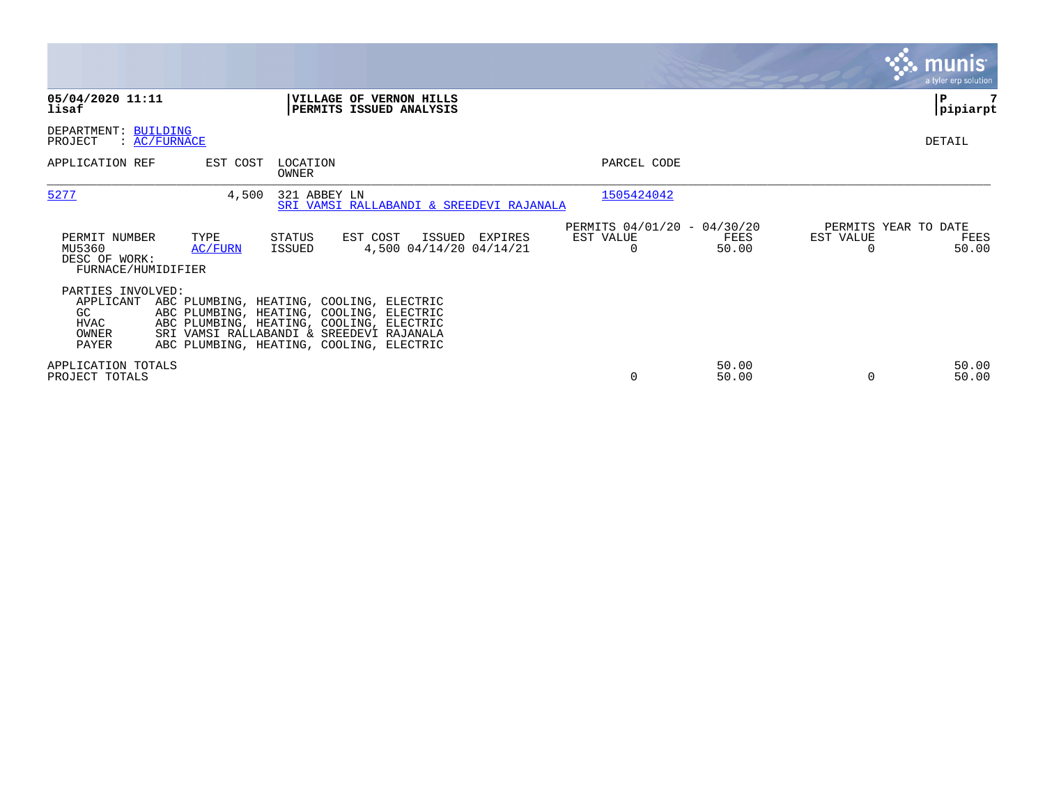|                                                                       |                 |                          |                                                                                                                                                                                                                          |         |                                                      |                |                                               | <b>munis</b><br>a tyler erp solution |
|-----------------------------------------------------------------------|-----------------|--------------------------|--------------------------------------------------------------------------------------------------------------------------------------------------------------------------------------------------------------------------|---------|------------------------------------------------------|----------------|-----------------------------------------------|--------------------------------------|
| 05/04/2020 11:11<br>lisaf                                             |                 |                          | VILLAGE OF VERNON HILLS<br>PERMITS ISSUED ANALYSIS                                                                                                                                                                       |         |                                                      |                |                                               | P<br> pipiarpt                       |
| DEPARTMENT: BUILDING<br>PROJECT<br>$\colon$ AC/FURNACE                |                 |                          |                                                                                                                                                                                                                          |         |                                                      |                |                                               | DETAIL                               |
| APPLICATION REF                                                       | EST COST        | LOCATION<br><b>OWNER</b> |                                                                                                                                                                                                                          |         | PARCEL CODE                                          |                |                                               |                                      |
| 5277                                                                  | 4,500           | 321 ABBEY LN             | SRI VAMSI RALLABANDI & SREEDEVI RAJANALA                                                                                                                                                                                 |         | 1505424042                                           |                |                                               |                                      |
| PERMIT NUMBER<br>MU5360<br>DESC OF WORK:<br>FURNACE/HUMIDIFIER        | TYPE<br>AC/FURN | STATUS<br>ISSUED         | EST COST<br>ISSUED<br>4,500 04/14/20 04/14/21                                                                                                                                                                            | EXPIRES | PERMITS 04/01/20 - 04/30/20<br>EST VALUE<br>$\Omega$ | FEES<br>50.00  | PERMITS YEAR TO DATE<br>EST VALUE<br>$\Omega$ | FEES<br>50.00                        |
| PARTIES INVOLVED:<br>APPLICANT<br>GC<br><b>HVAC</b><br>OWNER<br>PAYER |                 |                          | ABC PLUMBING, HEATING, COOLING, ELECTRIC<br>ABC PLUMBING, HEATING, COOLING, ELECTRIC<br>ABC PLUMBING, HEATING, COOLING, ELECTRIC<br>SRI VAMSI RALLABANDI & SREEDEVI RAJANALA<br>ABC PLUMBING, HEATING, COOLING, ELECTRIC |         |                                                      |                |                                               |                                      |
| APPLICATION TOTALS<br>PROJECT TOTALS                                  |                 |                          |                                                                                                                                                                                                                          |         | $\Omega$                                             | 50.00<br>50.00 | $\Omega$                                      | 50.00<br>50.00                       |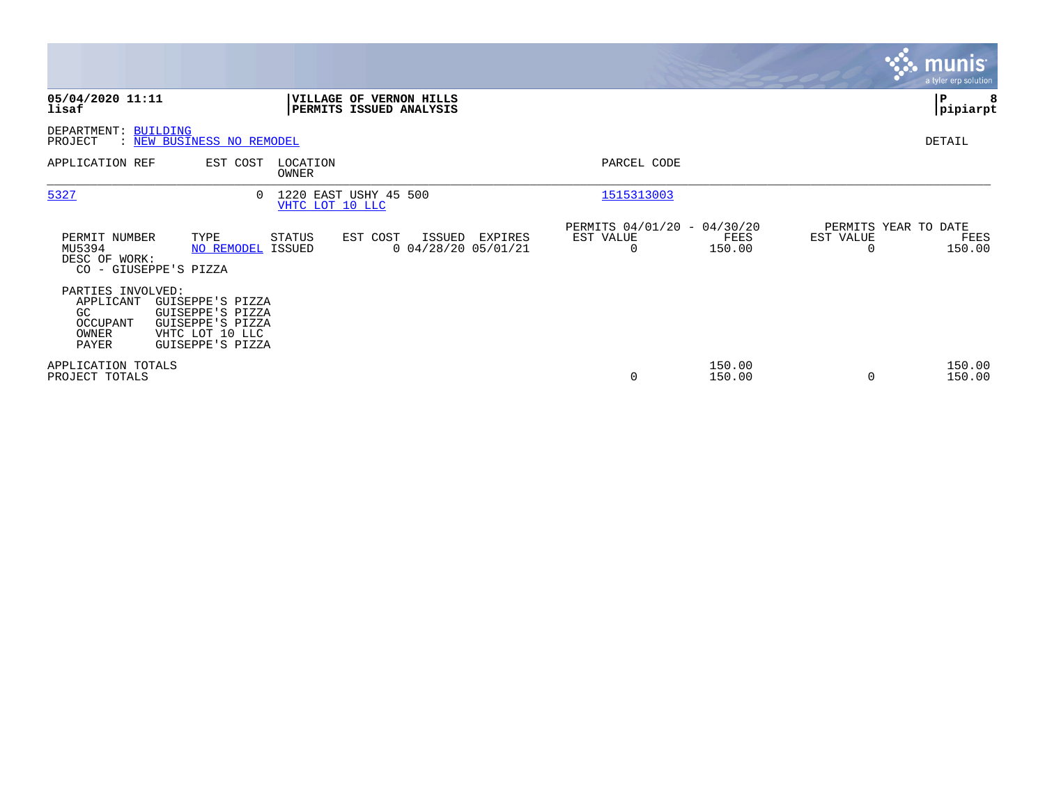|                                                                     |                                                                                                 |                   |                                                           |         |                                               |                  |                                        | <b>munis</b><br>a tyler erp solution |
|---------------------------------------------------------------------|-------------------------------------------------------------------------------------------------|-------------------|-----------------------------------------------------------|---------|-----------------------------------------------|------------------|----------------------------------------|--------------------------------------|
| 05/04/2020 11:11<br>lisaf                                           |                                                                                                 |                   | <b>VILLAGE OF VERNON HILLS</b><br>PERMITS ISSUED ANALYSIS |         |                                               |                  |                                        | $\mathbf P$<br>8<br> pipiarpt        |
| DEPARTMENT: BUILDING<br>PROJECT                                     | : NEW BUSINESS NO REMODEL                                                                       |                   |                                                           |         |                                               |                  |                                        | DETAIL                               |
| APPLICATION REF                                                     | EST COST                                                                                        | LOCATION<br>OWNER |                                                           |         | PARCEL CODE                                   |                  |                                        |                                      |
| 5327                                                                | $\Omega$                                                                                        | VHTC LOT 10 LLC   | 1220 EAST USHY 45 500                                     |         | 1515313003                                    |                  |                                        |                                      |
| PERMIT NUMBER<br>MU5394<br>DESC OF WORK:                            | TYPE<br>NO REMODEL ISSUED<br>CO - GIUSEPPE'S PIZZA                                              | STATUS            | EST COST<br>ISSUED<br>$0$ 04/28/20 05/01/21               | EXPIRES | PERMITS 04/01/20 - 04/30/20<br>EST VALUE<br>0 | FEES<br>150.00   | PERMITS YEAR TO DATE<br>EST VALUE<br>0 | FEES<br>150.00                       |
| PARTIES INVOLVED:<br>APPLICANT<br>GC.<br>OCCUPANT<br>OWNER<br>PAYER | GUISEPPE'S PIZZA<br>GUISEPPE'S PIZZA<br>GUISEPPE'S PIZZA<br>VHTC LOT 10 LLC<br>GUISEPPE'S PIZZA |                   |                                                           |         |                                               |                  |                                        |                                      |
| APPLICATION TOTALS<br>PROJECT TOTALS                                |                                                                                                 |                   |                                                           |         | 0                                             | 150.00<br>150.00 | $\Omega$                               | 150.00<br>150.00                     |

the property of the control of

and the contract of the contract of the contract of the contract of the contract of the contract of the contract of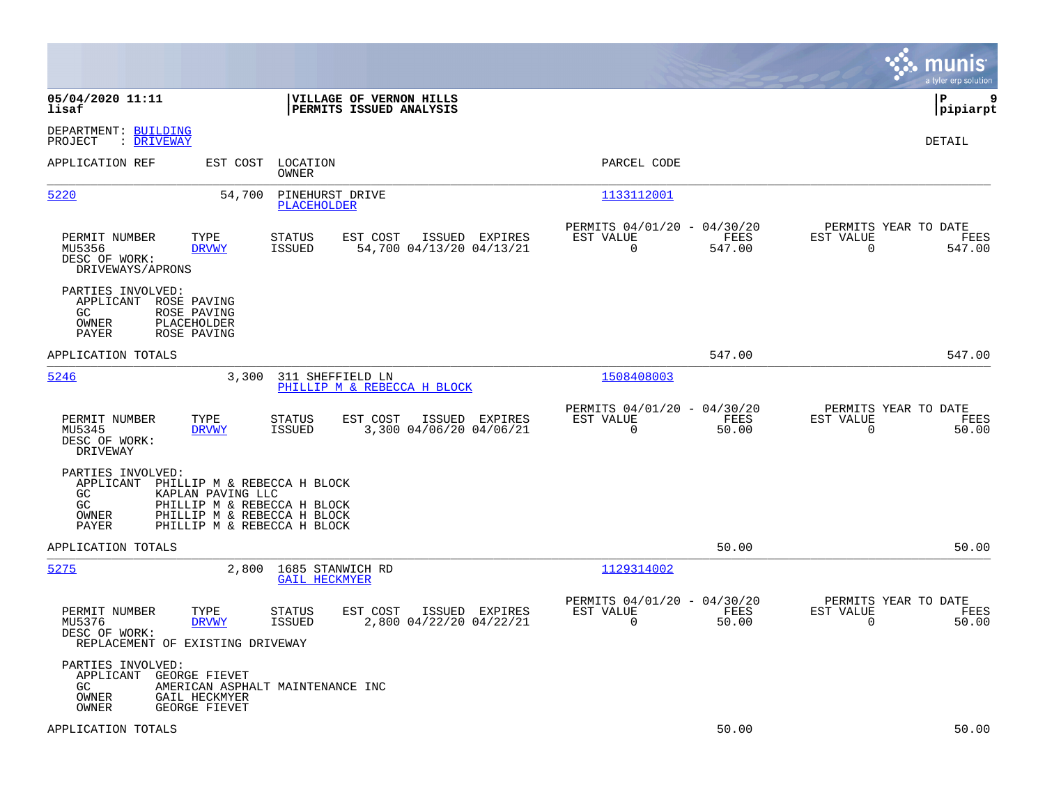|                                                                                                                                                                                                               |                                                                           | munis<br>a tyler erp solution                                         |
|---------------------------------------------------------------------------------------------------------------------------------------------------------------------------------------------------------------|---------------------------------------------------------------------------|-----------------------------------------------------------------------|
| 05/04/2020 11:11<br>VILLAGE OF VERNON HILLS<br>PERMITS ISSUED ANALYSIS<br>lisaf                                                                                                                               |                                                                           | lР<br>9<br> pipiarpt                                                  |
| DEPARTMENT: BUILDING<br>: DRIVEWAY<br>PROJECT                                                                                                                                                                 |                                                                           | <b>DETAIL</b>                                                         |
| APPLICATION REF<br>EST COST<br>LOCATION<br>OWNER                                                                                                                                                              | PARCEL CODE                                                               |                                                                       |
| 5220<br>54,700<br>PINEHURST DRIVE<br><b>PLACEHOLDER</b>                                                                                                                                                       | 1133112001                                                                |                                                                       |
| PERMIT NUMBER<br>TYPE<br><b>STATUS</b><br>EST COST<br>ISSUED EXPIRES<br>MU5356<br><b>DRVWY</b><br>ISSUED<br>54,700 04/13/20 04/13/21<br>DESC OF WORK:<br>DRIVEWAYS/APRONS                                     | PERMITS 04/01/20 - 04/30/20<br>EST VALUE<br>FEES<br>$\mathbf 0$<br>547.00 | PERMITS YEAR TO DATE<br>EST VALUE<br>FEES<br>$\overline{0}$<br>547.00 |
| PARTIES INVOLVED:<br>APPLICANT<br>ROSE PAVING<br>GC<br>ROSE PAVING<br>OWNER<br>PLACEHOLDER<br>PAYER<br>ROSE PAVING                                                                                            |                                                                           |                                                                       |
| APPLICATION TOTALS                                                                                                                                                                                            | 547.00                                                                    | 547.00                                                                |
| 5246<br>3,300<br>311 SHEFFIELD LN<br>PHILLIP M & REBECCA H BLOCK                                                                                                                                              | 1508408003                                                                |                                                                       |
| PERMIT NUMBER<br>TYPE<br><b>STATUS</b><br>EST COST<br>ISSUED EXPIRES<br>MU5345<br>ISSUED<br>3,300 04/06/20 04/06/21<br><b>DRVWY</b><br>DESC OF WORK:<br>DRIVEWAY                                              | PERMITS 04/01/20 - 04/30/20<br>EST VALUE<br>FEES<br>0<br>50.00            | PERMITS YEAR TO DATE<br>EST VALUE<br>FEES<br>$\mathbf 0$<br>50.00     |
| PARTIES INVOLVED:<br>APPLICANT<br>PHILLIP M & REBECCA H BLOCK<br>GC<br>KAPLAN PAVING LLC<br>GC<br>PHILLIP M & REBECCA H BLOCK<br>OWNER<br>PHILLIP M & REBECCA H BLOCK<br>PHILLIP M & REBECCA H BLOCK<br>PAYER |                                                                           |                                                                       |
| APPLICATION TOTALS                                                                                                                                                                                            | 50.00                                                                     | 50.00                                                                 |
| 5275<br>2,800<br>1685 STANWICH RD<br><b>GAIL HECKMYER</b>                                                                                                                                                     | 1129314002                                                                |                                                                       |
| PERMIT NUMBER<br>TYPE<br><b>STATUS</b><br>EST COST<br>ISSUED EXPIRES<br><b>ISSUED</b><br>2,800 04/22/20 04/22/21<br>MU5376<br><b>DRVWY</b><br>DESC OF WORK:<br>REPLACEMENT OF EXISTING DRIVEWAY               | PERMITS 04/01/20 - 04/30/20<br>EST VALUE<br>FEES<br>$\mathbf 0$<br>50.00  | PERMITS YEAR TO DATE<br>EST VALUE<br>FEES<br>$\mathbf 0$<br>50.00     |
| PARTIES INVOLVED:<br>APPLICANT<br>GEORGE FIEVET<br>GC.<br>AMERICAN ASPHALT MAINTENANCE INC<br>OWNER<br>GAIL HECKMYER<br>OWNER<br>GEORGE FIEVET                                                                |                                                                           |                                                                       |
| APPLICATION TOTALS                                                                                                                                                                                            | 50.00                                                                     | 50.00                                                                 |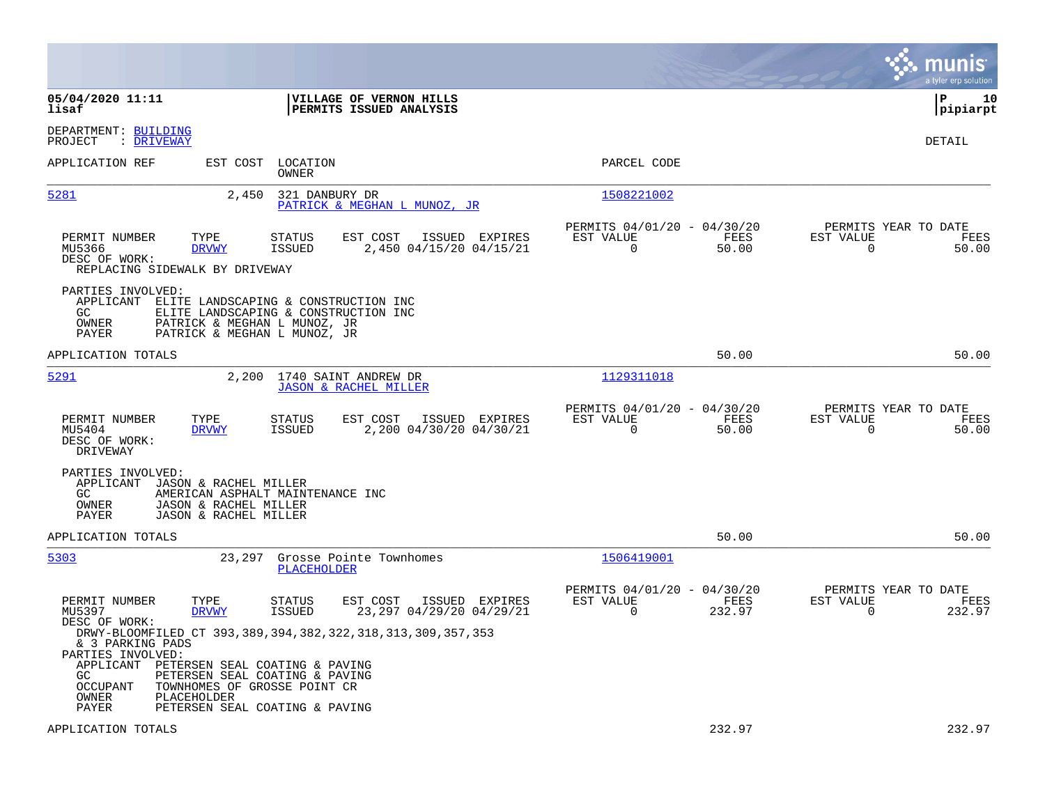|                                                                                                                                   |                                                                                                                                                                                                           |                                                                        | munis<br>a tyler erp solution                                      |
|-----------------------------------------------------------------------------------------------------------------------------------|-----------------------------------------------------------------------------------------------------------------------------------------------------------------------------------------------------------|------------------------------------------------------------------------|--------------------------------------------------------------------|
| 05/04/2020 11:11<br>lisaf                                                                                                         | VILLAGE OF VERNON HILLS<br>PERMITS ISSUED ANALYSIS                                                                                                                                                        |                                                                        | lР<br>10<br> pipiarpt                                              |
| DEPARTMENT: BUILDING<br>: <u>DRIVEWAY</u><br>PROJECT                                                                              |                                                                                                                                                                                                           |                                                                        | <b>DETAIL</b>                                                      |
| APPLICATION REF                                                                                                                   | EST COST LOCATION<br>OWNER                                                                                                                                                                                | PARCEL CODE                                                            |                                                                    |
| 5281                                                                                                                              | 321 DANBURY DR<br>2,450<br>PATRICK & MEGHAN L MUNOZ, JR                                                                                                                                                   | 1508221002                                                             |                                                                    |
| PERMIT NUMBER<br>TYPE<br>MU5366<br><b>DRVWY</b><br>DESC OF WORK:<br>REPLACING SIDEWALK BY DRIVEWAY                                | EST COST<br><b>STATUS</b><br>ISSUED EXPIRES<br>2,450 04/15/20 04/15/21<br>ISSUED                                                                                                                          | PERMITS 04/01/20 - 04/30/20<br>EST VALUE<br>FEES<br>0<br>50.00         | PERMITS YEAR TO DATE<br>EST VALUE<br>FEES<br>$\mathbf 0$<br>50.00  |
| PARTIES INVOLVED:<br>APPLICANT<br>GC.<br>OWNER<br>PAYER                                                                           | ELITE LANDSCAPING & CONSTRUCTION INC<br>ELITE LANDSCAPING & CONSTRUCTION INC<br>PATRICK & MEGHAN L MUNOZ, JR<br>PATRICK & MEGHAN L MUNOZ, JR                                                              |                                                                        |                                                                    |
| APPLICATION TOTALS                                                                                                                |                                                                                                                                                                                                           | 50.00                                                                  | 50.00                                                              |
| 5291                                                                                                                              | 2,200 1740 SAINT ANDREW DR<br><b>JASON &amp; RACHEL MILLER</b>                                                                                                                                            | 1129311018                                                             |                                                                    |
| TYPE<br>PERMIT NUMBER<br>MU5404<br><b>DRVWY</b><br>DESC OF WORK:<br>DRIVEWAY                                                      | EST COST<br>ISSUED EXPIRES<br>STATUS<br>2,200 04/30/20 04/30/21<br>ISSUED                                                                                                                                 | PERMITS 04/01/20 - 04/30/20<br>EST VALUE<br>FEES<br>$\Omega$<br>50.00  | PERMITS YEAR TO DATE<br>EST VALUE<br>FEES<br>0<br>50.00            |
| PARTIES INVOLVED:<br>JASON & RACHEL MILLER<br>APPLICANT<br>GC<br>OWNER<br>JASON & RACHEL MILLER<br>JASON & RACHEL MILLER<br>PAYER | AMERICAN ASPHALT MAINTENANCE INC                                                                                                                                                                          |                                                                        |                                                                    |
| APPLICATION TOTALS                                                                                                                |                                                                                                                                                                                                           | 50.00                                                                  | 50.00                                                              |
| 5303                                                                                                                              | 23,297<br>Grosse Pointe Townhomes<br><b>PLACEHOLDER</b>                                                                                                                                                   | 1506419001                                                             |                                                                    |
| PERMIT NUMBER<br>TYPE<br>MU5397<br><b>DRVWY</b><br>DESC OF WORK:                                                                  | EST COST<br>STATUS<br>ISSUED EXPIRES<br>ISSUED<br>23,297 04/29/20 04/29/21                                                                                                                                | PERMITS 04/01/20 - 04/30/20<br>EST VALUE<br>FEES<br>$\Omega$<br>232.97 | PERMITS YEAR TO DATE<br>EST VALUE<br>FEES<br>$\mathbf 0$<br>232.97 |
| & 3 PARKING PADS<br>PARTIES INVOLVED:<br>APPLICANT<br>GC.<br><b>OCCUPANT</b><br>OWNER<br>PLACEHOLDER<br>PAYER                     | DRWY-BLOOMFILED CT 393, 389, 394, 382, 322, 318, 313, 309, 357, 353<br>PETERSEN SEAL COATING & PAVING<br>PETERSEN SEAL COATING & PAVING<br>TOWNHOMES OF GROSSE POINT CR<br>PETERSEN SEAL COATING & PAVING |                                                                        |                                                                    |
| APPLICATION TOTALS                                                                                                                |                                                                                                                                                                                                           | 232.97                                                                 | 232.97                                                             |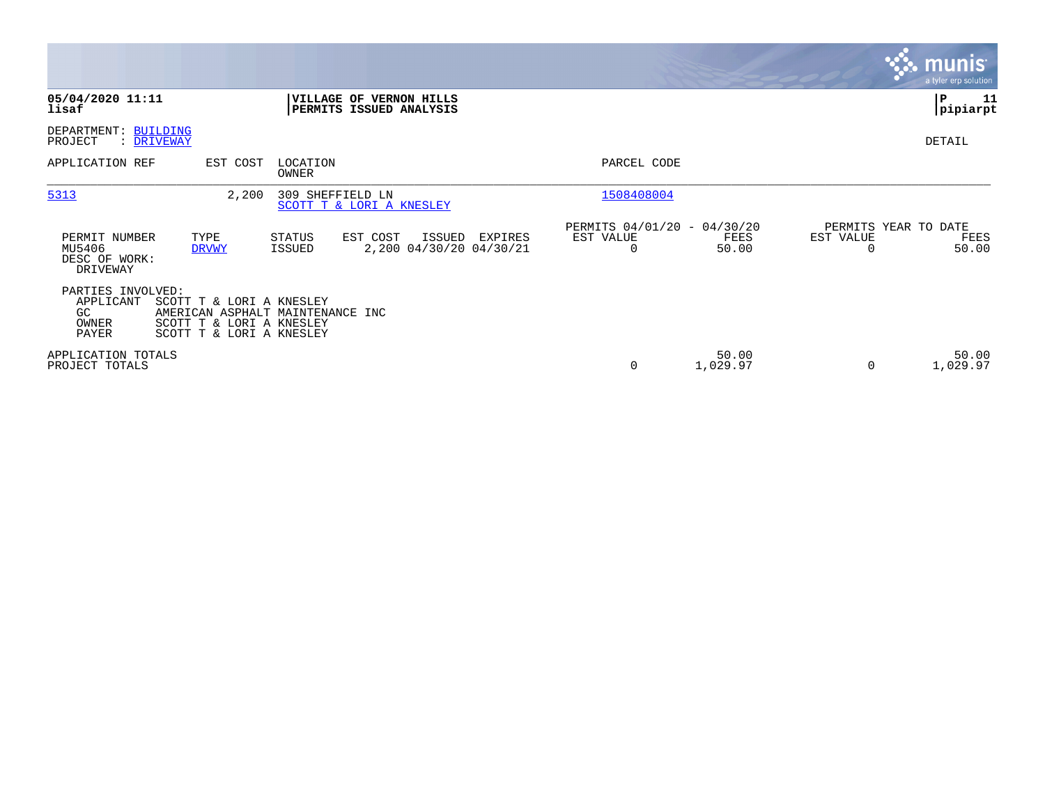|                                                         |                                                                                                                      |                   |                                                    |         |                                               |                   |                                        | <b>munis</b><br>a tyler erp solution |
|---------------------------------------------------------|----------------------------------------------------------------------------------------------------------------------|-------------------|----------------------------------------------------|---------|-----------------------------------------------|-------------------|----------------------------------------|--------------------------------------|
| 05/04/2020 11:11<br>lisaf                               |                                                                                                                      |                   | VILLAGE OF VERNON HILLS<br>PERMITS ISSUED ANALYSIS |         |                                               |                   |                                        | P<br>11<br> pipiarpt                 |
| DEPARTMENT: BUILDING<br>PROJECT                         | : DRIVEWAY                                                                                                           |                   |                                                    |         |                                               |                   |                                        | DETAIL                               |
| APPLICATION REF                                         | EST COST                                                                                                             | LOCATION<br>OWNER |                                                    |         | PARCEL CODE                                   |                   |                                        |                                      |
| 5313                                                    | 2,200                                                                                                                | 309 SHEFFIELD LN  | SCOTT T & LORI A KNESLEY                           |         | 1508408004                                    |                   |                                        |                                      |
| PERMIT NUMBER<br>MU5406<br>DESC OF WORK:<br>DRIVEWAY    | TYPE<br><b>DRVWY</b>                                                                                                 | STATUS<br>ISSUED  | EST COST<br>ISSUED<br>2,200 04/30/20 04/30/21      | EXPIRES | PERMITS 04/01/20 - 04/30/20<br>EST VALUE<br>0 | FEES<br>50.00     | PERMITS YEAR TO DATE<br>EST VALUE<br>0 | FEES<br>50.00                        |
| PARTIES INVOLVED:<br>APPLICANT<br>GC.<br>OWNER<br>PAYER | SCOTT T & LORI A KNESLEY<br>AMERICAN ASPHALT MAINTENANCE INC<br>SCOTT T & LORI A KNESLEY<br>SCOTT T & LORI A KNESLEY |                   |                                                    |         |                                               |                   |                                        |                                      |
| APPLICATION TOTALS<br>PROJECT TOTALS                    |                                                                                                                      |                   |                                                    |         | $\mathbf 0$                                   | 50.00<br>1,029.97 | $\Omega$                               | 50.00<br>1,029.97                    |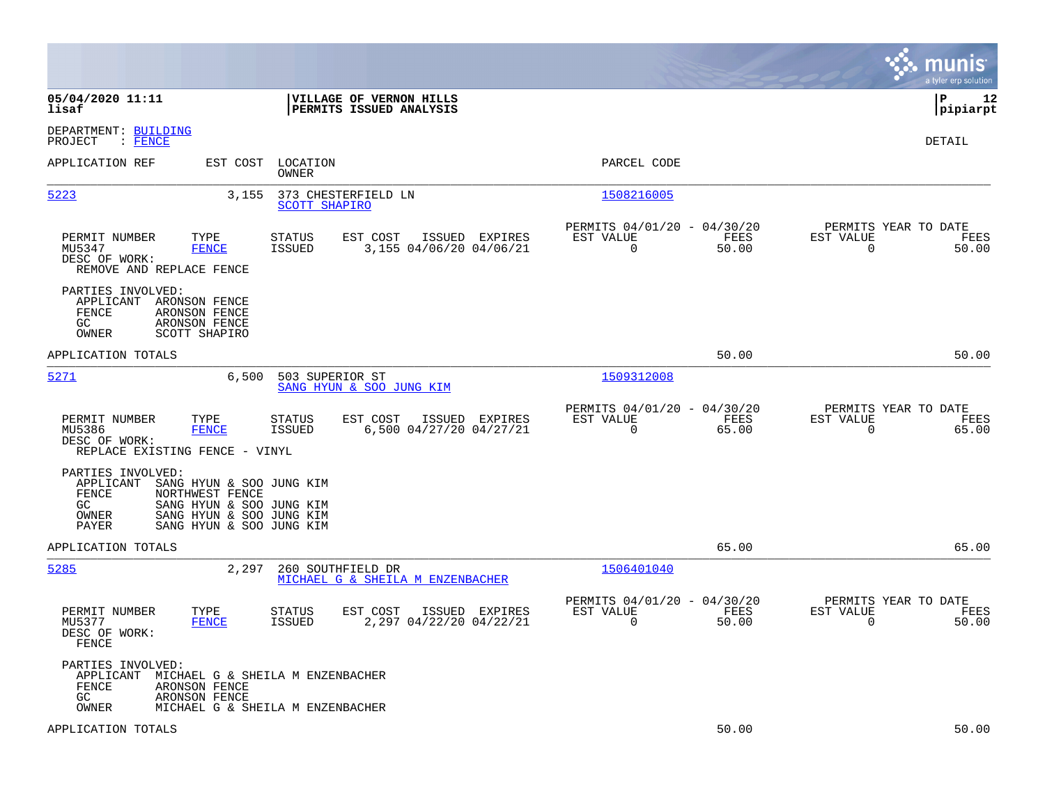|                                                                                                                                                                                                     |                                                                          | munis<br>a tyler erp solution                                     |
|-----------------------------------------------------------------------------------------------------------------------------------------------------------------------------------------------------|--------------------------------------------------------------------------|-------------------------------------------------------------------|
| 05/04/2020 11:11<br>VILLAGE OF VERNON HILLS<br>lisaf<br>PERMITS ISSUED ANALYSIS                                                                                                                     |                                                                          | l P<br>12<br> pipiarpt                                            |
| DEPARTMENT: BUILDING<br>$:$ FENCE<br>PROJECT                                                                                                                                                        |                                                                          | DETAIL                                                            |
| EST COST<br>LOCATION<br>APPLICATION REF<br>OWNER                                                                                                                                                    | PARCEL CODE                                                              |                                                                   |
| 5223<br>3,155<br>373 CHESTERFIELD LN<br><b>SCOTT SHAPIRO</b>                                                                                                                                        | 1508216005                                                               |                                                                   |
| PERMIT NUMBER<br>TYPE<br><b>STATUS</b><br>EST COST<br>ISSUED EXPIRES<br>3,155 04/06/20 04/06/21<br>MU5347<br><b>FENCE</b><br><b>ISSUED</b><br>DESC OF WORK:<br>REMOVE AND REPLACE FENCE             | PERMITS 04/01/20 - 04/30/20<br>EST VALUE<br>FEES<br>$\mathbf 0$<br>50.00 | PERMITS YEAR TO DATE<br>EST VALUE<br>FEES<br>$\mathbf 0$<br>50.00 |
| PARTIES INVOLVED:<br>APPLICANT<br>ARONSON FENCE<br>FENCE<br>ARONSON FENCE<br>GC.<br>ARONSON FENCE<br>OWNER<br>SCOTT SHAPIRO                                                                         |                                                                          |                                                                   |
| APPLICATION TOTALS                                                                                                                                                                                  | 50.00                                                                    | 50.00                                                             |
| 5271<br>6,500<br>503 SUPERIOR ST<br>SANG HYUN & SOO JUNG KIM                                                                                                                                        | 1509312008                                                               |                                                                   |
| PERMIT NUMBER<br>TYPE<br><b>STATUS</b><br>EST COST<br>ISSUED EXPIRES<br>MU5386<br><b>FENCE</b><br><b>ISSUED</b><br>6,500 04/27/20 04/27/21<br>DESC OF WORK:<br>REPLACE EXISTING FENCE - VINYL       | PERMITS 04/01/20 - 04/30/20<br>EST VALUE<br>FEES<br>$\mathbf 0$<br>65.00 | PERMITS YEAR TO DATE<br>EST VALUE<br>FEES<br>$\mathbf 0$<br>65.00 |
| PARTIES INVOLVED:<br>APPLICANT<br>SANG HYUN & SOO JUNG KIM<br>FENCE<br>NORTHWEST FENCE<br>GC.<br>SANG HYUN & SOO JUNG KIM<br>SANG HYUN & SOO JUNG KIM<br>OWNER<br>SANG HYUN & SOO JUNG KIM<br>PAYER |                                                                          |                                                                   |
| APPLICATION TOTALS                                                                                                                                                                                  | 65.00                                                                    | 65.00                                                             |
| 5285<br>2,297<br>260 SOUTHFIELD DR<br>MICHAEL G & SHEILA M ENZENBACHER                                                                                                                              | 1506401040                                                               |                                                                   |
| PERMIT NUMBER<br>TYPE<br><b>STATUS</b><br>EST COST<br>ISSUED EXPIRES<br><b>ISSUED</b><br>2,297 04/22/20 04/22/21<br>MU5377<br><b>FENCE</b><br>DESC OF WORK:<br>FENCE                                | PERMITS 04/01/20 - 04/30/20<br>EST VALUE<br>FEES<br>$\mathbf 0$<br>50.00 | PERMITS YEAR TO DATE<br>EST VALUE<br>FEES<br>$\mathbf 0$<br>50.00 |
| PARTIES INVOLVED:<br>APPLICANT<br>MICHAEL G & SHEILA M ENZENBACHER<br>FENCE<br>ARONSON FENCE<br>GC.<br>ARONSON FENCE<br>OWNER<br>MICHAEL G & SHEILA M ENZENBACHER                                   |                                                                          |                                                                   |
| APPLICATION TOTALS                                                                                                                                                                                  | 50.00                                                                    | 50.00                                                             |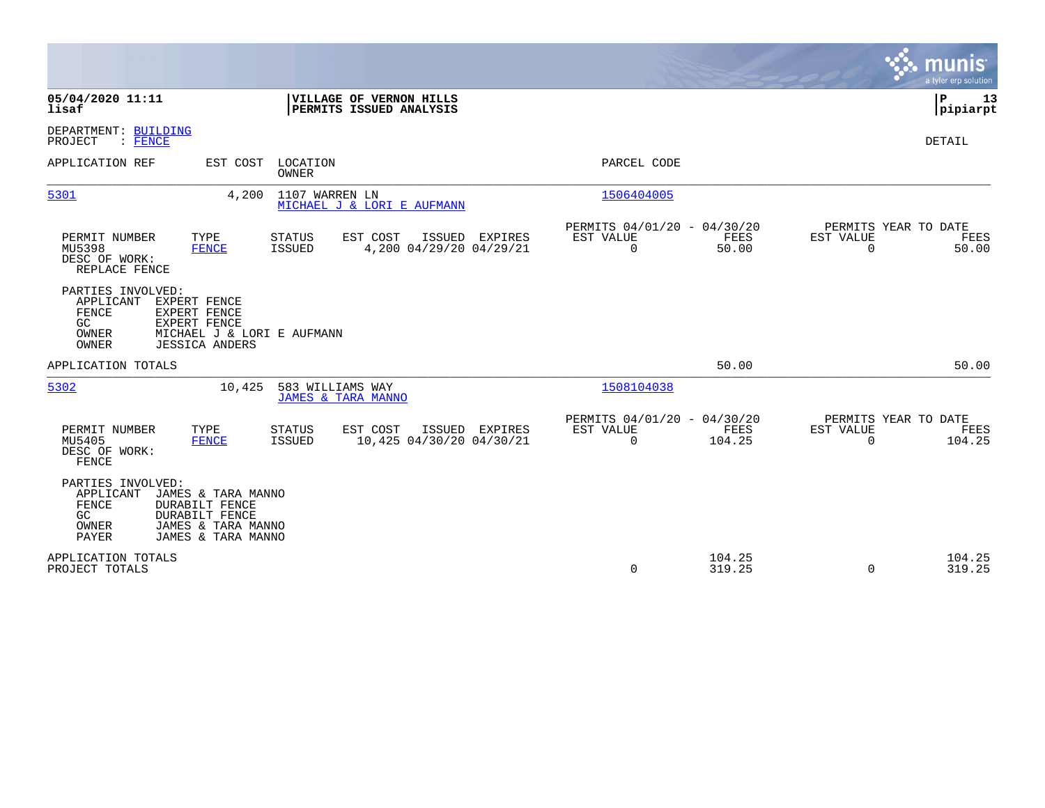|                                                                                                                                                                                            |                                                                          | munis<br>a tyler erp solution                                            |
|--------------------------------------------------------------------------------------------------------------------------------------------------------------------------------------------|--------------------------------------------------------------------------|--------------------------------------------------------------------------|
| 05/04/2020 11:11<br>VILLAGE OF VERNON HILLS<br>PERMITS ISSUED ANALYSIS<br>lisaf                                                                                                            |                                                                          | P<br>13<br> pipiarpt                                                     |
| DEPARTMENT: BUILDING<br>PROJECT<br>: FENCE                                                                                                                                                 |                                                                          | DETAIL                                                                   |
| APPLICATION REF<br>EST COST LOCATION<br><b>OWNER</b>                                                                                                                                       | PARCEL CODE                                                              |                                                                          |
| 5301<br>1107 WARREN LN<br>4,200<br>MICHAEL J & LORI E AUFMANN                                                                                                                              | 1506404005                                                               |                                                                          |
| TYPE<br>EST COST<br>ISSUED EXPIRES<br>PERMIT NUMBER<br><b>STATUS</b><br>4,200 04/29/20 04/29/21<br>MU5398<br><b>FENCE</b><br>ISSUED<br>DESC OF WORK:<br>REPLACE FENCE                      | PERMITS 04/01/20 - 04/30/20<br>EST VALUE<br>FEES<br>$\mathbf 0$<br>50.00 | PERMITS YEAR TO DATE<br><b>EST VALUE</b><br>FEES<br>$\mathbf 0$<br>50.00 |
| PARTIES INVOLVED:<br>APPLICANT<br>EXPERT FENCE<br>FENCE<br>EXPERT FENCE<br>EXPERT FENCE<br>GC.<br>OWNER<br>MICHAEL J & LORI E AUFMANN<br>OWNER<br><b>JESSICA ANDERS</b>                    |                                                                          |                                                                          |
| APPLICATION TOTALS                                                                                                                                                                         | 50.00                                                                    | 50.00                                                                    |
| 5302<br>10,425<br>583 WILLIAMS WAY<br><b>JAMES &amp; TARA MANNO</b>                                                                                                                        | 1508104038                                                               |                                                                          |
| TYPE<br>EST COST<br>PERMIT NUMBER<br><b>STATUS</b><br>ISSUED EXPIRES<br>10,425 04/30/20 04/30/21<br>MU5405<br><b>FENCE</b><br>ISSUED<br>DESC OF WORK:<br>FENCE                             | PERMITS 04/01/20 - 04/30/20<br>EST VALUE<br>FEES<br>$\Omega$<br>104.25   | PERMITS YEAR TO DATE<br>EST VALUE<br>FEES<br>$\Omega$<br>104.25          |
| PARTIES INVOLVED:<br>APPLICANT<br>JAMES & TARA MANNO<br><b>FENCE</b><br><b>DURABILT FENCE</b><br><b>DURABILT FENCE</b><br>GC<br>OWNER<br>JAMES & TARA MANNO<br>PAYER<br>JAMES & TARA MANNO |                                                                          |                                                                          |
| APPLICATION TOTALS<br>PROJECT TOTALS                                                                                                                                                       | 104.25<br>319.25<br>0                                                    | 104.25<br>319.25<br>$\Omega$                                             |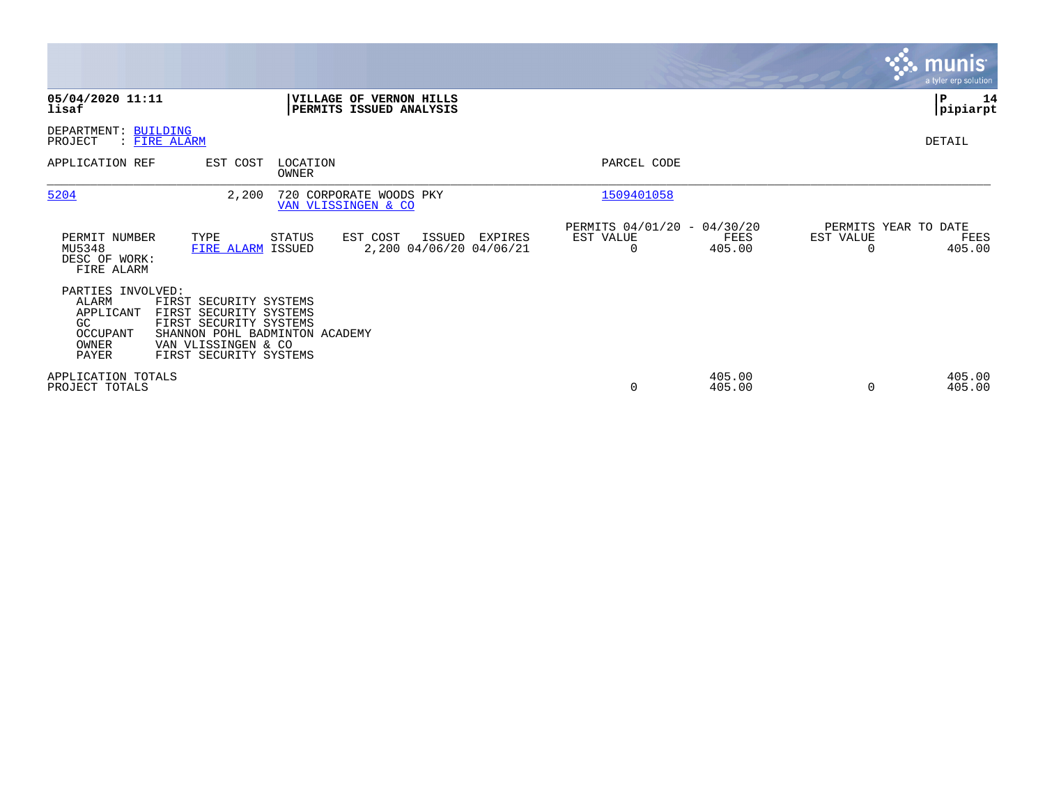|                                                                                     |                                                                                                                                                               |                   |                                                    |         |                                               |                  |                                   | <b>munis</b><br>a tyler erp solution |
|-------------------------------------------------------------------------------------|---------------------------------------------------------------------------------------------------------------------------------------------------------------|-------------------|----------------------------------------------------|---------|-----------------------------------------------|------------------|-----------------------------------|--------------------------------------|
| 05/04/2020 11:11<br>lisaf                                                           |                                                                                                                                                               |                   | VILLAGE OF VERNON HILLS<br>PERMITS ISSUED ANALYSIS |         |                                               |                  |                                   | lР<br>14<br> pipiarpt                |
| DEPARTMENT: BUILDING<br>PROJECT                                                     | : FIRE ALARM                                                                                                                                                  |                   |                                                    |         |                                               |                  |                                   | DETAIL                               |
| APPLICATION REF                                                                     | EST COST                                                                                                                                                      | LOCATION<br>OWNER |                                                    |         | PARCEL CODE                                   |                  |                                   |                                      |
| 5204                                                                                | 2,200                                                                                                                                                         |                   | 720 CORPORATE WOODS PKY<br>VAN VLISSINGEN & CO     |         | 1509401058                                    |                  |                                   |                                      |
| PERMIT NUMBER<br>MU5348<br>DESC OF WORK:<br>FIRE ALARM                              | TYPE<br>FIRE ALARM ISSUED                                                                                                                                     | STATUS            | EST COST<br>ISSUED<br>2,200 04/06/20 04/06/21      | EXPIRES | PERMITS 04/01/20 - 04/30/20<br>EST VALUE<br>0 | FEES<br>405.00   | PERMITS YEAR TO DATE<br>EST VALUE | FEES<br>405.00                       |
| PARTIES INVOLVED:<br><b>ALARM</b><br>APPLICANT<br>GC.<br>OCCUPANT<br>OWNER<br>PAYER | FIRST SECURITY SYSTEMS<br>FIRST SECURITY SYSTEMS<br>FIRST SECURITY SYSTEMS<br>SHANNON POHL BADMINTON ACADEMY<br>VAN VLISSINGEN & CO<br>FIRST SECURITY SYSTEMS |                   |                                                    |         |                                               |                  |                                   |                                      |
| APPLICATION TOTALS<br>PROJECT TOTALS                                                |                                                                                                                                                               |                   |                                                    |         | $\mathbf 0$                                   | 405.00<br>405.00 | $\Omega$                          | 405.00<br>405.00                     |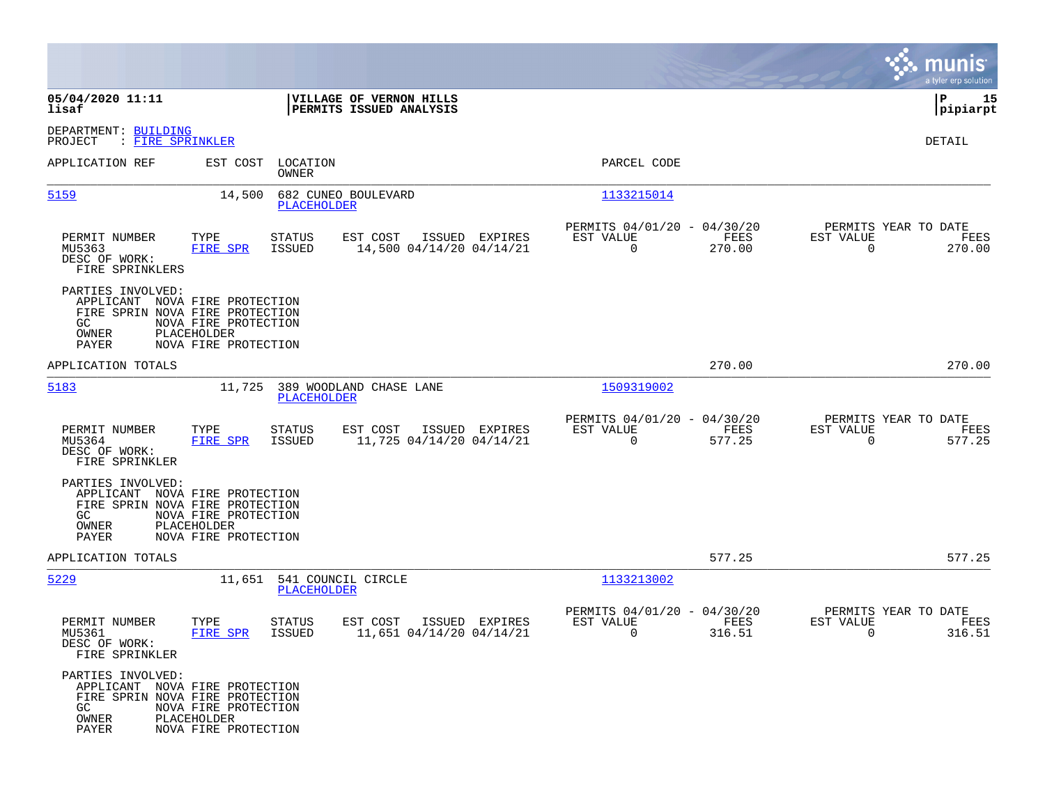|                                                                                                                |                                                             |                                          |                                                    |                |                                                         |                |                                                  | munis<br>a tyler erp solution |
|----------------------------------------------------------------------------------------------------------------|-------------------------------------------------------------|------------------------------------------|----------------------------------------------------|----------------|---------------------------------------------------------|----------------|--------------------------------------------------|-------------------------------|
| 05/04/2020 11:11<br>lisaf                                                                                      |                                                             |                                          | VILLAGE OF VERNON HILLS<br>PERMITS ISSUED ANALYSIS |                |                                                         |                |                                                  | 15<br> P<br> pipiarpt         |
| DEPARTMENT: BUILDING<br>PROJECT<br>: FIRE SPRINKLER                                                            |                                                             |                                          |                                                    |                |                                                         |                |                                                  | <b>DETAIL</b>                 |
| APPLICATION REF                                                                                                | EST COST                                                    | LOCATION<br>OWNER                        |                                                    |                | PARCEL CODE                                             |                |                                                  |                               |
| 5159                                                                                                           | 14,500                                                      | <b>PLACEHOLDER</b>                       | 682 CUNEO BOULEVARD                                |                | 1133215014                                              |                |                                                  |                               |
| PERMIT NUMBER<br>MU5363<br>DESC OF WORK:<br>FIRE SPRINKLERS                                                    | TYPE<br>FIRE SPR                                            | STATUS<br>ISSUED                         | EST COST<br>14,500 04/14/20 04/14/21               | ISSUED EXPIRES | PERMITS 04/01/20 - 04/30/20<br>EST VALUE<br>$\mathbf 0$ | FEES<br>270.00 | PERMITS YEAR TO DATE<br>EST VALUE<br>$\Omega$    | FEES<br>270.00                |
| PARTIES INVOLVED:<br>APPLICANT NOVA FIRE PROTECTION<br>FIRE SPRIN NOVA FIRE PROTECTION<br>GC<br>OWNER<br>PAYER | NOVA FIRE PROTECTION<br>PLACEHOLDER<br>NOVA FIRE PROTECTION |                                          |                                                    |                |                                                         |                |                                                  |                               |
| APPLICATION TOTALS                                                                                             |                                                             |                                          |                                                    |                |                                                         | 270.00         |                                                  | 270.00                        |
| 5183                                                                                                           | 11,725                                                      | PLACEHOLDER                              | 389 WOODLAND CHASE LANE                            |                | 1509319002                                              |                |                                                  |                               |
| PERMIT NUMBER<br>MU5364<br>DESC OF WORK:<br>FIRE SPRINKLER                                                     | TYPE<br><b>FIRE SPR</b>                                     | <b>STATUS</b><br>ISSUED                  | EST COST<br>11,725 04/14/20 04/14/21               | ISSUED EXPIRES | PERMITS 04/01/20 - 04/30/20<br>EST VALUE<br>$\mathbf 0$ | FEES<br>577.25 | PERMITS YEAR TO DATE<br>EST VALUE<br>$\Omega$    | FEES<br>577.25                |
| PARTIES INVOLVED:<br>APPLICANT NOVA FIRE PROTECTION<br>FIRE SPRIN NOVA FIRE PROTECTION<br>GC<br>OWNER<br>PAYER | NOVA FIRE PROTECTION<br>PLACEHOLDER<br>NOVA FIRE PROTECTION |                                          |                                                    |                |                                                         |                |                                                  |                               |
| APPLICATION TOTALS                                                                                             |                                                             |                                          |                                                    |                |                                                         | 577.25         |                                                  | 577.25                        |
| 5229                                                                                                           |                                                             | 11,651 541 COUNCIL CIRCLE<br>PLACEHOLDER |                                                    |                | 1133213002                                              |                |                                                  |                               |
| PERMIT NUMBER<br>MU5361<br>DESC OF WORK:<br>FIRE SPRINKLER                                                     | TYPE<br>FIRE SPR                                            | STATUS<br>ISSUED                         | EST COST<br>11,651 04/14/20 04/14/21               | ISSUED EXPIRES | PERMITS 04/01/20 - 04/30/20<br>EST VALUE<br>$\mathbf 0$ | FEES<br>316.51 | PERMITS YEAR TO DATE<br>EST VALUE<br>$\mathbf 0$ | FEES<br>316.51                |
| PARTIES INVOLVED:<br>APPLICANT NOVA FIRE PROTECTION<br>FIRE SPRIN NOVA FIRE PROTECTION<br>GC<br>OWNER<br>PAYER | NOVA FIRE PROTECTION<br>PLACEHOLDER<br>NOVA FIRE PROTECTION |                                          |                                                    |                |                                                         |                |                                                  |                               |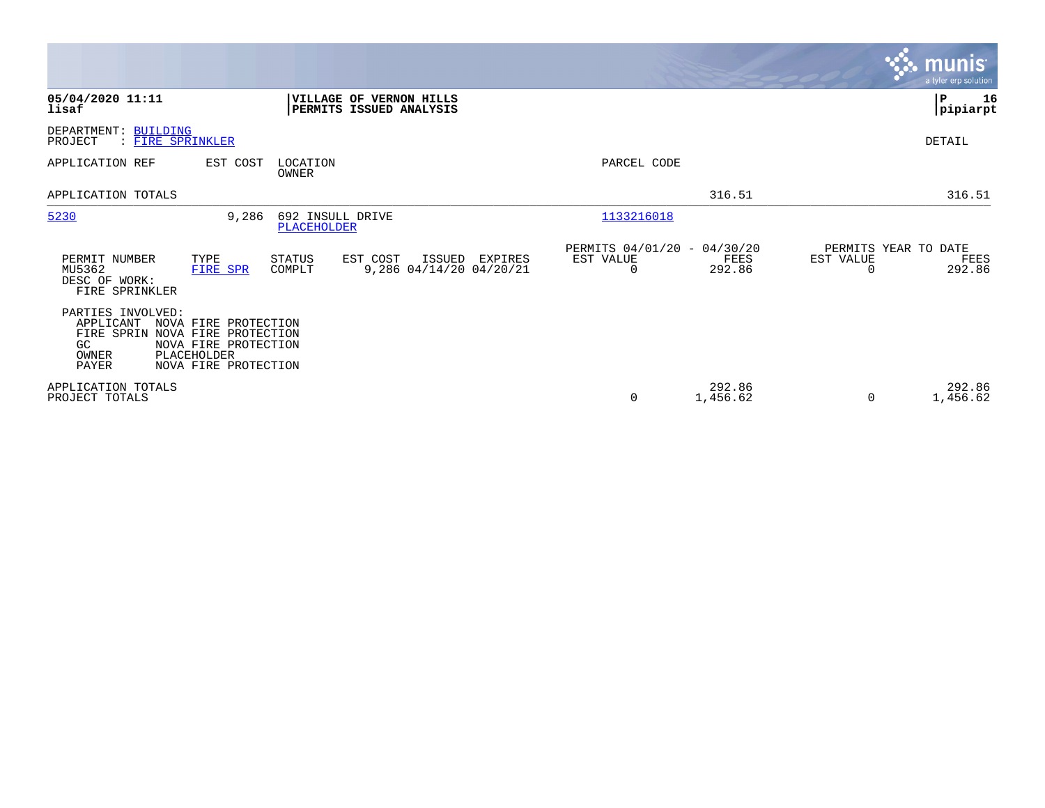|                                                                                      |                                                                                              |                                        |                                                    |         |                                               |                    |                                   | <b>munis</b><br>a tyler erp solution |
|--------------------------------------------------------------------------------------|----------------------------------------------------------------------------------------------|----------------------------------------|----------------------------------------------------|---------|-----------------------------------------------|--------------------|-----------------------------------|--------------------------------------|
| 05/04/2020 11:11<br>lisaf                                                            |                                                                                              |                                        | VILLAGE OF VERNON HILLS<br>PERMITS ISSUED ANALYSIS |         |                                               |                    |                                   | ∣₽<br>16<br> pipiarpt                |
| DEPARTMENT: BUILDING<br>: FIRE SPRINKLER<br>PROJECT                                  |                                                                                              |                                        |                                                    |         |                                               |                    |                                   | DETAIL                               |
| APPLICATION REF                                                                      | EST COST                                                                                     | LOCATION<br>OWNER                      |                                                    |         | PARCEL CODE                                   |                    |                                   |                                      |
| APPLICATION TOTALS                                                                   |                                                                                              |                                        |                                                    |         |                                               | 316.51             |                                   | 316.51                               |
| 5230                                                                                 | 9,286                                                                                        | 692 INSULL DRIVE<br><b>PLACEHOLDER</b> |                                                    |         | 1133216018                                    |                    |                                   |                                      |
| PERMIT NUMBER<br>MU5362<br>DESC OF WORK:<br>FIRE SPRINKLER                           | TYPE<br>FIRE SPR                                                                             | <b>STATUS</b><br>COMPLT                | EST COST<br>ISSUED<br>9,286 04/14/20 04/20/21      | EXPIRES | PERMITS 04/01/20 - 04/30/20<br>EST VALUE<br>0 | FEES<br>292.86     | PERMITS YEAR TO DATE<br>EST VALUE | FEES<br>292.86                       |
| PARTIES INVOLVED:<br>APPLICANT<br>FIRE SPRIN<br>GC.<br>PLACEHOLDER<br>OWNER<br>PAYER | NOVA FIRE PROTECTION<br>NOVA FIRE PROTECTION<br>NOVA FIRE PROTECTION<br>NOVA FIRE PROTECTION |                                        |                                                    |         |                                               |                    |                                   |                                      |
| APPLICATION TOTALS<br>PROJECT TOTALS                                                 |                                                                                              |                                        |                                                    |         | 0                                             | 292.86<br>1,456.62 | $\Omega$                          | 292.86<br>1,456.62                   |

 $\mathcal{L}^{\text{max}}$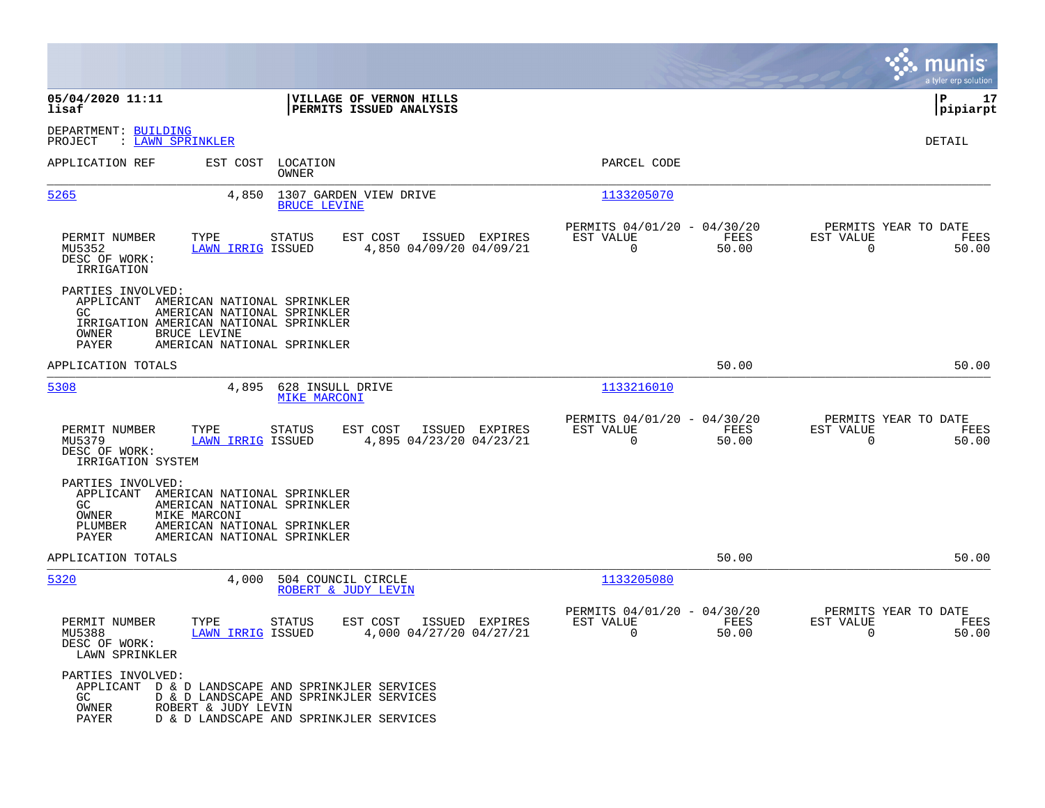|                                                                                                                                               |                                                                                                                               |                                                                          | munis<br>a tyler erp solution                                     |
|-----------------------------------------------------------------------------------------------------------------------------------------------|-------------------------------------------------------------------------------------------------------------------------------|--------------------------------------------------------------------------|-------------------------------------------------------------------|
| 05/04/2020 11:11<br>lisaf                                                                                                                     | VILLAGE OF VERNON HILLS<br>PERMITS ISSUED ANALYSIS                                                                            |                                                                          | ∣P<br>17<br> pipiarpt                                             |
| DEPARTMENT: BUILDING<br>: LAWN SPRINKLER<br>PROJECT                                                                                           |                                                                                                                               |                                                                          | DETAIL                                                            |
| APPLICATION REF                                                                                                                               | EST COST<br>LOCATION<br>OWNER                                                                                                 | PARCEL CODE                                                              |                                                                   |
| 5265                                                                                                                                          | 4,850<br>1307 GARDEN VIEW DRIVE<br><b>BRUCE LEVINE</b>                                                                        | 1133205070                                                               |                                                                   |
| PERMIT NUMBER<br>TYPE<br>MU5352<br>DESC OF WORK:<br>IRRIGATION                                                                                | <b>STATUS</b><br>EST COST<br>ISSUED EXPIRES<br><b>LAWN IRRIG ISSUED</b><br>4,850 04/09/20 04/09/21                            | PERMITS 04/01/20 - 04/30/20<br>EST VALUE<br>FEES<br>$\Omega$<br>50.00    | PERMITS YEAR TO DATE<br>EST VALUE<br>FEES<br>$\Omega$<br>50.00    |
| PARTIES INVOLVED:<br>APPLICANT AMERICAN NATIONAL SPRINKLER<br>GC.<br>IRRIGATION AMERICAN NATIONAL SPRINKLER<br>BRUCE LEVINE<br>OWNER<br>PAYER | AMERICAN NATIONAL SPRINKLER<br>AMERICAN NATIONAL SPRINKLER                                                                    |                                                                          |                                                                   |
| APPLICATION TOTALS                                                                                                                            |                                                                                                                               | 50.00                                                                    | 50.00                                                             |
| 5308                                                                                                                                          | 4,895<br>628 INSULL DRIVE<br><b>MIKE MARCONI</b>                                                                              | 1133216010                                                               |                                                                   |
| PERMIT NUMBER<br>TYPE<br>MU5379<br>DESC OF WORK:<br>IRRIGATION SYSTEM                                                                         | EST COST<br>ISSUED EXPIRES<br>STATUS<br>LAWN IRRIG ISSUED<br>4,895 04/23/20 04/23/21                                          | PERMITS 04/01/20 - 04/30/20<br>EST VALUE<br>FEES<br>$\mathbf 0$<br>50.00 | PERMITS YEAR TO DATE<br>EST VALUE<br>FEES<br>$\mathbf 0$<br>50.00 |
| PARTIES INVOLVED:<br>APPLICANT AMERICAN NATIONAL SPRINKLER<br>GC.<br>OWNER<br>MIKE MARCONI<br>PLUMBER<br>PAYER                                | AMERICAN NATIONAL SPRINKLER<br>AMERICAN NATIONAL SPRINKLER<br>AMERICAN NATIONAL SPRINKLER                                     |                                                                          |                                                                   |
| APPLICATION TOTALS                                                                                                                            |                                                                                                                               | 50.00                                                                    | 50.00                                                             |
| 5320                                                                                                                                          | 4,000<br>504 COUNCIL CIRCLE<br>ROBERT & JUDY LEVIN                                                                            | 1133205080                                                               |                                                                   |
| PERMIT NUMBER<br>TYPE<br>MU5388<br>DESC OF WORK:<br>LAWN SPRINKLER                                                                            | <b>STATUS</b><br>EST COST<br>ISSUED EXPIRES<br><b>LAWN IRRIG ISSUED</b><br>4,000 04/27/20 04/27/21                            | PERMITS 04/01/20 - 04/30/20<br>EST VALUE<br>FEES<br>$\mathbf 0$<br>50.00 | PERMITS YEAR TO DATE<br>EST VALUE<br>FEES<br>$\mathbf 0$<br>50.00 |
| PARTIES INVOLVED:<br>APPLICANT<br>GC.<br>OWNER<br>ROBERT & JUDY LEVIN<br>PAYER                                                                | D & D LANDSCAPE AND SPRINKJLER SERVICES<br>D & D LANDSCAPE AND SPRINKJLER SERVICES<br>D & D LANDSCAPE AND SPRINKJLER SERVICES |                                                                          |                                                                   |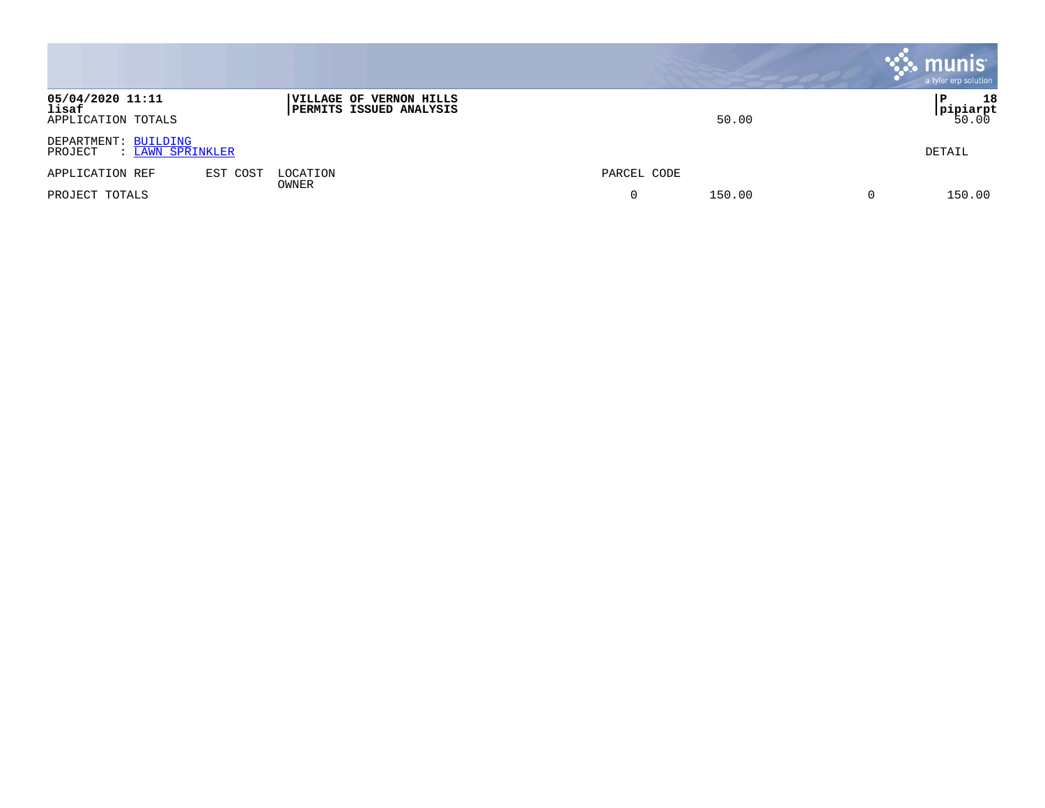|                                                     |                                                           |             | <b>munis</b><br>a tyler erp solution |
|-----------------------------------------------------|-----------------------------------------------------------|-------------|--------------------------------------|
| 05/04/2020 11:11<br>lisaf<br>APPLICATION TOTALS     | VILLAGE OF VERNON HILLS<br><b>PERMITS ISSUED ANALYSIS</b> | 50.00       | 18<br>P<br><b>pipiarpt </b><br>50.00 |
| DEPARTMENT: BUILDING<br>: LAWN SPRINKLER<br>PROJECT |                                                           |             | DETAIL                               |
| EST COST<br>APPLICATION REF                         | LOCATION<br>OWNER                                         | PARCEL CODE |                                      |
| PROJECT TOTALS                                      |                                                           | 150.00<br>0 | 0<br>150.00                          |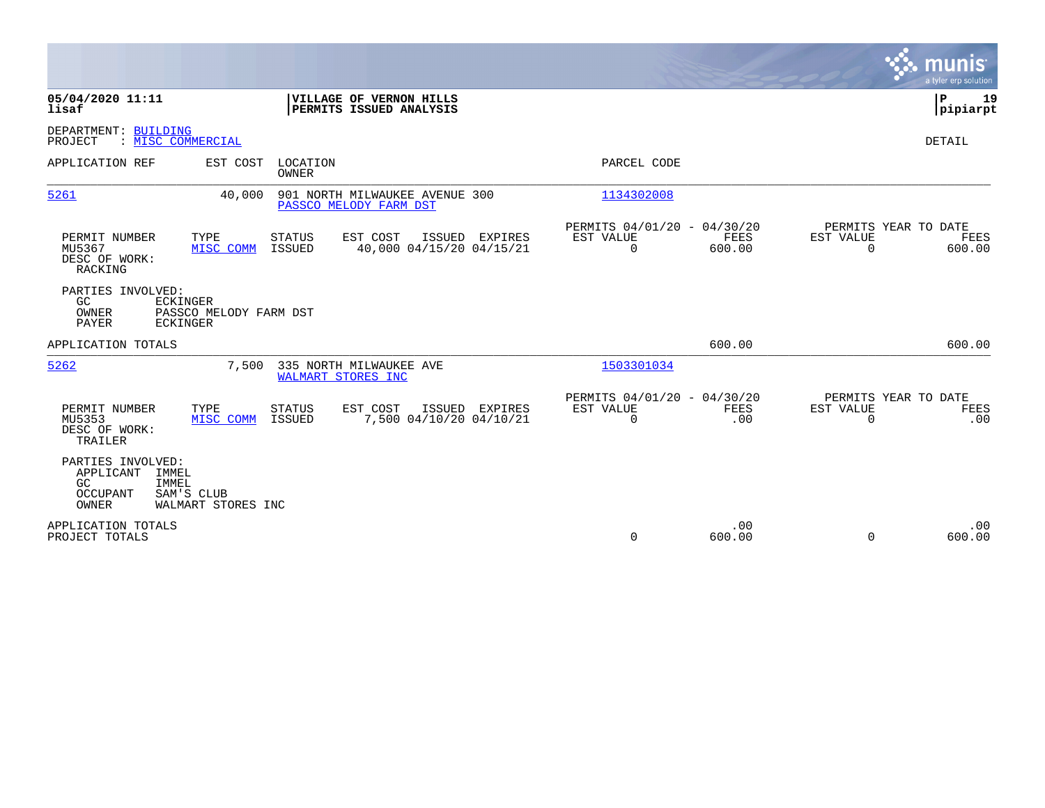|                                                                                                                                             |                |                                                         |                    |                                                  | munis<br>a tyler erp solution |
|---------------------------------------------------------------------------------------------------------------------------------------------|----------------|---------------------------------------------------------|--------------------|--------------------------------------------------|-------------------------------|
| 05/04/2020 11:11<br>VILLAGE OF VERNON HILLS<br>lisaf<br>PERMITS ISSUED ANALYSIS                                                             |                |                                                         |                    |                                                  | P<br>19<br> pipiarpt          |
| DEPARTMENT: BUILDING<br>: MISC COMMERCIAL<br>PROJECT                                                                                        |                |                                                         |                    |                                                  | DETAIL                        |
| APPLICATION REF<br>EST COST<br>LOCATION<br><b>OWNER</b>                                                                                     |                | PARCEL CODE                                             |                    |                                                  |                               |
| 5261<br>40,000<br>901 NORTH MILWAUKEE AVENUE 300<br>PASSCO MELODY FARM DST                                                                  |                | 1134302008                                              |                    |                                                  |                               |
| PERMIT NUMBER<br>TYPE<br><b>STATUS</b><br>EST COST<br>40,000 04/15/20 04/15/21<br>MU5367<br>ISSUED<br>MISC COMM<br>DESC OF WORK:<br>RACKING | ISSUED EXPIRES | PERMITS 04/01/20 - 04/30/20<br>EST VALUE<br>$\mathbf 0$ | FEES<br>600.00     | PERMITS YEAR TO DATE<br>EST VALUE<br>$\mathbf 0$ | FEES<br>600.00                |
| PARTIES INVOLVED:<br>GC<br><b>ECKINGER</b><br>OWNER<br>PASSCO MELODY FARM DST<br><b>ECKINGER</b><br>PAYER                                   |                |                                                         |                    |                                                  |                               |
| APPLICATION TOTALS                                                                                                                          |                |                                                         | 600.00             |                                                  | 600.00                        |
| 5262<br>7,500<br>335 NORTH MILWAUKEE AVE<br>WALMART STORES INC                                                                              |                | 1503301034                                              |                    |                                                  |                               |
| PERMIT NUMBER<br>TYPE<br><b>STATUS</b><br>EST COST<br>MU5353<br>ISSUED<br>7,500 04/10/20 04/10/21<br>MISC COMM<br>DESC OF WORK:<br>TRAILER  | ISSUED EXPIRES | PERMITS 04/01/20 - 04/30/20<br>EST VALUE<br>$\mathbf 0$ | <b>FEES</b><br>.00 | PERMITS YEAR TO DATE<br>EST VALUE<br>0           | FEES<br>.00                   |
| PARTIES INVOLVED:<br>APPLICANT<br>IMMEL<br>GC<br>IMMEL<br><b>OCCUPANT</b><br>SAM'S CLUB<br>OWNER<br>WALMART STORES INC                      |                |                                                         |                    |                                                  |                               |
| APPLICATION TOTALS<br>PROJECT TOTALS                                                                                                        |                | $\mathbf 0$                                             | .00<br>600.00      | 0                                                | .00<br>600.00                 |

 $\mathcal{L}^{\text{max}}$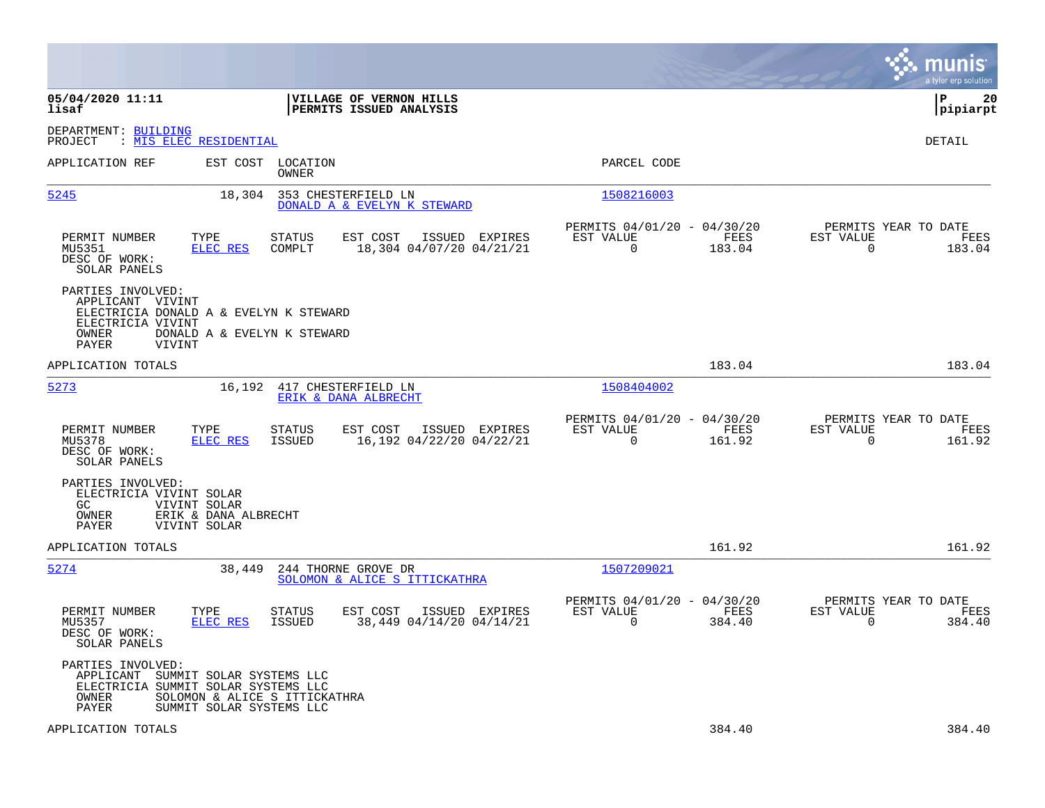|                                                                                                                                  |                                                                                                      |                                                                        | munis<br>a tyler erp solution                                      |
|----------------------------------------------------------------------------------------------------------------------------------|------------------------------------------------------------------------------------------------------|------------------------------------------------------------------------|--------------------------------------------------------------------|
| 05/04/2020 11:11<br>lisaf                                                                                                        | VILLAGE OF VERNON HILLS<br>PERMITS ISSUED ANALYSIS                                                   |                                                                        | ΙP<br>20<br> pipiarpt                                              |
| DEPARTMENT: BUILDING<br>PROJECT<br>: <u>MIS ELEC RESIDENTIAL</u>                                                                 |                                                                                                      |                                                                        | DETAIL                                                             |
| APPLICATION REF                                                                                                                  | EST COST<br>LOCATION<br>OWNER                                                                        | PARCEL CODE                                                            |                                                                    |
| 5245                                                                                                                             | 18,304<br>353 CHESTERFIELD LN<br>DONALD A & EVELYN K STEWARD                                         | 1508216003                                                             |                                                                    |
| TYPE<br>PERMIT NUMBER<br>MU5351<br>DESC OF WORK:<br>SOLAR PANELS                                                                 | STATUS<br>EST COST<br>ISSUED EXPIRES<br><b>ELEC RES</b><br>COMPLT<br>18,304 04/07/20 04/21/21        | PERMITS 04/01/20 - 04/30/20<br>EST VALUE<br>FEES<br>$\Omega$<br>183.04 | PERMITS YEAR TO DATE<br>EST VALUE<br>FEES<br>$\Omega$<br>183.04    |
| PARTIES INVOLVED:<br>APPLICANT VIVINT<br>ELECTRICIA DONALD A & EVELYN K STEWARD<br>ELECTRICIA VIVINT<br>OWNER<br>PAYER<br>VIVINT | DONALD A & EVELYN K STEWARD                                                                          |                                                                        |                                                                    |
| APPLICATION TOTALS                                                                                                               |                                                                                                      | 183.04                                                                 | 183.04                                                             |
| 5273                                                                                                                             | 16,192<br>417 CHESTERFIELD LN<br>ERIK & DANA ALBRECHT                                                | 1508404002                                                             |                                                                    |
| PERMIT NUMBER<br>TYPE<br>MU5378<br>DESC OF WORK:<br>SOLAR PANELS                                                                 | STATUS<br>EST COST<br>ISSUED EXPIRES<br>16,192 04/22/20 04/22/21<br>ELEC RES<br>ISSUED               | PERMITS 04/01/20 - 04/30/20<br>EST VALUE<br>FEES<br>$\Omega$<br>161.92 | PERMITS YEAR TO DATE<br>EST VALUE<br>FEES<br>$\mathbf 0$<br>161.92 |
| PARTIES INVOLVED:<br>ELECTRICIA VIVINT SOLAR<br>GC.<br>VIVINT SOLAR<br>OWNER<br>VIVINT SOLAR<br>PAYER                            | ERIK & DANA ALBRECHT                                                                                 |                                                                        |                                                                    |
| APPLICATION TOTALS                                                                                                               |                                                                                                      | 161.92                                                                 | 161.92                                                             |
| 5274                                                                                                                             | 244 THORNE GROVE DR<br>38,449<br>SOLOMON & ALICE S ITTICKATHRA                                       | 1507209021                                                             |                                                                    |
| PERMIT NUMBER<br>TYPE<br>MU5357<br>DESC OF WORK:<br>SOLAR PANELS                                                                 | <b>STATUS</b><br>EST COST<br>ISSUED EXPIRES<br>ELEC RES<br>38,449 04/14/20 04/14/21<br><b>ISSUED</b> | PERMITS 04/01/20 - 04/30/20<br>EST VALUE<br>FEES<br>$\Omega$<br>384.40 | PERMITS YEAR TO DATE<br>EST VALUE<br>FEES<br>$\Omega$<br>384.40    |
| PARTIES INVOLVED:<br>APPLICANT<br>ELECTRICIA SUMMIT SOLAR SYSTEMS LLC<br>OWNER<br>PAYER                                          | SUMMIT SOLAR SYSTEMS LLC<br>SOLOMON & ALICE S ITTICKATHRA<br>SUMMIT SOLAR SYSTEMS LLC                |                                                                        |                                                                    |
| APPLICATION TOTALS                                                                                                               |                                                                                                      | 384.40                                                                 | 384.40                                                             |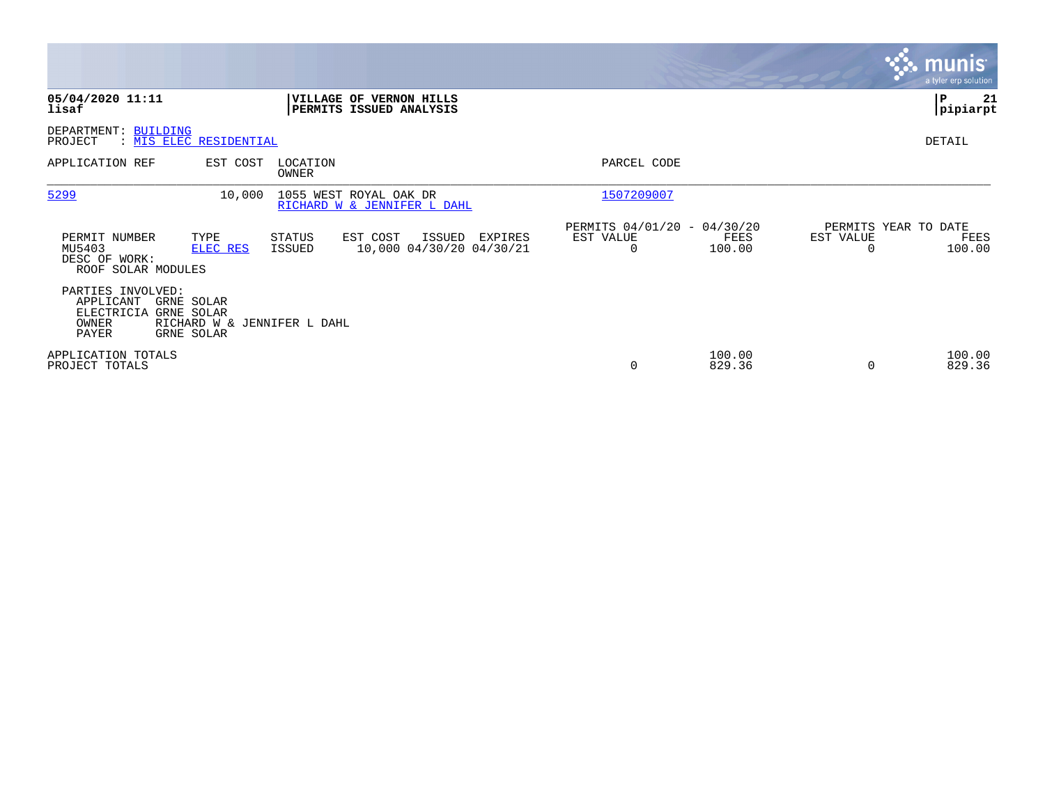|                                                                |                                                                       |                         |                                                       |         |                                               |                  |           | <b>munis</b><br>a tyler erp solution   |
|----------------------------------------------------------------|-----------------------------------------------------------------------|-------------------------|-------------------------------------------------------|---------|-----------------------------------------------|------------------|-----------|----------------------------------------|
| 05/04/2020 11:11<br>lisaf                                      |                                                                       |                         | VILLAGE OF VERNON HILLS<br>PERMITS ISSUED ANALYSIS    |         |                                               |                  |           | 21<br>P<br> pipiarpt                   |
| DEPARTMENT: BUILDING<br>PROJECT                                | : MIS ELEC RESIDENTIAL                                                |                         |                                                       |         |                                               |                  |           | DETAIL                                 |
| APPLICATION REF                                                | EST COST                                                              | LOCATION<br>OWNER       |                                                       |         | PARCEL CODE                                   |                  |           |                                        |
| 5299                                                           | 10,000                                                                |                         | 1055 WEST ROYAL OAK DR<br>RICHARD W & JENNIFER L DAHL |         | 1507209007                                    |                  |           |                                        |
| PERMIT NUMBER<br>MU5403<br>DESC OF WORK:<br>ROOF SOLAR MODULES | TYPE<br>ELEC RES                                                      | STATUS<br><b>ISSUED</b> | EST COST<br>ISSUED<br>10,000 04/30/20 04/30/21        | EXPIRES | PERMITS 04/01/20 - 04/30/20<br>EST VALUE<br>0 | FEES<br>100.00   | EST VALUE | PERMITS YEAR TO DATE<br>FEES<br>100.00 |
| PARTIES INVOLVED:<br>APPLICANT<br>ELECTRICIA<br>OWNER<br>PAYER | GRNE SOLAR<br>GRNE SOLAR<br>RICHARD W & JENNIFER L DAHL<br>GRNE SOLAR |                         |                                                       |         |                                               |                  |           |                                        |
| APPLICATION TOTALS<br>PROJECT TOTALS                           |                                                                       |                         |                                                       |         | 0                                             | 100.00<br>829.36 | $\Omega$  | 100.00<br>829.36                       |

 $\mathcal{L}^{\text{max}}$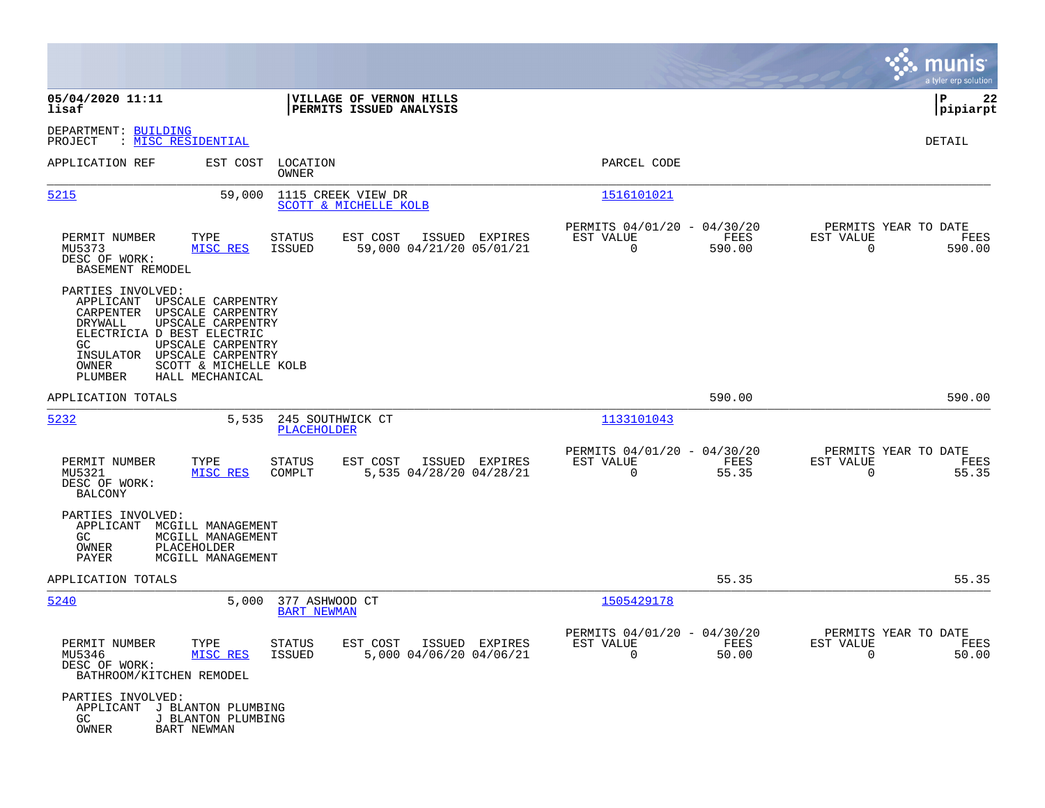|                                                                                                                                                                                                                                                                             |                                                                                   |                                                                              | munis<br>a tyler erp solution                                         |
|-----------------------------------------------------------------------------------------------------------------------------------------------------------------------------------------------------------------------------------------------------------------------------|-----------------------------------------------------------------------------------|------------------------------------------------------------------------------|-----------------------------------------------------------------------|
| 05/04/2020 11:11<br>lisaf                                                                                                                                                                                                                                                   | VILLAGE OF VERNON HILLS<br>PERMITS ISSUED ANALYSIS                                |                                                                              | ΙP<br>22<br> pipiarpt                                                 |
| DEPARTMENT: BUILDING<br>PROJECT<br>: MISC RESIDENTIAL                                                                                                                                                                                                                       |                                                                                   |                                                                              | DETAIL                                                                |
| APPLICATION REF<br>EST COST                                                                                                                                                                                                                                                 | LOCATION<br>OWNER                                                                 | PARCEL CODE                                                                  |                                                                       |
| 5215<br>59,000                                                                                                                                                                                                                                                              | 1115 CREEK VIEW DR<br>SCOTT & MICHELLE KOLB                                       | 1516101021                                                                   |                                                                       |
| PERMIT NUMBER<br>TYPE<br>MU5373<br>MISC RES<br>DESC OF WORK:<br>BASEMENT REMODEL                                                                                                                                                                                            | <b>STATUS</b><br>EST COST<br>ISSUED EXPIRES<br>59,000 04/21/20 05/01/21<br>ISSUED | PERMITS 04/01/20 - 04/30/20<br>EST VALUE<br>FEES<br>$\overline{0}$<br>590.00 | PERMITS YEAR TO DATE<br>EST VALUE<br>FEES<br>$\overline{0}$<br>590.00 |
| PARTIES INVOLVED:<br>APPLICANT<br>UPSCALE CARPENTRY<br>CARPENTER UPSCALE CARPENTRY<br>DRYWALL<br>UPSCALE CARPENTRY<br>ELECTRICIA D BEST ELECTRIC<br>UPSCALE CARPENTRY<br>GC.<br>INSULATOR UPSCALE CARPENTRY<br>OWNER<br>SCOTT & MICHELLE KOLB<br>PLUMBER<br>HALL MECHANICAL |                                                                                   |                                                                              |                                                                       |
| APPLICATION TOTALS                                                                                                                                                                                                                                                          |                                                                                   | 590.00                                                                       | 590.00                                                                |
| 5232<br>5,535                                                                                                                                                                                                                                                               | 245 SOUTHWICK CT<br>PLACEHOLDER                                                   | 1133101043                                                                   |                                                                       |
| PERMIT NUMBER<br>TYPE<br>MU5321<br>MISC RES<br>DESC OF WORK:<br><b>BALCONY</b>                                                                                                                                                                                              | STATUS<br>EST COST<br>ISSUED EXPIRES<br>COMPLT<br>5,535 04/28/20 04/28/21         | PERMITS 04/01/20 - 04/30/20<br>EST VALUE<br>FEES<br>55.35<br>$\overline{0}$  | PERMITS YEAR TO DATE<br>EST VALUE<br>FEES<br>55.35<br>$\overline{0}$  |
| PARTIES INVOLVED:<br>APPLICANT<br>MCGILL MANAGEMENT<br>GC.<br>MCGILL MANAGEMENT<br>OWNER<br>PLACEHOLDER<br>PAYER<br>MCGILL MANAGEMENT                                                                                                                                       |                                                                                   |                                                                              |                                                                       |
| APPLICATION TOTALS                                                                                                                                                                                                                                                          |                                                                                   | 55.35                                                                        | 55.35                                                                 |
| 5240<br>5,000                                                                                                                                                                                                                                                               | 377 ASHWOOD CT<br><b>BART NEWMAN</b>                                              | 1505429178                                                                   |                                                                       |
| TYPE<br>PERMIT NUMBER<br>MU5346<br>MISC RES<br>DESC OF WORK:<br>BATHROOM/KITCHEN REMODEL                                                                                                                                                                                    | EST COST<br>ISSUED EXPIRES<br>STATUS<br>5,000 04/06/20 04/06/21<br>ISSUED         | PERMITS 04/01/20 - 04/30/20<br>EST VALUE FEES<br>0<br>50.00                  | PERMITS YEAR TO DATE<br>EST VALUE<br>FEES<br>50.00<br>$\Omega$        |
| PARTIES INVOLVED:<br>APPLICANT<br>J BLANTON PLUMBING<br>GC<br>J BLANTON PLUMBING<br>OWNER<br><b>BART NEWMAN</b>                                                                                                                                                             |                                                                                   |                                                                              |                                                                       |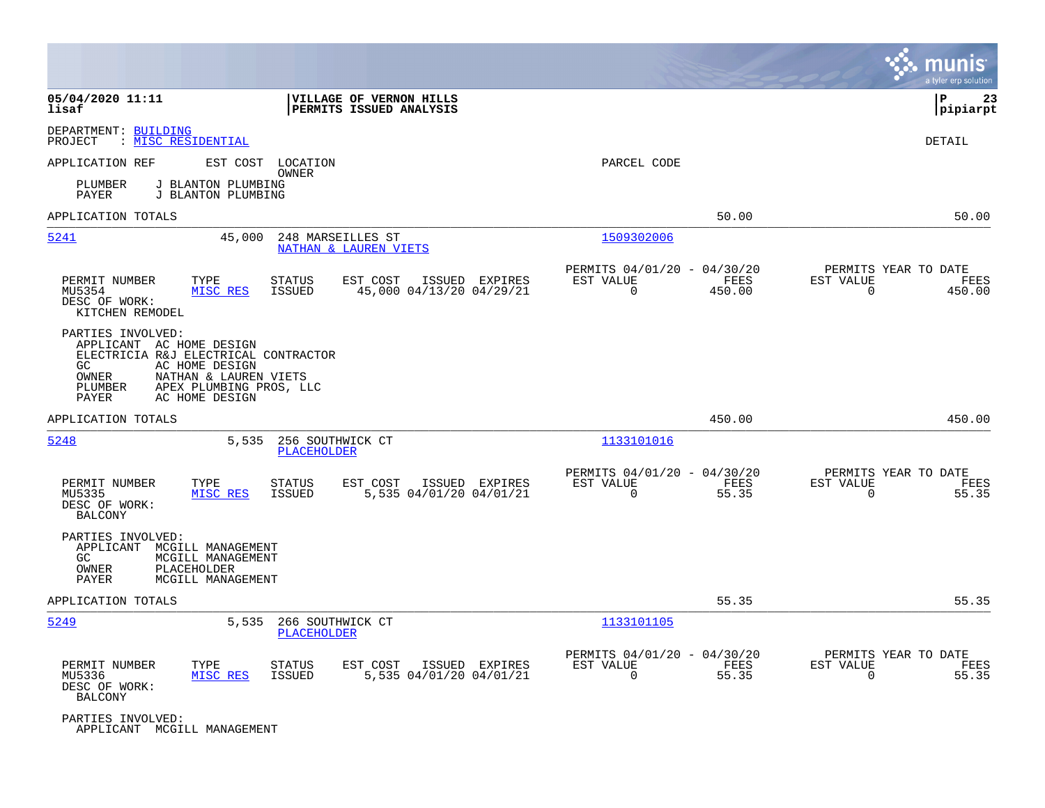|                                                                                                                                                                                                                  |                                                                                         |                                                                           | munis<br>a tyler erp solution                                      |
|------------------------------------------------------------------------------------------------------------------------------------------------------------------------------------------------------------------|-----------------------------------------------------------------------------------------|---------------------------------------------------------------------------|--------------------------------------------------------------------|
| 05/04/2020 11:11<br>lisaf                                                                                                                                                                                        | VILLAGE OF VERNON HILLS<br>PERMITS ISSUED ANALYSIS                                      |                                                                           | ΙP<br>23<br> pipiarpt                                              |
| DEPARTMENT: BUILDING<br>: MISC RESIDENTIAL<br>PROJECT                                                                                                                                                            |                                                                                         |                                                                           | DETAIL                                                             |
| APPLICATION REF<br>EST COST                                                                                                                                                                                      | LOCATION                                                                                | PARCEL CODE                                                               |                                                                    |
| J BLANTON PLUMBING<br>PLUMBER<br>PAYER<br>J BLANTON PLUMBING                                                                                                                                                     | OWNER                                                                                   |                                                                           |                                                                    |
| APPLICATION TOTALS                                                                                                                                                                                               |                                                                                         | 50.00                                                                     | 50.00                                                              |
| 5241                                                                                                                                                                                                             | 45,000<br>248 MARSEILLES ST<br><b>NATHAN &amp; LAUREN VIETS</b>                         | 1509302006                                                                |                                                                    |
| PERMIT NUMBER<br>TYPE<br>MISC RES<br>MU5354<br>DESC OF WORK:<br>KITCHEN REMODEL                                                                                                                                  | STATUS<br>EST COST<br>ISSUED EXPIRES<br>ISSUED<br>45,000 04/13/20 04/29/21              | PERMITS 04/01/20 - 04/30/20<br>EST VALUE<br>FEES<br>$\mathbf 0$<br>450.00 | PERMITS YEAR TO DATE<br>EST VALUE<br>FEES<br>$\mathbf 0$<br>450.00 |
| PARTIES INVOLVED:<br>APPLICANT AC HOME DESIGN<br>ELECTRICIA R&J ELECTRICAL CONTRACTOR<br>GC<br>AC HOME DESIGN<br>OWNER<br>NATHAN & LAUREN VIETS<br>PLUMBER<br>APEX PLUMBING PROS, LLC<br>AC HOME DESIGN<br>PAYER |                                                                                         |                                                                           |                                                                    |
| APPLICATION TOTALS                                                                                                                                                                                               |                                                                                         | 450.00                                                                    | 450.00                                                             |
| 5248                                                                                                                                                                                                             | 256 SOUTHWICK CT<br>5,535<br><b>PLACEHOLDER</b>                                         | 1133101016                                                                |                                                                    |
| TYPE<br>PERMIT NUMBER<br>MISC RES<br>MU5335<br>DESC OF WORK:<br>BALCONY                                                                                                                                          | <b>STATUS</b><br>EST COST<br>ISSUED EXPIRES<br>5,535 04/01/20 04/01/21<br><b>ISSUED</b> | PERMITS 04/01/20 - 04/30/20<br>EST VALUE<br>FEES<br>$\mathbf 0$<br>55.35  | PERMITS YEAR TO DATE<br>EST VALUE<br>FEES<br>$\mathbf 0$<br>55.35  |
| PARTIES INVOLVED:<br>APPLICANT<br>MCGILL MANAGEMENT<br>GC.<br>MCGILL MANAGEMENT<br>PLACEHOLDER<br>OWNER<br>PAYER<br>MCGILL MANAGEMENT                                                                            |                                                                                         |                                                                           |                                                                    |
| APPLICATION TOTALS                                                                                                                                                                                               |                                                                                         | 55.35                                                                     | 55.35                                                              |
| 5249                                                                                                                                                                                                             | 5,535<br>266 SOUTHWICK CT<br>PLACEHOLDER                                                | 1133101105                                                                |                                                                    |
| PERMIT NUMBER<br>TYPE<br>MISC RES<br>MU5336<br>DESC OF WORK:<br><b>BALCONY</b>                                                                                                                                   | <b>STATUS</b><br>EST COST<br>ISSUED EXPIRES<br><b>ISSUED</b><br>5,535 04/01/20 04/01/21 | PERMITS 04/01/20 - 04/30/20<br>EST VALUE<br>FEES<br>0<br>55.35            | PERMITS YEAR TO DATE<br>EST VALUE<br>FEES<br>55.35<br>0            |
| PARTIES INVOLVED:<br>APPLICANT MCGILL MANAGEMENT                                                                                                                                                                 |                                                                                         |                                                                           |                                                                    |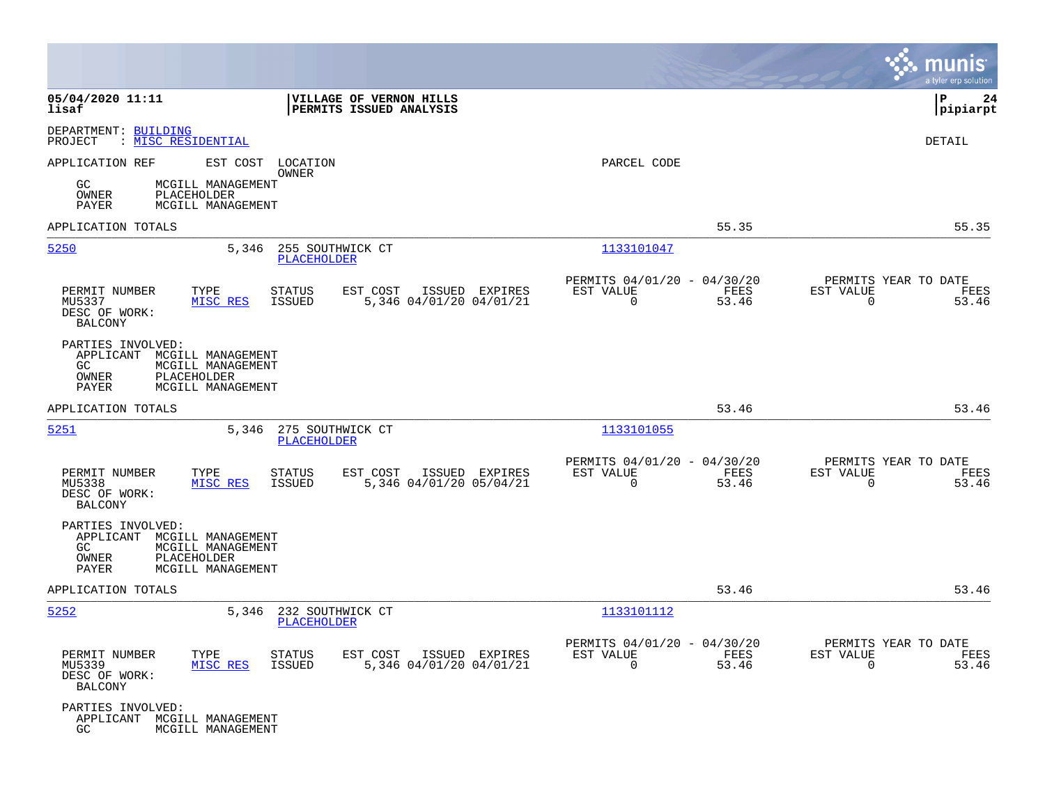|                                                                                                                                   |                                                                                         |                                                                          | munis<br>a tyler erp solution                                        |
|-----------------------------------------------------------------------------------------------------------------------------------|-----------------------------------------------------------------------------------------|--------------------------------------------------------------------------|----------------------------------------------------------------------|
| 05/04/2020 11:11<br>lisaf                                                                                                         | VILLAGE OF VERNON HILLS<br>PERMITS ISSUED ANALYSIS                                      |                                                                          | lР<br>24<br> pipiarpt                                                |
| DEPARTMENT: BUILDING<br>: <u>MISC RESIDENTIAL</u><br>PROJECT                                                                      |                                                                                         |                                                                          | <b>DETAIL</b>                                                        |
| APPLICATION REF<br>GC.<br>MCGILL MANAGEMENT<br><b>PLACEHOLDER</b><br>OWNER<br>MCGILL MANAGEMENT<br>PAYER                          | EST COST LOCATION<br>OWNER                                                              | PARCEL CODE                                                              |                                                                      |
| APPLICATION TOTALS                                                                                                                |                                                                                         | 55.35                                                                    | 55.35                                                                |
| 5250<br>5,346                                                                                                                     | 255 SOUTHWICK CT<br>PLACEHOLDER                                                         | 1133101047                                                               |                                                                      |
| PERMIT NUMBER<br>TYPE<br>MU5337<br>MISC RES<br>DESC OF WORK:<br><b>BALCONY</b>                                                    | <b>STATUS</b><br>EST COST<br>ISSUED EXPIRES<br>ISSUED<br>5,346 04/01/20 04/01/21        | PERMITS 04/01/20 - 04/30/20<br>EST VALUE<br>FEES<br>$\mathbf 0$<br>53.46 | PERMITS YEAR TO DATE<br>EST VALUE<br>FEES<br>53.46<br>0              |
| PARTIES INVOLVED:<br>APPLICANT MCGILL MANAGEMENT<br>GC<br>MCGILL MANAGEMENT<br>PLACEHOLDER<br>OWNER<br>PAYER<br>MCGILL MANAGEMENT |                                                                                         |                                                                          |                                                                      |
| APPLICATION TOTALS                                                                                                                |                                                                                         | 53.46                                                                    | 53.46                                                                |
| <u>5251</u><br>5,346                                                                                                              | 275 SOUTHWICK CT<br><b>PLACEHOLDER</b>                                                  | 1133101055                                                               |                                                                      |
| PERMIT NUMBER<br>TYPE<br>MISC RES<br>MU5338<br>DESC OF WORK:<br><b>BALCONY</b>                                                    | EST COST<br>ISSUED EXPIRES<br><b>STATUS</b><br><b>ISSUED</b><br>5,346 04/01/20 05/04/21 | PERMITS 04/01/20 - 04/30/20<br>EST VALUE<br>FEES<br>$\Omega$<br>53.46    | PERMITS YEAR TO DATE<br>EST VALUE<br>FEES<br>$\Omega$<br>53.46       |
| PARTIES INVOLVED:<br>APPLICANT MCGILL MANAGEMENT<br>GC<br>MCGILL MANAGEMENT<br>OWNER<br>PLACEHOLDER<br>PAYER<br>MCGILL MANAGEMENT |                                                                                         |                                                                          |                                                                      |
| APPLICATION TOTALS                                                                                                                |                                                                                         | 53.46                                                                    | 53.46                                                                |
| 5252<br>5,346                                                                                                                     | 232 SOUTHWICK CT<br><b>PLACEHOLDER</b>                                                  | 1133101112                                                               |                                                                      |
| PERMIT NUMBER<br>TYPE<br>MU5339<br>MISC RES<br>DESC OF WORK:<br>BALCONY                                                           | EST COST<br>ISSUED EXPIRES<br><b>STATUS</b><br>ISSUED<br>5,346 04/01/20 04/01/21        | PERMITS 04/01/20 - 04/30/20<br>EST VALUE<br>FEES<br>0<br>53.46           | PERMITS YEAR TO DATE<br>EST VALUE<br>FEES<br>53.46<br>$\overline{0}$ |
| PARTIES INVOLVED:<br>APPLICANT MCGILL MANAGEMENT<br>GC<br>MCGILL MANAGEMENT                                                       |                                                                                         |                                                                          |                                                                      |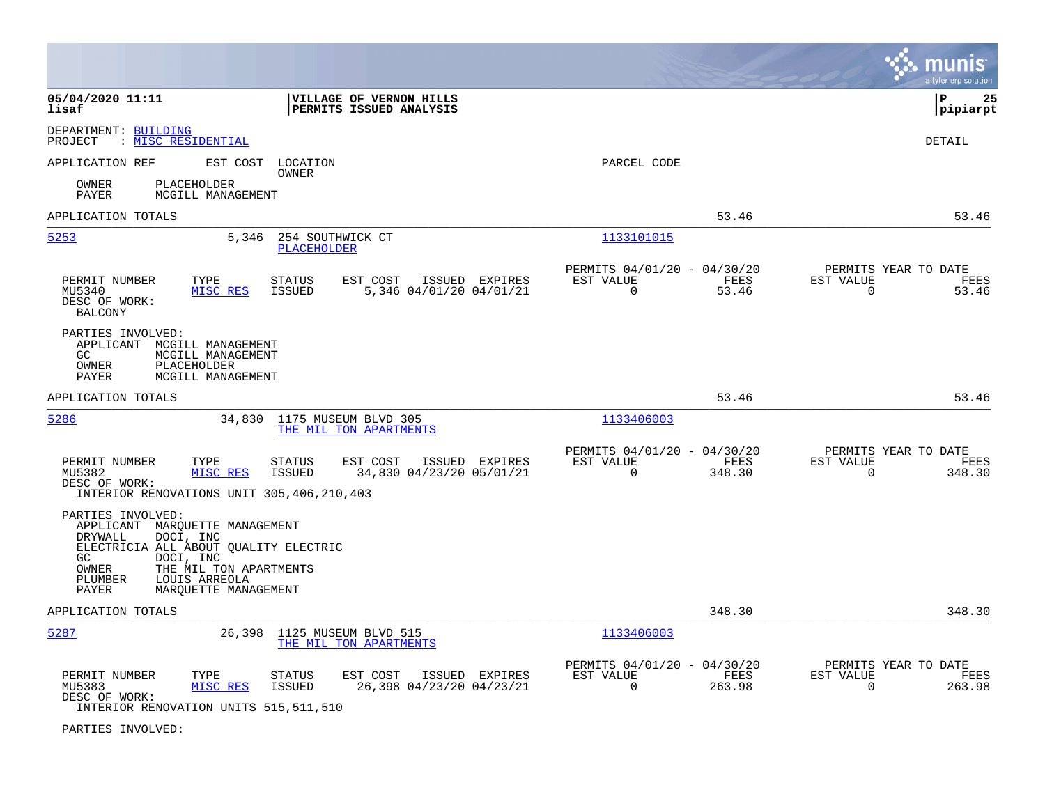|                                                                                                                                                                                                                                         |                                                                               | munis<br>a tyler erp solution                                      |
|-----------------------------------------------------------------------------------------------------------------------------------------------------------------------------------------------------------------------------------------|-------------------------------------------------------------------------------|--------------------------------------------------------------------|
| 05/04/2020 11:11<br>VILLAGE OF VERNON HILLS<br>PERMITS ISSUED ANALYSIS<br>lisaf                                                                                                                                                         |                                                                               | l P<br>25<br> pipiarpt                                             |
| DEPARTMENT: BUILDING<br>: MISC RESIDENTIAL<br>PROJECT                                                                                                                                                                                   |                                                                               | <b>DETAIL</b>                                                      |
| APPLICATION REF<br>EST COST LOCATION<br>OWNER                                                                                                                                                                                           | PARCEL CODE                                                                   |                                                                    |
| <b>PLACEHOLDER</b><br>OWNER<br>PAYER<br>MCGILL MANAGEMENT                                                                                                                                                                               |                                                                               |                                                                    |
| APPLICATION TOTALS                                                                                                                                                                                                                      | 53.46                                                                         | 53.46                                                              |
| 5253<br>5,346<br>254 SOUTHWICK CT<br><b>PLACEHOLDER</b>                                                                                                                                                                                 | 1133101015                                                                    |                                                                    |
| PERMIT NUMBER<br>TYPE<br><b>STATUS</b><br>EST COST<br>ISSUED EXPIRES<br>MISC RES<br>5,346 04/01/20 04/01/21<br>MU5340<br>ISSUED<br>DESC OF WORK:<br><b>BALCONY</b>                                                                      | PERMITS 04/01/20 - 04/30/20<br>FEES<br>EST VALUE<br>$\mathbf 0$<br>53.46      | PERMITS YEAR TO DATE<br>EST VALUE<br>FEES<br>$\Omega$<br>53.46     |
| PARTIES INVOLVED:<br>APPLICANT MCGILL MANAGEMENT<br>GC<br>MCGILL MANAGEMENT<br>OWNER<br>PLACEHOLDER<br><b>PAYER</b><br>MCGILL MANAGEMENT                                                                                                |                                                                               |                                                                    |
| APPLICATION TOTALS                                                                                                                                                                                                                      | 53.46                                                                         | 53.46                                                              |
| 5286<br>34,830<br>1175 MUSEUM BLVD 305<br>THE MIL TON APARTMENTS                                                                                                                                                                        | 1133406003                                                                    |                                                                    |
| PERMIT NUMBER<br>TYPE<br><b>STATUS</b><br>EST COST<br>ISSUED EXPIRES<br>MISC RES<br><b>ISSUED</b><br>34,830 04/23/20 05/01/21<br>MU5382<br>DESC OF WORK:<br>INTERIOR RENOVATIONS UNIT 305, 406, 210, 403                                | PERMITS 04/01/20 - 04/30/20<br>EST VALUE<br>FEES<br>$\mathbf 0$<br>348.30     | PERMITS YEAR TO DATE<br>EST VALUE<br>FEES<br>$\mathbf 0$<br>348.30 |
| PARTIES INVOLVED:<br>APPLICANT MARQUETTE MANAGEMENT<br>DOCI, INC<br>DRYWALL<br>ELECTRICIA ALL ABOUT OUALITY ELECTRIC<br>DOCI, INC<br>GC<br>OWNER<br>THE MIL TON APARTMENTS<br>PLUMBER<br>LOUIS ARREOLA<br>MAROUETTE MANAGEMENT<br>PAYER |                                                                               |                                                                    |
| APPLICATION TOTALS                                                                                                                                                                                                                      | 348.30                                                                        | 348.30                                                             |
| 5287<br>26,398<br>1125 MUSEUM BLVD 515<br>THE MIL TON APARTMENTS                                                                                                                                                                        | 1133406003                                                                    |                                                                    |
| PERMIT NUMBER<br>TYPE<br>EST COST<br>ISSUED EXPIRES<br>STATUS<br>MU5383<br>MISC RES<br><b>ISSUED</b><br>26,398 04/23/20 04/23/21<br>DESC OF WORK:<br>INTERIOR RENOVATION UNITS 515, 511, 510                                            | PERMITS 04/01/20 - 04/30/20<br><b>FEES</b><br>EST VALUE<br>$\Omega$<br>263.98 | PERMITS YEAR TO DATE<br>EST VALUE<br>FEES<br>$\Omega$<br>263.98    |

PARTIES INVOLVED: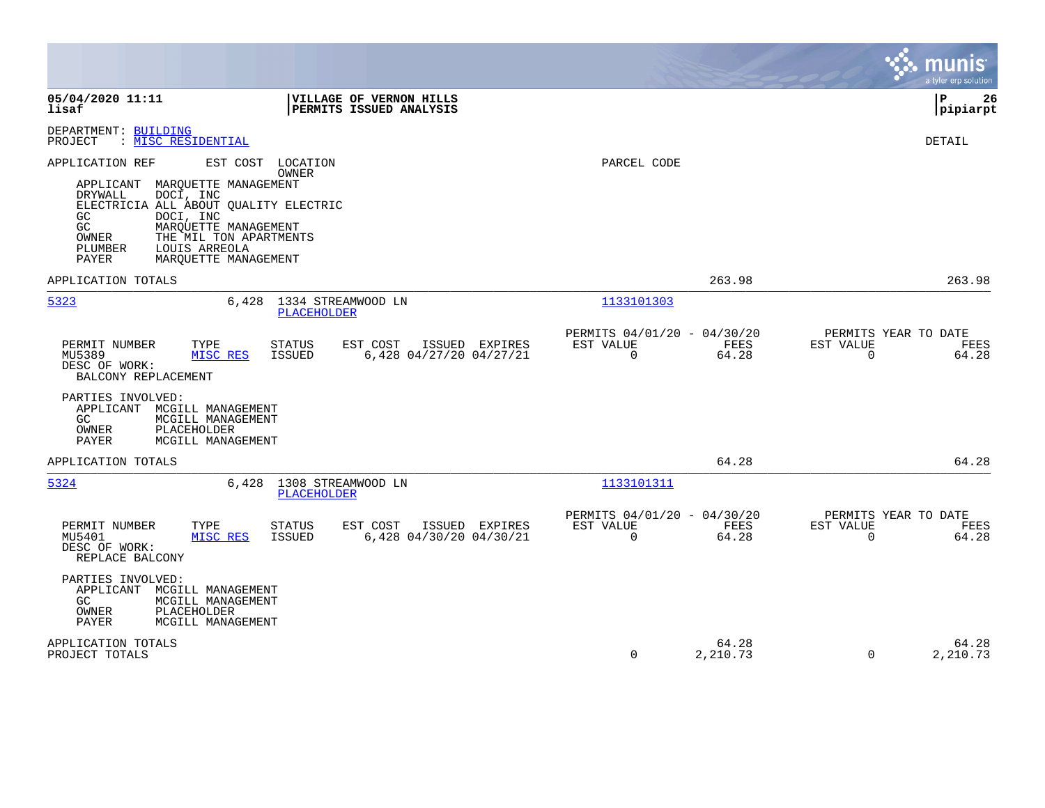|                                                                                                                                                                                                                                                                                                       |                                                                       | munis<br>a tyler erp solution                                     |
|-------------------------------------------------------------------------------------------------------------------------------------------------------------------------------------------------------------------------------------------------------------------------------------------------------|-----------------------------------------------------------------------|-------------------------------------------------------------------|
| 05/04/2020 11:11<br>VILLAGE OF VERNON HILLS<br>lisaf<br>PERMITS ISSUED ANALYSIS                                                                                                                                                                                                                       |                                                                       | l P<br>26<br> pipiarpt                                            |
| DEPARTMENT: BUILDING<br>: MISC RESIDENTIAL<br>PROJECT                                                                                                                                                                                                                                                 |                                                                       | <b>DETAIL</b>                                                     |
| APPLICATION REF<br>EST COST LOCATION<br>OWNER<br>APPLICANT<br>MARQUETTE MANAGEMENT<br>DRYWALL<br>DOCI, INC<br>ELECTRICIA ALL ABOUT QUALITY ELECTRIC<br>GC.<br>DOCI, INC<br>GC<br>MARQUETTE MANAGEMENT<br>THE MIL TON APARTMENTS<br>OWNER<br>PLUMBER<br>LOUIS ARREOLA<br>PAYER<br>MAROUETTE MANAGEMENT | PARCEL CODE                                                           |                                                                   |
| APPLICATION TOTALS                                                                                                                                                                                                                                                                                    | 263.98                                                                | 263.98                                                            |
| 1334 STREAMWOOD LN<br>5323<br>6,428<br>PLACEHOLDER                                                                                                                                                                                                                                                    | 1133101303                                                            |                                                                   |
| PERMIT NUMBER<br><b>STATUS</b><br>EST COST<br>ISSUED EXPIRES<br>TYPE<br>MU5389<br>MISC RES<br><b>ISSUED</b><br>6,428 04/27/20 04/27/21<br>DESC OF WORK:<br>BALCONY REPLACEMENT                                                                                                                        | PERMITS 04/01/20 - 04/30/20<br>EST VALUE<br>FEES<br>$\Omega$<br>64.28 | PERMITS YEAR TO DATE<br>EST VALUE<br>FEES<br>$\mathbf 0$<br>64.28 |
| PARTIES INVOLVED:<br>APPLICANT<br>MCGILL MANAGEMENT<br>GC<br>MCGILL MANAGEMENT<br>OWNER<br>PLACEHOLDER<br>MCGILL MANAGEMENT<br>PAYER                                                                                                                                                                  |                                                                       |                                                                   |
| APPLICATION TOTALS                                                                                                                                                                                                                                                                                    | 64.28                                                                 | 64.28                                                             |
| 5324<br>1308 STREAMWOOD LN<br>6,428<br><b>PLACEHOLDER</b>                                                                                                                                                                                                                                             | 1133101311                                                            |                                                                   |
| PERMIT NUMBER<br>TYPE<br>STATUS<br>EST COST<br>ISSUED EXPIRES<br>MU5401<br>MISC RES<br><b>ISSUED</b><br>6,428 04/30/20 04/30/21<br>DESC OF WORK:<br>REPLACE BALCONY                                                                                                                                   | PERMITS 04/01/20 - 04/30/20<br>EST VALUE<br>FEES<br>$\Omega$<br>64.28 | PERMITS YEAR TO DATE<br>EST VALUE<br>FEES<br>$\mathbf 0$<br>64.28 |
| PARTIES INVOLVED:<br>APPLICANT<br>MCGILL MANAGEMENT<br>GC<br>MCGILL MANAGEMENT<br>OWNER<br>PLACEHOLDER<br>PAYER<br>MCGILL MANAGEMENT                                                                                                                                                                  |                                                                       |                                                                   |
| APPLICATION TOTALS<br>PROJECT TOTALS                                                                                                                                                                                                                                                                  | 64.28<br>$\Omega$<br>2,210.73                                         | 64.28<br>$\Omega$<br>2,210.73                                     |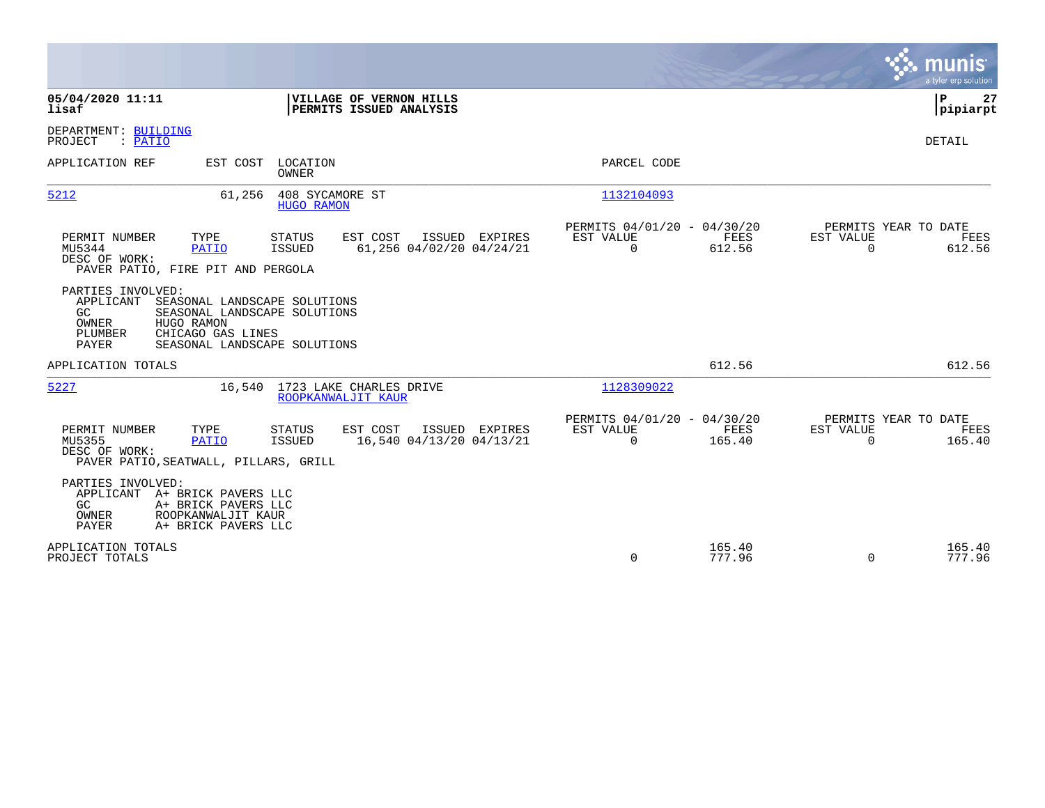|                                                                                                                                                                                                      |                                                                        | munis<br>a tyler erp solution                                   |
|------------------------------------------------------------------------------------------------------------------------------------------------------------------------------------------------------|------------------------------------------------------------------------|-----------------------------------------------------------------|
| 05/04/2020 11:11<br>VILLAGE OF VERNON HILLS<br>PERMITS ISSUED ANALYSIS<br>lisaf                                                                                                                      |                                                                        | ΙP<br>27<br> pipiarpt                                           |
| DEPARTMENT: BUILDING<br>PROJECT<br>: PATIO                                                                                                                                                           |                                                                        | DETAIL                                                          |
| APPLICATION REF<br>EST COST<br>LOCATION<br>OWNER                                                                                                                                                     | PARCEL CODE                                                            |                                                                 |
| 5212<br>61,256<br>408 SYCAMORE ST<br><b>HUGO RAMON</b>                                                                                                                                               | 1132104093                                                             |                                                                 |
| PERMIT NUMBER<br>TYPE<br>EST COST<br>ISSUED EXPIRES<br>STATUS<br>MU5344<br>61,256 04/02/20 04/24/21<br><b>PATIO</b><br>ISSUED<br>DESC OF WORK:<br>PAVER PATIO, FIRE PIT AND PERGOLA                  | PERMITS 04/01/20 - 04/30/20<br>EST VALUE<br>FEES<br>$\Omega$<br>612.56 | PERMITS YEAR TO DATE<br>EST VALUE<br>FEES<br>$\Omega$<br>612.56 |
| PARTIES INVOLVED:<br>APPLICANT<br>SEASONAL LANDSCAPE SOLUTIONS<br>GC<br>SEASONAL LANDSCAPE SOLUTIONS<br>OWNER<br>HUGO RAMON<br>CHICAGO GAS LINES<br>PLUMBER<br>SEASONAL LANDSCAPE SOLUTIONS<br>PAYER |                                                                        |                                                                 |
| APPLICATION TOTALS                                                                                                                                                                                   | 612.56                                                                 | 612.56                                                          |
| 5227<br>1723 LAKE CHARLES DRIVE<br>16,540<br>ROOPKANWALJIT KAUR                                                                                                                                      | 1128309022                                                             |                                                                 |
| PERMIT NUMBER<br>TYPE<br>EST COST<br>ISSUED EXPIRES<br><b>STATUS</b><br>MU5355<br><b>PATIO</b><br>ISSUED<br>16,540 04/13/20 04/13/21<br>DESC OF WORK:<br>PAVER PATIO, SEATWALL, PILLARS, GRILL       | PERMITS 04/01/20 - 04/30/20<br>EST VALUE<br>FEES<br>$\Omega$<br>165.40 | PERMITS YEAR TO DATE<br>EST VALUE<br>FEES<br>$\Omega$<br>165.40 |
| PARTIES INVOLVED:<br>APPLICANT A+ BRICK PAVERS LLC<br>GC.<br>A+ BRICK PAVERS LLC<br>OWNER<br>ROOPKANWALJIT KAUR<br><b>PAYER</b><br>A+ BRICK PAVERS LLC                                               |                                                                        |                                                                 |
| APPLICATION TOTALS<br>PROJECT TOTALS                                                                                                                                                                 | 165.40<br>0<br>777.96                                                  | 165.40<br>777.96<br>$\Omega$                                    |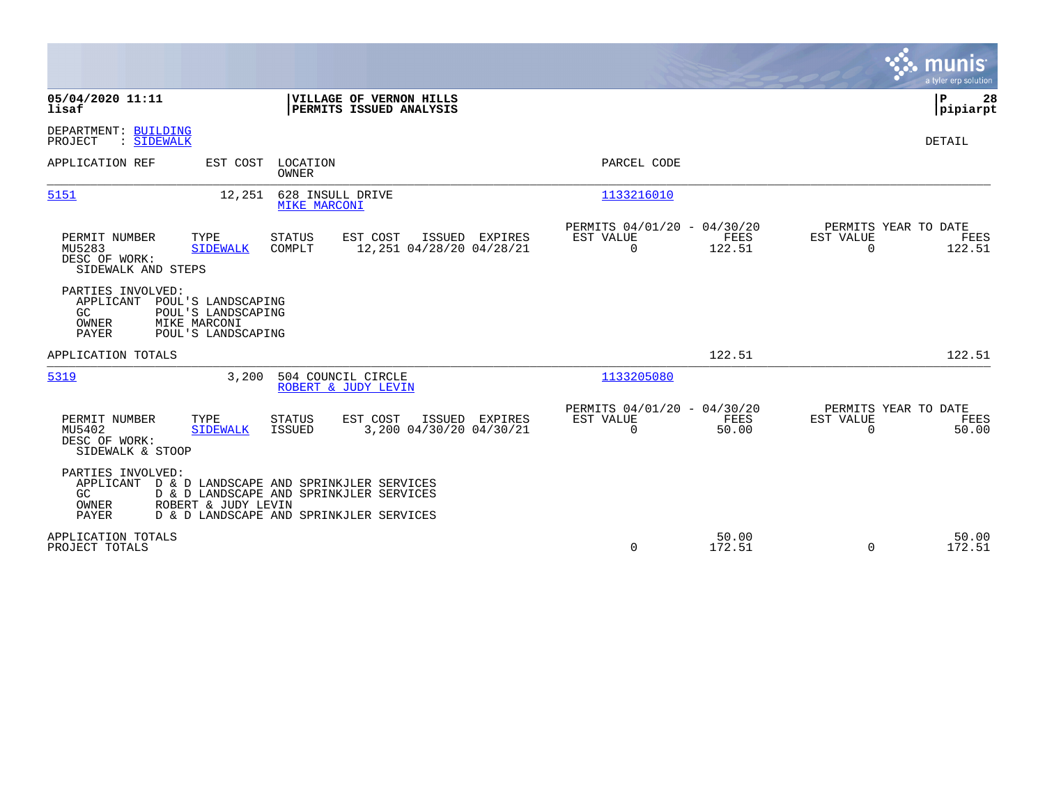|                                                                                                                                                                                                                       |                                                                                                    | munis<br>a tyler erp solution          |
|-----------------------------------------------------------------------------------------------------------------------------------------------------------------------------------------------------------------------|----------------------------------------------------------------------------------------------------|----------------------------------------|
| 05/04/2020 11:11<br>VILLAGE OF VERNON HILLS<br>lisaf<br>PERMITS ISSUED ANALYSIS                                                                                                                                       |                                                                                                    | P<br>28<br> pipiarpt                   |
| DEPARTMENT: BUILDING<br>PROJECT<br>: SIDEWALK                                                                                                                                                                         |                                                                                                    | DETAIL                                 |
| APPLICATION REF<br>EST COST<br>LOCATION<br><b>OWNER</b>                                                                                                                                                               | PARCEL CODE                                                                                        |                                        |
| 5151<br>12,251<br>628 INSULL DRIVE<br><b>MIKE MARCONI</b>                                                                                                                                                             | 1133216010                                                                                         |                                        |
| PERMIT NUMBER<br>TYPE<br><b>STATUS</b><br>EST COST<br>ISSUED EXPIRES<br>12,251 04/28/20 04/28/21<br>MU5283<br><b>SIDEWALK</b><br>COMPLT<br>DESC OF WORK:<br>SIDEWALK AND STEPS                                        | PERMITS 04/01/20 - 04/30/20<br>EST VALUE<br>FEES<br>EST VALUE<br>$\mathbf 0$<br>122.51<br>$\Omega$ | PERMITS YEAR TO DATE<br>FEES<br>122.51 |
| PARTIES INVOLVED:<br>APPLICANT<br>POUL'S LANDSCAPING<br>GC<br>POUL'S LANDSCAPING<br>MIKE MARCONI<br>OWNER<br>PAYER<br>POUL'S LANDSCAPING                                                                              |                                                                                                    |                                        |
| APPLICATION TOTALS                                                                                                                                                                                                    | 122.51                                                                                             | 122.51                                 |
| 5319<br>3,200<br>504 COUNCIL CIRCLE<br>ROBERT & JUDY LEVIN                                                                                                                                                            | 1133205080                                                                                         |                                        |
| TYPE<br>EST COST<br>ISSUED EXPIRES<br>PERMIT NUMBER<br><b>STATUS</b><br>3,200 04/30/20 04/30/21<br>MU5402<br><b>SIDEWALK</b><br><b>ISSUED</b><br>DESC OF WORK:<br>SIDEWALK & STOOP                                    | PERMITS 04/01/20 - 04/30/20<br>EST VALUE<br>FEES<br>EST VALUE<br>$\Omega$<br>50.00<br>$\Omega$     | PERMITS YEAR TO DATE<br>FEES<br>50.00  |
| PARTIES INVOLVED:<br>APPLICANT<br>D & D LANDSCAPE AND SPRINKJLER SERVICES<br>GC<br>D & D LANDSCAPE AND SPRINKJLER SERVICES<br>OWNER<br>ROBERT & JUDY LEVIN<br><b>PAYER</b><br>D & D LANDSCAPE AND SPRINKJLER SERVICES |                                                                                                    |                                        |
| APPLICATION TOTALS<br>PROJECT TOTALS                                                                                                                                                                                  | 50.00<br>0<br>172.51<br>$\Omega$                                                                   | 50.00<br>172.51                        |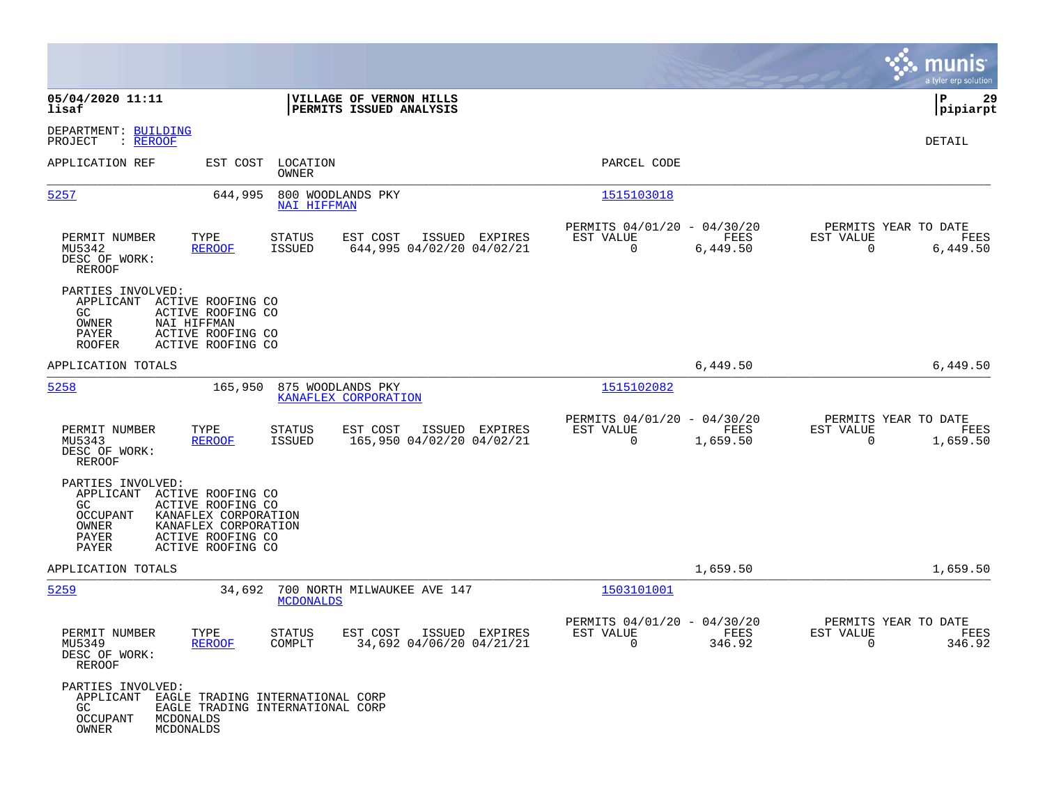|                                                                                             |                                                                                                                                  |                                                         |                                                         |                  | munis<br>a tyler erp solution                                        |
|---------------------------------------------------------------------------------------------|----------------------------------------------------------------------------------------------------------------------------------|---------------------------------------------------------|---------------------------------------------------------|------------------|----------------------------------------------------------------------|
| 05/04/2020 11:11<br>lisaf                                                                   |                                                                                                                                  | VILLAGE OF VERNON HILLS<br>PERMITS ISSUED ANALYSIS      |                                                         |                  | ΙP<br>29<br> pipiarpt                                                |
| DEPARTMENT: BUILDING<br>: REROOF<br>PROJECT                                                 |                                                                                                                                  |                                                         |                                                         |                  | DETAIL                                                               |
| APPLICATION REF                                                                             | EST COST LOCATION<br>OWNER                                                                                                       |                                                         | PARCEL CODE                                             |                  |                                                                      |
| 5257                                                                                        | 644,995<br><b>NAI HIFFMAN</b>                                                                                                    | 800 WOODLANDS PKY                                       | 1515103018                                              |                  |                                                                      |
| PERMIT NUMBER<br>MU5342<br>DESC OF WORK:<br>REROOF                                          | TYPE<br><b>STATUS</b><br><b>REROOF</b><br><b>ISSUED</b>                                                                          | EST COST<br>ISSUED EXPIRES<br>644,995 04/02/20 04/02/21 | PERMITS 04/01/20 - 04/30/20<br>EST VALUE<br>$\mathbf 0$ | FEES<br>6,449.50 | PERMITS YEAR TO DATE<br>EST VALUE<br>FEES<br>$\mathbf 0$<br>6,449.50 |
| PARTIES INVOLVED:<br>APPLICANT<br>GC.<br>OWNER<br>NAI HIFFMAN<br>PAYER<br><b>ROOFER</b>     | ACTIVE ROOFING CO<br>ACTIVE ROOFING CO<br>ACTIVE ROOFING CO<br>ACTIVE ROOFING CO                                                 |                                                         |                                                         |                  |                                                                      |
| APPLICATION TOTALS                                                                          |                                                                                                                                  |                                                         |                                                         | 6,449.50         | 6,449.50                                                             |
| 5258                                                                                        | 165,950                                                                                                                          | 875 WOODLANDS PKY<br>KANAFLEX CORPORATION               | 1515102082                                              |                  |                                                                      |
| PERMIT NUMBER<br>MU5343<br>DESC OF WORK:<br><b>REROOF</b>                                   | TYPE<br><b>STATUS</b><br><b>REROOF</b><br>ISSUED                                                                                 | EST COST<br>ISSUED EXPIRES<br>165,950 04/02/20 04/02/21 | PERMITS 04/01/20 - 04/30/20<br>EST VALUE<br>$\mathbf 0$ | FEES<br>1,659.50 | PERMITS YEAR TO DATE<br>EST VALUE<br>FEES<br>0<br>1,659.50           |
| PARTIES INVOLVED:<br>APPLICANT<br>GC.<br><b>OCCUPANT</b><br>OWNER<br>PAYER<br>PAYER         | ACTIVE ROOFING CO<br>ACTIVE ROOFING CO<br>KANAFLEX CORPORATION<br>KANAFLEX CORPORATION<br>ACTIVE ROOFING CO<br>ACTIVE ROOFING CO |                                                         |                                                         |                  |                                                                      |
| APPLICATION TOTALS                                                                          |                                                                                                                                  |                                                         |                                                         | 1,659.50         | 1,659.50                                                             |
| 5259                                                                                        | 34,692<br><b>MCDONALDS</b>                                                                                                       | 700 NORTH MILWAUKEE AVE 147                             | 1503101001                                              |                  |                                                                      |
| PERMIT NUMBER<br>MU5349<br>DESC OF WORK:<br><b>REROOF</b>                                   | TYPE<br><b>STATUS</b><br>COMPLT<br><b>REROOF</b>                                                                                 | EST COST<br>ISSUED EXPIRES<br>34,692 04/06/20 04/21/21  | PERMITS 04/01/20 - 04/30/20<br>EST VALUE<br>$\mathbf 0$ | FEES<br>346.92   | PERMITS YEAR TO DATE<br>EST VALUE<br>FEES<br>$\mathbf 0$<br>346.92   |
| PARTIES INVOLVED:<br>APPLICANT<br>GC.<br><b>OCCUPANT</b><br>MCDONALDS<br>OWNER<br>MCDONALDS | EAGLE TRADING INTERNATIONAL CORP<br>EAGLE TRADING INTERNATIONAL CORP                                                             |                                                         |                                                         |                  |                                                                      |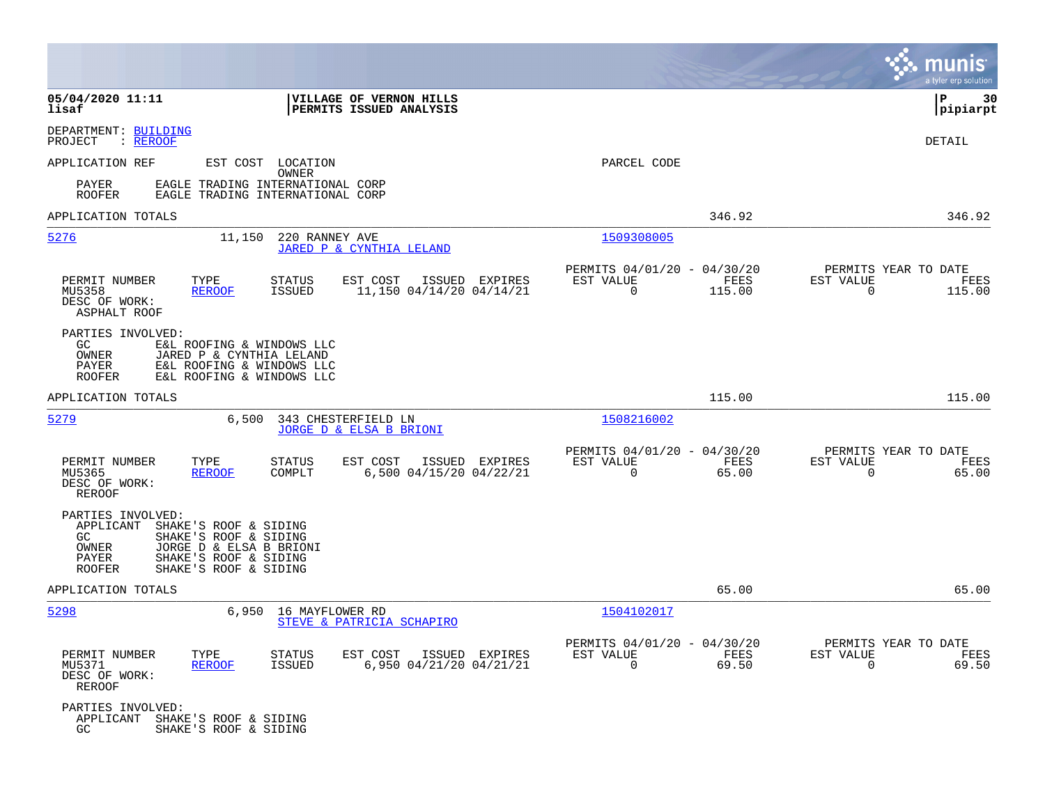|                                                                                                                                                                                                         |                                                                                          |                                                                           | munis<br>a tyler erp solution                                      |
|---------------------------------------------------------------------------------------------------------------------------------------------------------------------------------------------------------|------------------------------------------------------------------------------------------|---------------------------------------------------------------------------|--------------------------------------------------------------------|
| 05/04/2020 11:11<br>lisaf                                                                                                                                                                               | VILLAGE OF VERNON HILLS<br>PERMITS ISSUED ANALYSIS                                       |                                                                           | P<br>30<br>$ $ pipiarpt                                            |
| DEPARTMENT: BUILDING<br>: REROOF<br>PROJECT                                                                                                                                                             |                                                                                          |                                                                           | DETAIL                                                             |
| APPLICATION REF                                                                                                                                                                                         | EST COST LOCATION<br>OWNER                                                               | PARCEL CODE                                                               |                                                                    |
| PAYER<br><b>ROOFER</b>                                                                                                                                                                                  | EAGLE TRADING INTERNATIONAL CORP<br>EAGLE TRADING INTERNATIONAL CORP                     |                                                                           |                                                                    |
| APPLICATION TOTALS                                                                                                                                                                                      |                                                                                          | 346.92                                                                    | 346.92                                                             |
| 5276<br>11,150                                                                                                                                                                                          | 220 RANNEY AVE<br>JARED P & CYNTHIA LELAND                                               | 1509308005                                                                |                                                                    |
| PERMIT NUMBER<br>TYPE<br>MU5358<br><b>REROOF</b><br>DESC OF WORK:<br>ASPHALT ROOF                                                                                                                       | <b>STATUS</b><br>EST COST<br>ISSUED EXPIRES<br>11,150 04/14/20 04/14/21<br><b>ISSUED</b> | PERMITS 04/01/20 - 04/30/20<br>EST VALUE<br>FEES<br>$\mathbf 0$<br>115.00 | PERMITS YEAR TO DATE<br>EST VALUE<br>FEES<br>$\mathbf 0$<br>115.00 |
| PARTIES INVOLVED:<br>GC.<br>E&L ROOFING & WINDOWS LLC<br><b>OWNER</b><br>JARED P & CYNTHIA LELAND<br>PAYER<br>E&L ROOFING & WINDOWS LLC<br>ROOFER<br>E&L ROOFING & WINDOWS LLC                          |                                                                                          |                                                                           |                                                                    |
| APPLICATION TOTALS                                                                                                                                                                                      |                                                                                          | 115.00                                                                    | 115.00                                                             |
| 5279<br>6,500                                                                                                                                                                                           | 343 CHESTERFIELD LN<br>JORGE D & ELSA B BRIONI                                           | 1508216002                                                                |                                                                    |
| PERMIT NUMBER<br>TYPE<br><b>REROOF</b><br>MU5365<br>DESC OF WORK:<br><b>REROOF</b>                                                                                                                      | STATUS<br>EST COST<br>ISSUED EXPIRES<br>6,500 04/15/20 04/22/21<br>COMPLT                | PERMITS 04/01/20 - 04/30/20<br>EST VALUE<br>FEES<br>$\mathbf 0$<br>65.00  | PERMITS YEAR TO DATE<br>EST VALUE<br>FEES<br>$\mathbf 0$<br>65.00  |
| PARTIES INVOLVED:<br>APPLICANT<br>SHAKE'S ROOF & SIDING<br>GC.<br>SHAKE'S ROOF & SIDING<br>JORGE D & ELSA B BRIONI<br>OWNER<br>SHAKE'S ROOF & SIDING<br>PAYER<br><b>ROOFER</b><br>SHAKE'S ROOF & SIDING |                                                                                          |                                                                           |                                                                    |
| APPLICATION TOTALS                                                                                                                                                                                      |                                                                                          | 65.00                                                                     | 65.00                                                              |
| 5298<br>6,950                                                                                                                                                                                           | 16 MAYFLOWER RD<br>STEVE & PATRICIA SCHAPIRO                                             | 1504102017                                                                |                                                                    |
| PERMIT NUMBER<br>TYPE<br>MU5371<br><b>REROOF</b><br>DESC OF WORK:<br><b>REROOF</b>                                                                                                                      | STATUS<br>EST COST<br>ISSUED EXPIRES<br><b>ISSUED</b><br>6,950 04/21/20 04/21/21         | PERMITS 04/01/20 - 04/30/20<br>EST VALUE<br>FEES<br>$\Omega$<br>69.50     | PERMITS YEAR TO DATE<br>EST VALUE<br>FEES<br>$\Omega$<br>69.50     |
| PARTIES INVOLVED:<br>APPLICANT<br>SHAKE'S ROOF & SIDING<br>SHAKE'S ROOF & SIDING<br>GC                                                                                                                  |                                                                                          |                                                                           |                                                                    |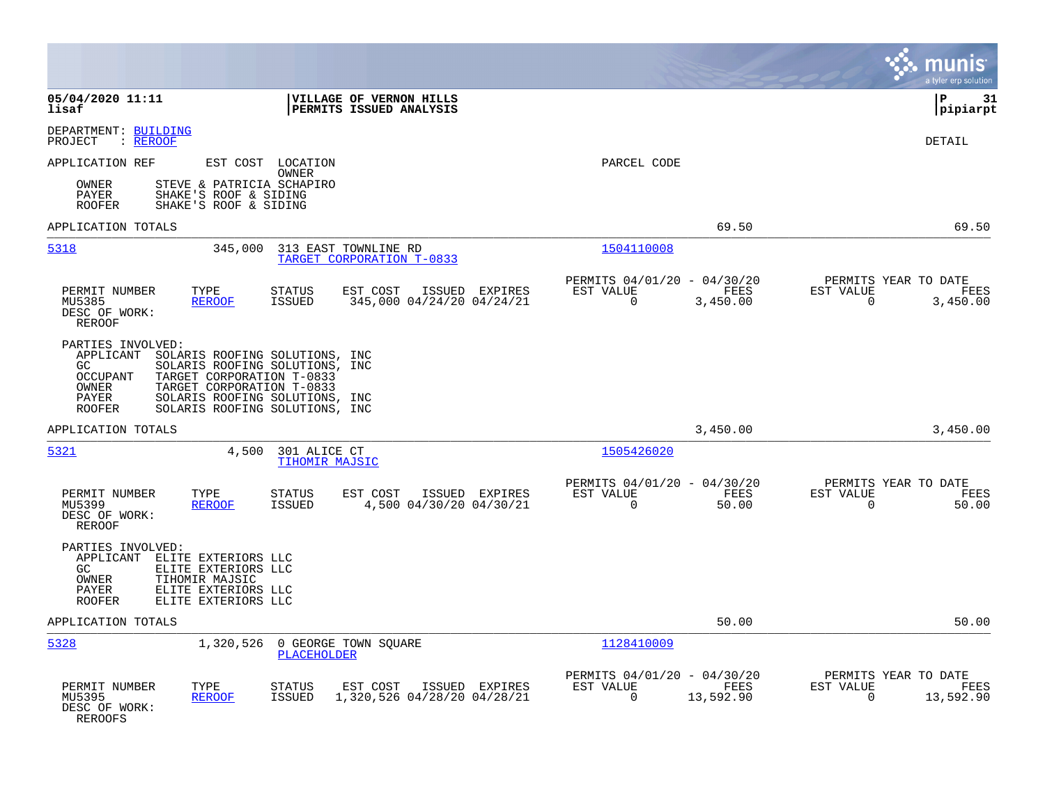|                                                                                                                                                                                                                                                                                        |                                                                                             |                                                                           | munis<br>a tyler erp solution                                      |
|----------------------------------------------------------------------------------------------------------------------------------------------------------------------------------------------------------------------------------------------------------------------------------------|---------------------------------------------------------------------------------------------|---------------------------------------------------------------------------|--------------------------------------------------------------------|
| 05/04/2020 11:11<br>lisaf                                                                                                                                                                                                                                                              | VILLAGE OF VERNON HILLS<br>PERMITS ISSUED ANALYSIS                                          |                                                                           | lР<br>31<br> pipiarpt                                              |
| DEPARTMENT: BUILDING<br>: REROOF<br>PROJECT                                                                                                                                                                                                                                            |                                                                                             |                                                                           | DETAIL                                                             |
| APPLICATION REF                                                                                                                                                                                                                                                                        | EST COST LOCATION<br>OWNER                                                                  | PARCEL CODE                                                               |                                                                    |
| OWNER<br>STEVE & PATRICIA SCHAPIRO<br>SHAKE'S ROOF & SIDING<br>PAYER<br><b>ROOFER</b><br>SHAKE'S ROOF & SIDING                                                                                                                                                                         |                                                                                             |                                                                           |                                                                    |
| APPLICATION TOTALS                                                                                                                                                                                                                                                                     |                                                                                             | 69.50                                                                     | 69.50                                                              |
| 5318<br>345,000                                                                                                                                                                                                                                                                        | 313 EAST TOWNLINE RD<br>TARGET CORPORATION T-0833                                           | 1504110008                                                                |                                                                    |
| PERMIT NUMBER<br>TYPE<br>MU5385<br><b>REROOF</b><br>DESC OF WORK:<br><b>REROOF</b>                                                                                                                                                                                                     | <b>STATUS</b><br>EST COST<br>ISSUED EXPIRES<br><b>ISSUED</b><br>345,000 04/24/20 04/24/21   | PERMITS 04/01/20 - 04/30/20<br>EST VALUE<br>FEES<br>0<br>3,450.00         | PERMITS YEAR TO DATE<br>EST VALUE<br>FEES<br>0<br>3,450.00         |
| PARTIES INVOLVED:<br>APPLICANT<br>SOLARIS ROOFING SOLUTIONS, INC<br>SOLARIS ROOFING SOLUTIONS, INC<br>GC.<br>TARGET CORPORATION T-0833<br>OCCUPANT<br>OWNER<br>TARGET CORPORATION T-0833<br>PAYER<br>SOLARIS ROOFING SOLUTIONS, INC<br>SOLARIS ROOFING SOLUTIONS, INC<br><b>ROOFER</b> |                                                                                             |                                                                           |                                                                    |
| APPLICATION TOTALS                                                                                                                                                                                                                                                                     |                                                                                             | 3,450.00                                                                  | 3,450.00                                                           |
| 5321<br>4,500                                                                                                                                                                                                                                                                          | 301 ALICE CT<br><b>TIHOMIR MAJSIC</b>                                                       | 1505426020                                                                |                                                                    |
| PERMIT NUMBER<br>TYPE<br>MU5399<br><b>REROOF</b><br>DESC OF WORK:<br>REROOF                                                                                                                                                                                                            | <b>STATUS</b><br>EST COST<br>ISSUED EXPIRES<br>4,500 04/30/20 04/30/21<br><b>ISSUED</b>     | PERMITS 04/01/20 - 04/30/20<br>EST VALUE<br>FEES<br>$\Omega$<br>50.00     | PERMITS YEAR TO DATE<br>EST VALUE<br>FEES<br>$\Omega$<br>50.00     |
| PARTIES INVOLVED:<br>APPLICANT ELITE EXTERIORS LLC<br>GC<br>ELITE EXTERIORS LLC<br><b>OWNER</b><br>TIHOMIR MAJSIC<br>ELITE EXTERIORS LLC<br>PAYER<br>ELITE EXTERIORS LLC<br><b>ROOFER</b>                                                                                              |                                                                                             |                                                                           |                                                                    |
| APPLICATION TOTALS                                                                                                                                                                                                                                                                     |                                                                                             | 50.00                                                                     | 50.00                                                              |
| 5328<br>1,320,526                                                                                                                                                                                                                                                                      | 0 GEORGE TOWN SQUARE<br>PLACEHOLDER                                                         | 1128410009                                                                |                                                                    |
| PERMIT NUMBER<br>TYPE<br>MU5395<br><b>REROOF</b><br>DESC OF WORK:<br><b>REROOFS</b>                                                                                                                                                                                                    | <b>STATUS</b><br>ISSUED EXPIRES<br>EST COST<br>1,320,526 04/28/20 04/28/21<br><b>ISSUED</b> | PERMITS 04/01/20 - 04/30/20<br>EST VALUE<br>FEES<br>$\Omega$<br>13,592.90 | PERMITS YEAR TO DATE<br>EST VALUE<br>FEES<br>$\Omega$<br>13,592.90 |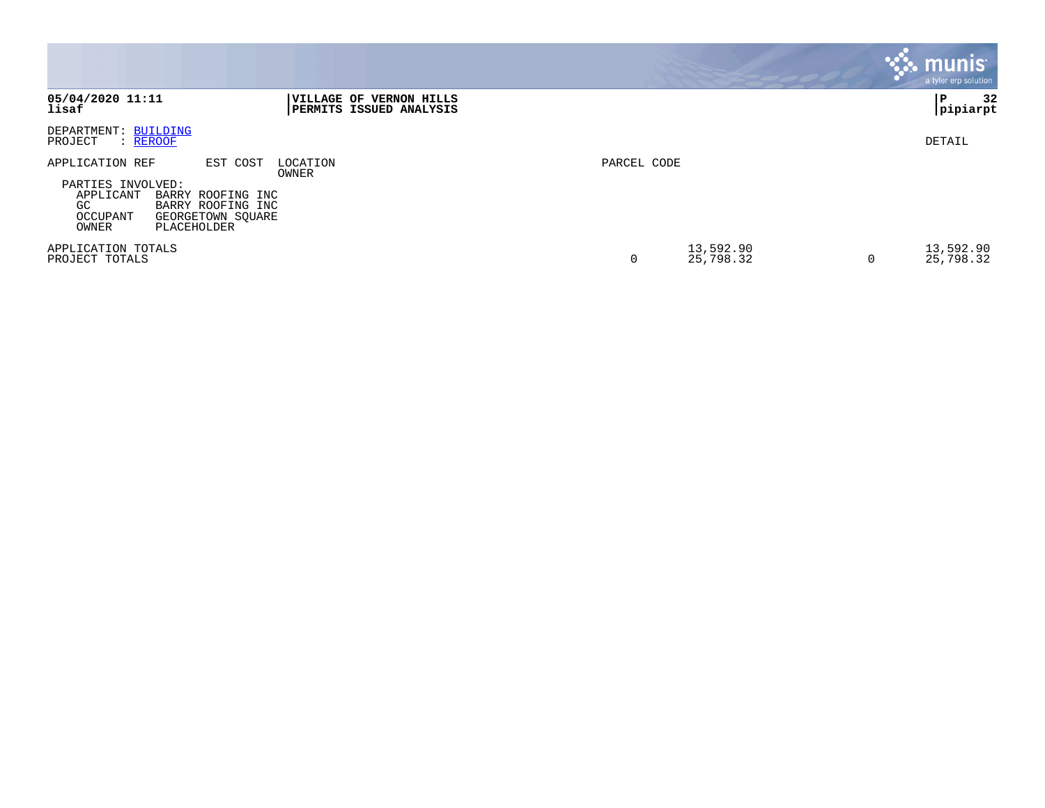|                                                                                                                                                                         |                                                            |             |                        | <b>munis</b><br>a tyler erp solution |
|-------------------------------------------------------------------------------------------------------------------------------------------------------------------------|------------------------------------------------------------|-------------|------------------------|--------------------------------------|
| 05/04/2020 11:11<br>lisaf                                                                                                                                               | <b> VILLAGE OF VERNON HILLS</b><br>PERMITS ISSUED ANALYSIS |             |                        | 32<br>P<br> pipiarpt                 |
| DEPARTMENT: BUILDING<br>: REROOF<br>PROJECT                                                                                                                             |                                                            |             |                        | DETAIL                               |
| APPLICATION REF<br>EST COST<br>PARTIES INVOLVED:<br>APPLICANT<br>BARRY ROOFING INC<br>GC.<br>BARRY ROOFING INC<br>OCCUPANT<br>GEORGETOWN SQUARE<br>OWNER<br>PLACEHOLDER | LOCATION<br>OWNER                                          | PARCEL CODE |                        |                                      |
| APPLICATION TOTALS<br>PROJECT TOTALS                                                                                                                                    |                                                            | 0           | 13,592.90<br>25,798.32 | 13,592.90<br>25,798.32<br>0          |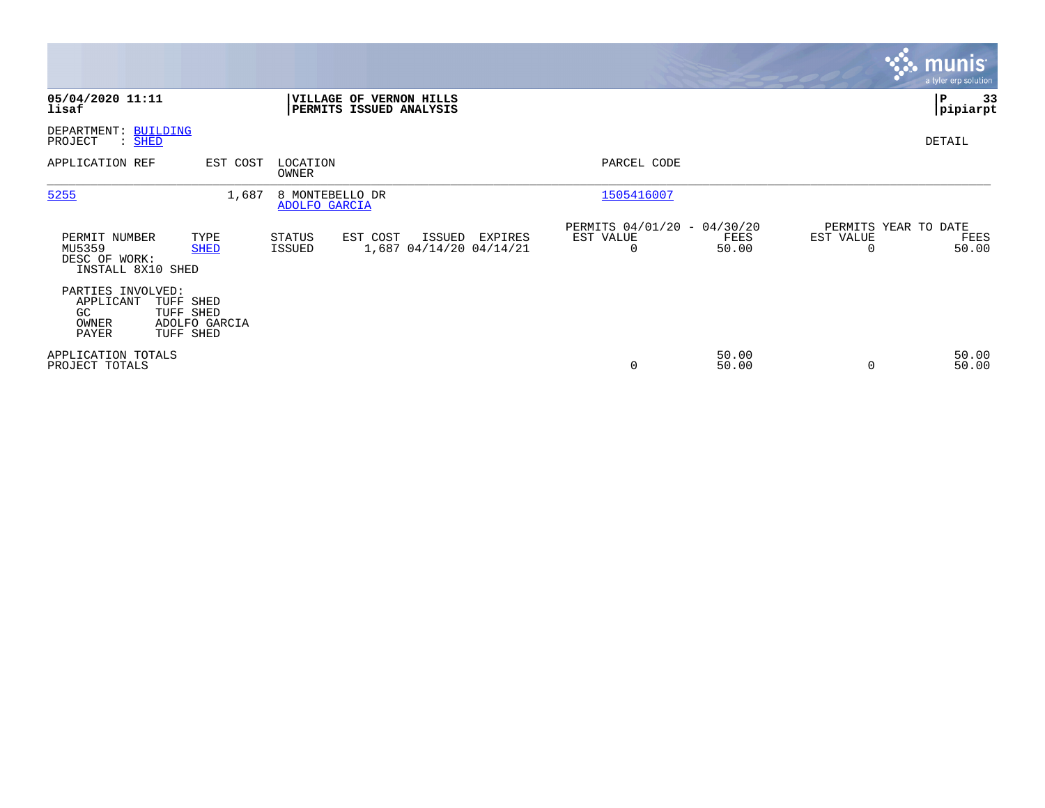|                                                               |                                                      |                                  |                                                    |         |                                               |                |                       | <b>munis</b><br>a tyler erp solution  |
|---------------------------------------------------------------|------------------------------------------------------|----------------------------------|----------------------------------------------------|---------|-----------------------------------------------|----------------|-----------------------|---------------------------------------|
| 05/04/2020 11:11<br>lisaf                                     |                                                      |                                  | VILLAGE OF VERNON HILLS<br>PERMITS ISSUED ANALYSIS |         |                                               |                |                       | P<br>33<br> pipiarpt                  |
| DEPARTMENT: BUILDING<br>PROJECT<br>: SHED                     |                                                      |                                  |                                                    |         |                                               |                |                       | DETAIL                                |
| APPLICATION REF                                               | EST COST                                             | LOCATION<br>OWNER                |                                                    |         | PARCEL CODE                                   |                |                       |                                       |
| 5255                                                          | 1,687                                                | 8 MONTEBELLO DR<br>ADOLFO GARCIA |                                                    |         | 1505416007                                    |                |                       |                                       |
| PERMIT NUMBER<br>MU5359<br>DESC OF WORK:<br>INSTALL 8X10 SHED | TYPE<br><b>SHED</b>                                  | STATUS<br>ISSUED                 | EST COST<br>ISSUED<br>1,687 04/14/20 04/14/21      | EXPIRES | PERMITS 04/01/20 - 04/30/20<br>EST VALUE<br>0 | FEES<br>50.00  | EST VALUE<br>$\Omega$ | PERMITS YEAR TO DATE<br>FEES<br>50.00 |
| PARTIES INVOLVED:<br>APPLICANT<br>GC<br>OWNER<br>PAYER        | TUFF SHED<br>TUFF SHED<br>ADOLFO GARCIA<br>TUFF SHED |                                  |                                                    |         |                                               |                |                       |                                       |
| APPLICATION TOTALS<br>PROJECT TOTALS                          |                                                      |                                  |                                                    |         | 0                                             | 50.00<br>50.00 | 0                     | 50.00<br>50.00                        |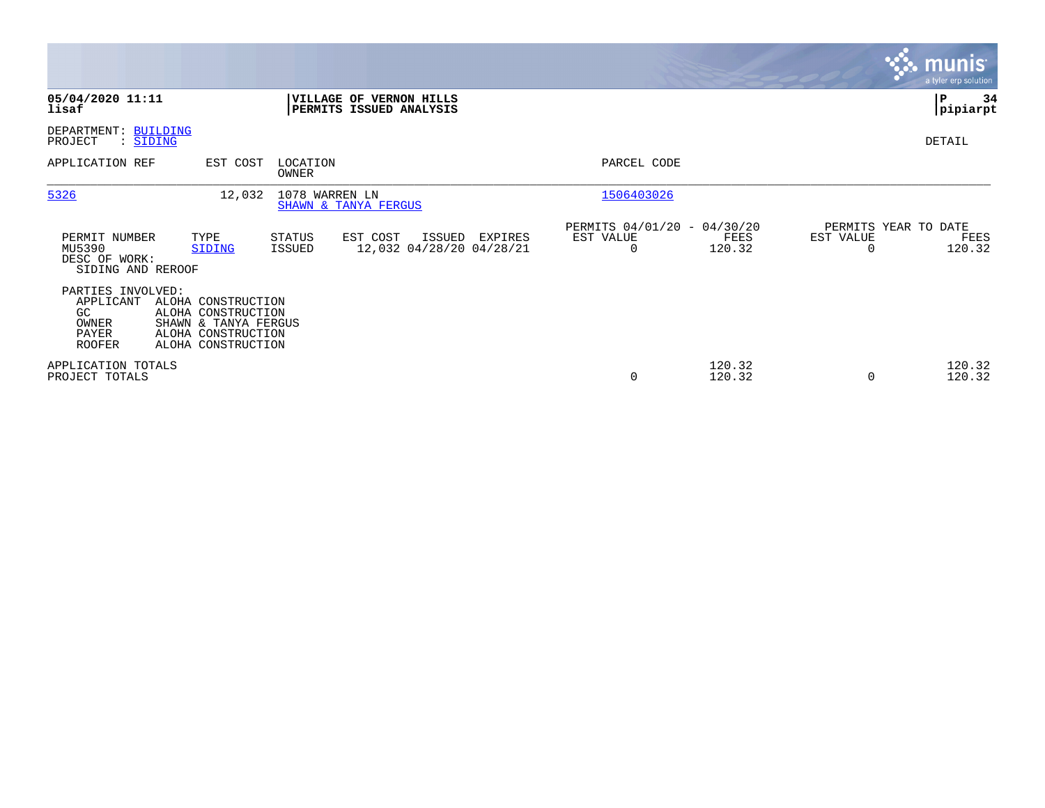|                                                                          |                                                                                                              |                   |                                                           |         |                                               |                  |                                               | <b>munis</b><br>a tyler erp solution |
|--------------------------------------------------------------------------|--------------------------------------------------------------------------------------------------------------|-------------------|-----------------------------------------------------------|---------|-----------------------------------------------|------------------|-----------------------------------------------|--------------------------------------|
| 05/04/2020 11:11<br>lisaf                                                |                                                                                                              |                   | <b>VILLAGE OF VERNON HILLS</b><br>PERMITS ISSUED ANALYSIS |         |                                               |                  |                                               | 34<br>P<br> pipiarpt                 |
| DEPARTMENT: BUILDING<br>PROJECT<br>: SIDING                              |                                                                                                              |                   |                                                           |         |                                               |                  |                                               | DETAIL                               |
| APPLICATION REF                                                          | EST COST                                                                                                     | LOCATION<br>OWNER |                                                           |         | PARCEL CODE                                   |                  |                                               |                                      |
| 5326                                                                     | 12,032                                                                                                       |                   | 1078 WARREN LN<br>SHAWN & TANYA FERGUS                    |         | 1506403026                                    |                  |                                               |                                      |
| PERMIT NUMBER<br>MU5390<br>DESC OF WORK:<br>SIDING AND REROOF            | TYPE<br>SIDING                                                                                               | STATUS<br>ISSUED  | EST COST<br>ISSUED<br>12,032 04/28/20 04/28/21            | EXPIRES | PERMITS 04/01/20 - 04/30/20<br>EST VALUE<br>0 | FEES<br>120.32   | PERMITS YEAR TO DATE<br>EST VALUE<br>$\Omega$ | FEES<br>120.32                       |
| PARTIES INVOLVED:<br>APPLICANT<br>GC.<br>OWNER<br>PAYER<br><b>ROOFER</b> | ALOHA CONSTRUCTION<br>ALOHA CONSTRUCTION<br>SHAWN & TANYA FERGUS<br>ALOHA CONSTRUCTION<br>ALOHA CONSTRUCTION |                   |                                                           |         |                                               |                  |                                               |                                      |
| APPLICATION TOTALS<br>PROJECT TOTALS                                     |                                                                                                              |                   |                                                           |         | $\mathbf 0$                                   | 120.32<br>120.32 | 0                                             | 120.32<br>120.32                     |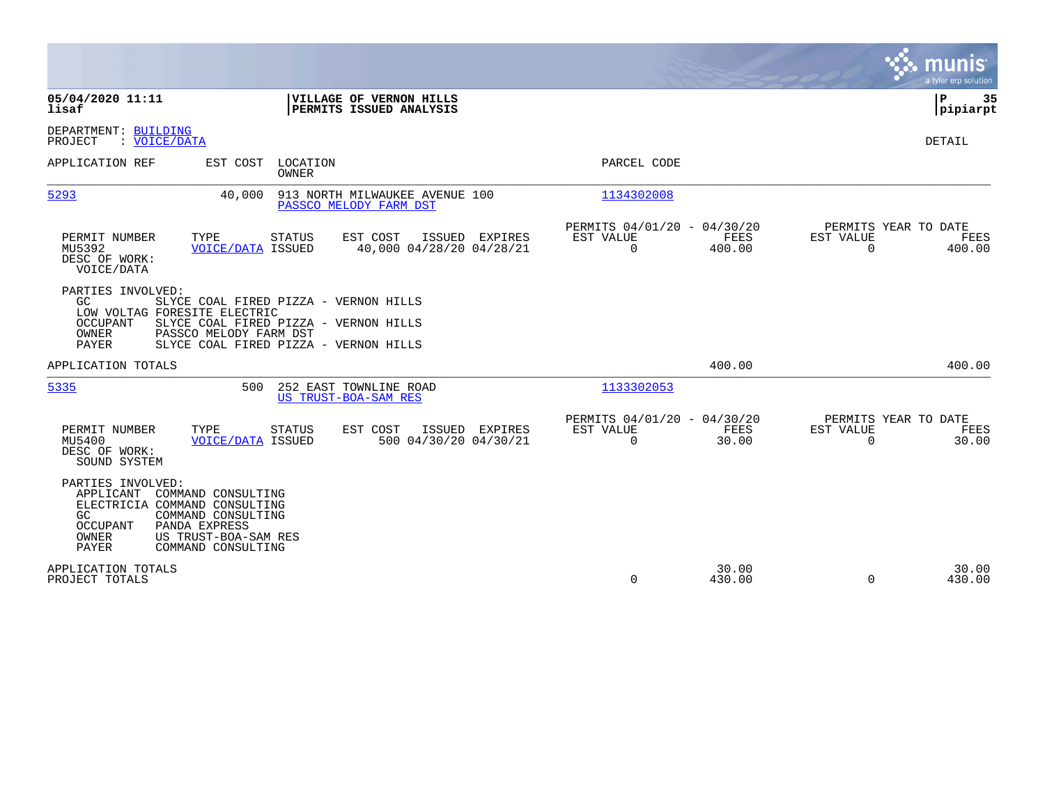|                                                                                                                                                                                                                                                                  |                                                                          | munis<br>a tyler erp solution                                         |
|------------------------------------------------------------------------------------------------------------------------------------------------------------------------------------------------------------------------------------------------------------------|--------------------------------------------------------------------------|-----------------------------------------------------------------------|
| 05/04/2020 11:11<br>VILLAGE OF VERNON HILLS<br>PERMITS ISSUED ANALYSIS<br>lisaf                                                                                                                                                                                  |                                                                          | ΙP<br>35<br> pipiarpt                                                 |
| DEPARTMENT: BUILDING<br>: VOICE/DATA<br>PROJECT                                                                                                                                                                                                                  |                                                                          | DETAIL                                                                |
| APPLICATION REF<br>EST COST<br>LOCATION<br><b>OWNER</b>                                                                                                                                                                                                          | PARCEL CODE                                                              |                                                                       |
| 5293<br>40,000<br>913 NORTH MILWAUKEE AVENUE 100<br>PASSCO MELODY FARM DST                                                                                                                                                                                       | 1134302008                                                               |                                                                       |
| EST COST<br>PERMIT NUMBER<br>TYPE<br>STATUS<br>ISSUED EXPIRES<br>40,000 04/28/20 04/28/21<br>MU5392<br><b>VOICE/DATA ISSUED</b><br>DESC OF WORK:<br>VOICE/DATA                                                                                                   | PERMITS 04/01/20 - 04/30/20<br>EST VALUE<br>FEES<br>$\Omega$<br>400.00   | PERMITS YEAR TO DATE<br>EST VALUE<br>FEES<br>$\Omega$<br>400.00       |
| PARTIES INVOLVED:<br>GC.<br>SLYCE COAL FIRED PIZZA - VERNON HILLS<br>LOW VOLTAG FORESITE ELECTRIC<br><b>OCCUPANT</b><br>SLYCE COAL FIRED PIZZA - VERNON HILLS<br><b>OWNER</b><br>PASSCO MELODY FARM DST<br><b>PAYER</b><br>SLYCE COAL FIRED PIZZA - VERNON HILLS |                                                                          |                                                                       |
| APPLICATION TOTALS                                                                                                                                                                                                                                               | 400.00                                                                   | 400.00                                                                |
| 5335<br>252 EAST TOWNLINE ROAD<br>500<br><b>US TRUST-BOA-SAM RES</b>                                                                                                                                                                                             | 1133302053                                                               |                                                                       |
| PERMIT NUMBER<br>TYPE<br>STATUS<br>ISSUED EXPIRES<br>EST COST<br><b>VOICE/DATA ISSUED</b><br>MU5400<br>500 04/30/20 04/30/21<br>DESC OF WORK:<br>SOUND SYSTEM                                                                                                    | PERMITS 04/01/20 - 04/30/20<br>EST VALUE<br>FEES<br>$\mathbf 0$<br>30.00 | PERMITS YEAR TO DATE<br><b>EST VALUE</b><br>FEES<br>$\Omega$<br>30.00 |
| PARTIES INVOLVED:<br>APPLICANT<br>COMMAND CONSULTING<br>ELECTRICIA COMMAND CONSULTING<br>GC<br>COMMAND CONSULTING<br><b>OCCUPANT</b><br>PANDA EXPRESS<br>OWNER<br>US TRUST-BOA-SAM RES<br>PAYER<br>COMMAND CONSULTING                                            |                                                                          |                                                                       |
| APPLICATION TOTALS<br>PROJECT TOTALS                                                                                                                                                                                                                             | 30.00<br>$\Omega$<br>430.00                                              | 30.00<br>$\Omega$<br>430.00                                           |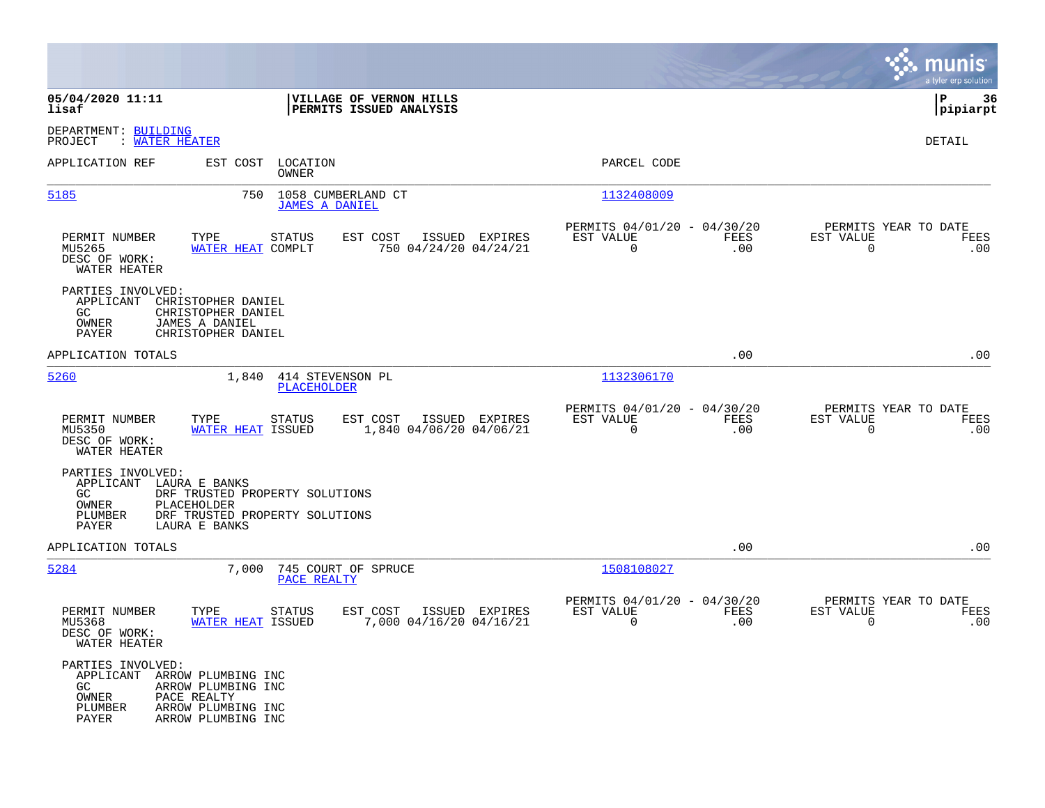|                                                                                 |                                                                                                               |                                                                        | munis<br>a tyler erp solution                                   |
|---------------------------------------------------------------------------------|---------------------------------------------------------------------------------------------------------------|------------------------------------------------------------------------|-----------------------------------------------------------------|
| 05/04/2020 11:11<br>lisaf                                                       | VILLAGE OF VERNON HILLS<br>PERMITS ISSUED ANALYSIS                                                            |                                                                        | lР<br>36<br> pipiarpt                                           |
| DEPARTMENT: BUILDING<br>PROJECT<br>: WATER HEATER                               |                                                                                                               |                                                                        | DETAIL                                                          |
| APPLICATION REF                                                                 | EST COST<br>LOCATION<br>OWNER                                                                                 | PARCEL CODE                                                            |                                                                 |
| 5185                                                                            | 750<br>1058 CUMBERLAND CT<br><b>JAMES A DANIEL</b>                                                            | 1132408009                                                             |                                                                 |
| PERMIT NUMBER<br>MU5265<br>DESC OF WORK:<br>WATER HEATER                        | TYPE<br><b>STATUS</b><br>EST COST<br>ISSUED EXPIRES<br>WATER HEAT COMPLT<br>750 04/24/20 04/24/21             | PERMITS 04/01/20 - 04/30/20<br>EST VALUE<br>FEES<br>$\mathbf 0$<br>.00 | PERMITS YEAR TO DATE<br>EST VALUE<br>FEES<br>$\mathbf 0$<br>.00 |
| PARTIES INVOLVED:<br>APPLICANT<br>GC<br>OWNER<br>PAYER                          | CHRISTOPHER DANIEL<br>CHRISTOPHER DANIEL<br>JAMES A DANIEL<br>CHRISTOPHER DANIEL                              |                                                                        |                                                                 |
| APPLICATION TOTALS                                                              |                                                                                                               | .00                                                                    | .00                                                             |
| 5260                                                                            | 1,840<br>414 STEVENSON PL<br><b>PLACEHOLDER</b>                                                               | 1132306170                                                             |                                                                 |
| PERMIT NUMBER<br>MU5350<br>DESC OF WORK:<br>WATER HEATER                        | TYPE<br><b>STATUS</b><br>EST COST<br>ISSUED EXPIRES<br>1,840 04/06/20 04/06/21<br>WATER HEAT ISSUED           | PERMITS 04/01/20 - 04/30/20<br>EST VALUE<br>FEES<br>$\Omega$<br>.00    | PERMITS YEAR TO DATE<br>EST VALUE<br>FEES<br>$\Omega$<br>.00    |
| PARTIES INVOLVED:<br>APPLICANT LAURA E BANKS<br>GC<br>OWNER<br>PLUMBER<br>PAYER | DRF TRUSTED PROPERTY SOLUTIONS<br>PLACEHOLDER<br>DRF TRUSTED PROPERTY SOLUTIONS<br>LAURA E BANKS              |                                                                        |                                                                 |
| APPLICATION TOTALS                                                              |                                                                                                               | .00                                                                    | .00                                                             |
| 5284                                                                            | 7,000<br>745 COURT OF SPRUCE<br>PACE REALTY                                                                   | 1508108027                                                             |                                                                 |
| PERMIT NUMBER<br>MU5368<br>DESC OF WORK:<br>WATER HEATER                        | TYPE<br><b>STATUS</b><br>EST COST<br>ISSUED EXPIRES<br>7,000 04/16/20 04/16/21<br><b>WATER HEAT ISSUED</b>    | PERMITS 04/01/20 - 04/30/20<br>FEES<br>EST VALUE<br>$\mathbf 0$<br>.00 | PERMITS YEAR TO DATE<br>EST VALUE<br>FEES<br>$\mathbf 0$<br>.00 |
| PARTIES INVOLVED:<br>GC.<br>OWNER<br>PLUMBER<br>PAYER                           | APPLICANT ARROW PLUMBING INC<br>ARROW PLUMBING INC<br>PACE REALTY<br>ARROW PLUMBING INC<br>ARROW PLUMBING INC |                                                                        |                                                                 |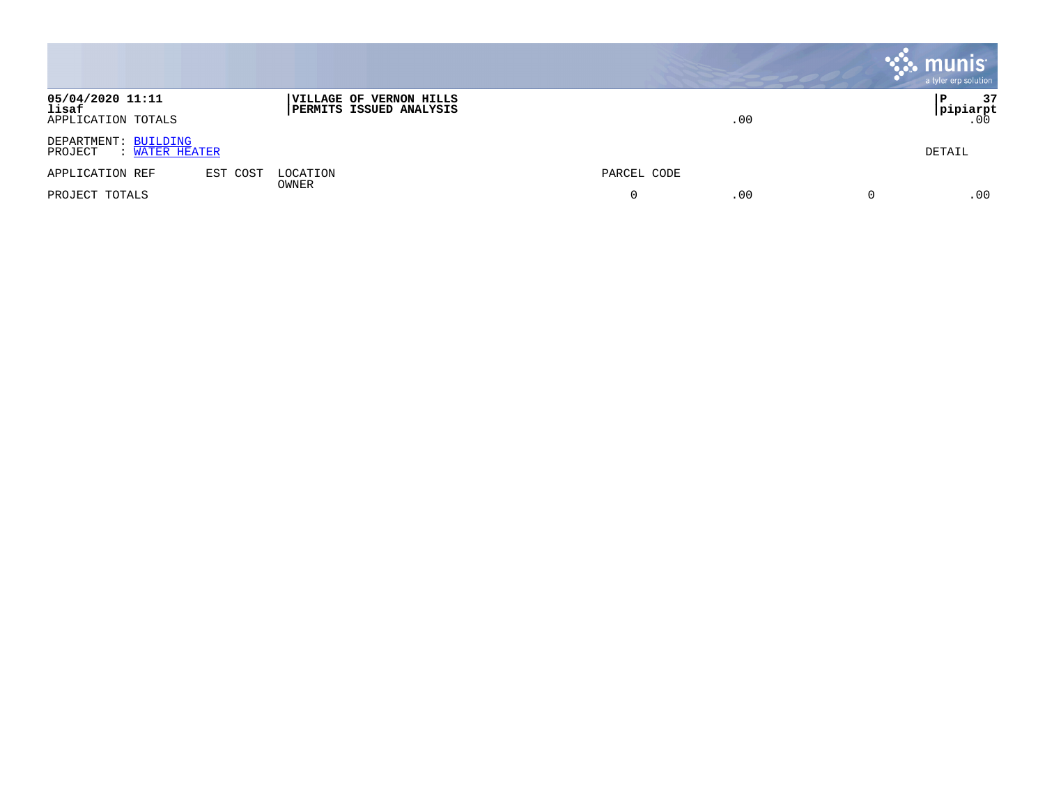|                                                   |          |                                                           |             | <b>munis</b><br>a tyler erp solution |
|---------------------------------------------------|----------|-----------------------------------------------------------|-------------|--------------------------------------|
| 05/04/2020 11:11<br>lisaf<br>APPLICATION TOTALS   |          | VILLAGE OF VERNON HILLS<br><b>PERMITS ISSUED ANALYSIS</b> | .00         | 37<br>Р<br>pipiarpt<br>.00           |
| DEPARTMENT: BUILDING<br>PROJECT<br>: WATER HEATER |          |                                                           |             | DETAIL                               |
| APPLICATION REF                                   | EST COST | LOCATION<br><b>OWNER</b>                                  | PARCEL CODE |                                      |
| PROJECT TOTALS                                    |          |                                                           | .00<br>0    | .00                                  |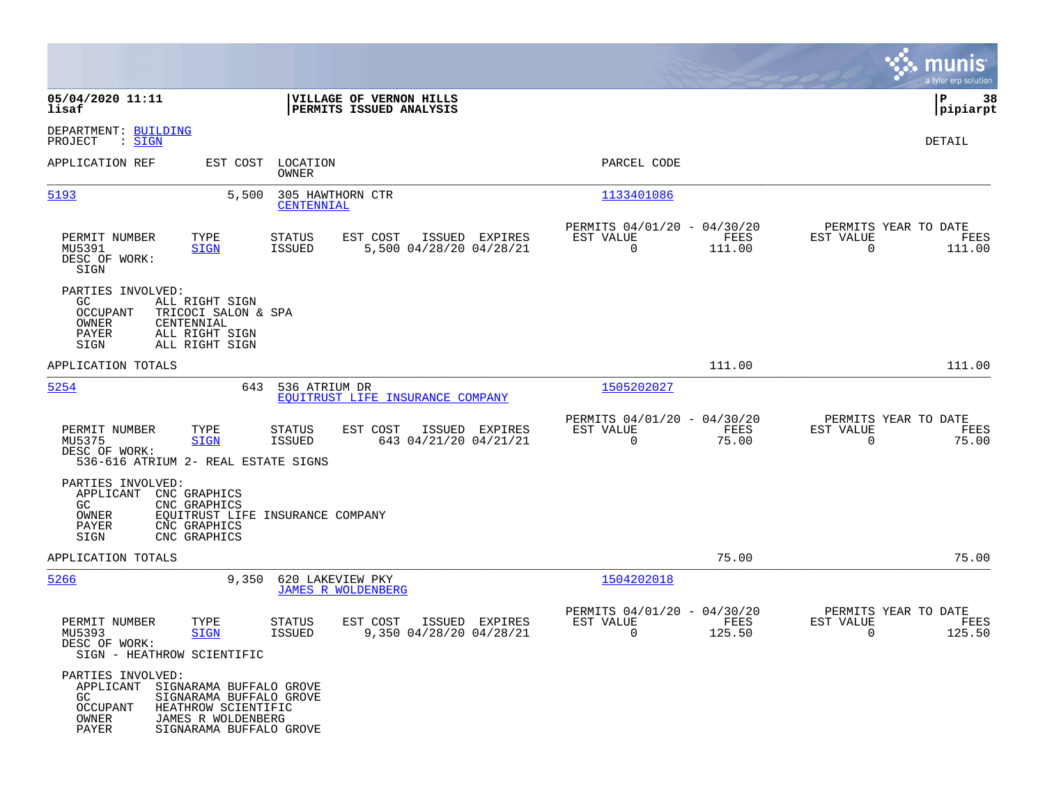|                                                                                                                                                                                                         |                                                                                  |                                                                           | munis<br>a tyler erp solution                                      |
|---------------------------------------------------------------------------------------------------------------------------------------------------------------------------------------------------------|----------------------------------------------------------------------------------|---------------------------------------------------------------------------|--------------------------------------------------------------------|
| 05/04/2020 11:11<br>lisaf                                                                                                                                                                               | VILLAGE OF VERNON HILLS<br>PERMITS ISSUED ANALYSIS                               |                                                                           | l P<br>38<br> pipiarpt                                             |
| DEPARTMENT: BUILDING<br>PROJECT<br>: <u>SIGN</u>                                                                                                                                                        |                                                                                  |                                                                           | DETAIL                                                             |
| APPLICATION REF<br>EST COST                                                                                                                                                                             | LOCATION<br>OWNER                                                                | PARCEL CODE                                                               |                                                                    |
| 5193<br>5,500                                                                                                                                                                                           | 305 HAWTHORN CTR<br>CENTENNIAL                                                   | 1133401086                                                                |                                                                    |
| PERMIT NUMBER<br>TYPE<br>MU5391<br><b>SIGN</b><br>DESC OF WORK:<br>SIGN                                                                                                                                 | <b>STATUS</b><br>EST COST<br>ISSUED EXPIRES<br>5,500 04/28/20 04/28/21<br>ISSUED | PERMITS 04/01/20 - 04/30/20<br>FEES<br>EST VALUE<br>$\mathbf 0$<br>111.00 | PERMITS YEAR TO DATE<br>EST VALUE<br>FEES<br>$\mathbf 0$<br>111.00 |
| PARTIES INVOLVED:<br>GC.<br>ALL RIGHT SIGN<br>OCCUPANT<br>TRICOCI SALON & SPA<br>OWNER<br>CENTENNIAL<br>PAYER<br>ALL RIGHT SIGN<br>ALL RIGHT SIGN<br>SIGN                                               |                                                                                  |                                                                           |                                                                    |
| APPLICATION TOTALS                                                                                                                                                                                      |                                                                                  | 111.00                                                                    | 111.00                                                             |
| 5254<br>643                                                                                                                                                                                             | 536 ATRIUM DR<br>EOUITRUST LIFE INSURANCE COMPANY                                | 1505202027                                                                |                                                                    |
| PERMIT NUMBER<br>TYPE<br>MU5375<br><b>SIGN</b><br>DESC OF WORK:<br>536-616 ATRIUM 2- REAL ESTATE SIGNS                                                                                                  | ISSUED EXPIRES<br>STATUS<br>EST COST<br>643 04/21/20 04/21/21<br>ISSUED          | PERMITS 04/01/20 - 04/30/20<br>EST VALUE<br>FEES<br>0<br>75.00            | PERMITS YEAR TO DATE<br>EST VALUE<br>FEES<br>$\mathbf 0$<br>75.00  |
| PARTIES INVOLVED:<br>APPLICANT<br>CNC GRAPHICS<br>GC.<br>CNC GRAPHICS<br>OWNER<br>PAYER<br>CNC GRAPHICS<br>SIGN<br>CNC GRAPHICS                                                                         | EQUITRUST LIFE INSURANCE COMPANY                                                 |                                                                           |                                                                    |
| APPLICATION TOTALS                                                                                                                                                                                      |                                                                                  | 75.00                                                                     | 75.00                                                              |
| 5266<br>9,350                                                                                                                                                                                           | 620 LAKEVIEW PKY<br><b>JAMES R WOLDENBERG</b>                                    | 1504202018                                                                |                                                                    |
| PERMIT NUMBER<br>TYPE<br>MU5393<br><b>SIGN</b><br>DESC OF WORK:<br>SIGN - HEATHROW SCIENTIFIC                                                                                                           | EST COST<br>ISSUED EXPIRES<br><b>STATUS</b><br>ISSUED<br>9,350 04/28/20 04/28/21 | PERMITS 04/01/20 -<br>04/30/20<br>EST VALUE<br>FEES<br>0<br>125.50        | PERMITS YEAR TO DATE<br>EST VALUE<br>FEES<br>0<br>125.50           |
| PARTIES INVOLVED:<br>APPLICANT<br>SIGNARAMA BUFFALO GROVE<br>GC<br>SIGNARAMA BUFFALO GROVE<br><b>OCCUPANT</b><br>HEATHROW SCIENTIFIC<br>OWNER<br>JAMES R WOLDENBERG<br>PAYER<br>SIGNARAMA BUFFALO GROVE |                                                                                  |                                                                           |                                                                    |